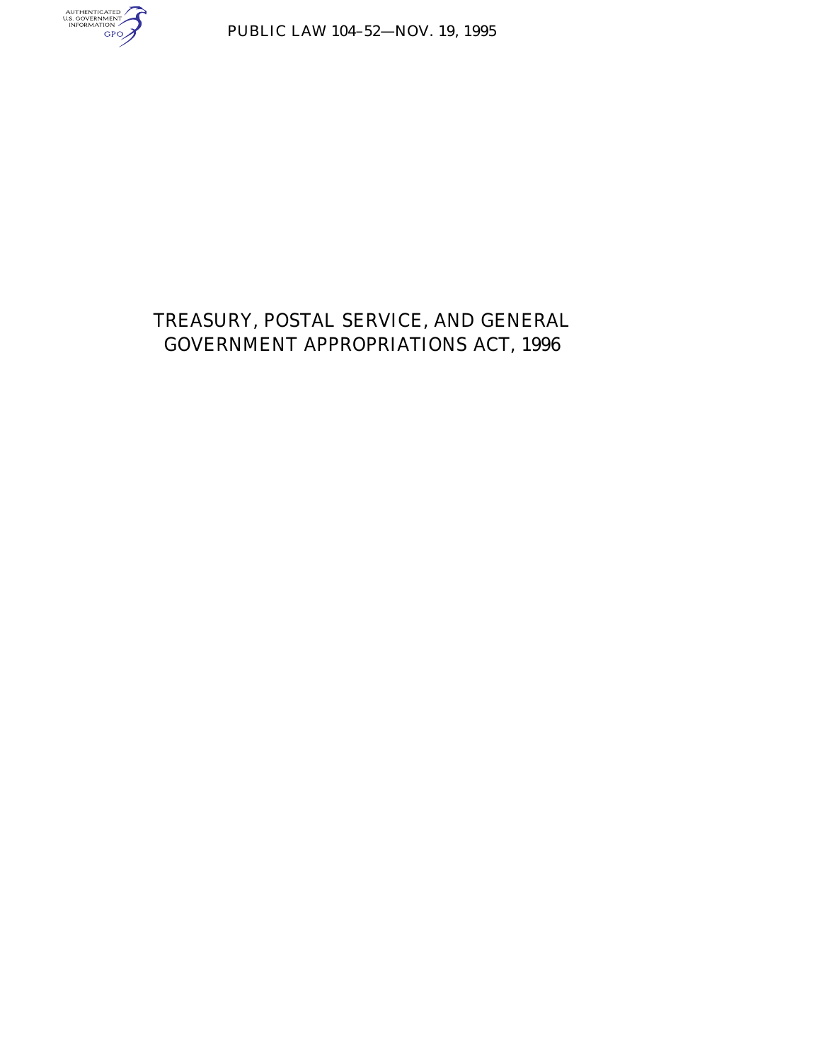

PUBLIC LAW 104–52—NOV. 19, 1995

# TREASURY, POSTAL SERVICE, AND GENERAL GOVERNMENT APPROPRIATIONS ACT, 1996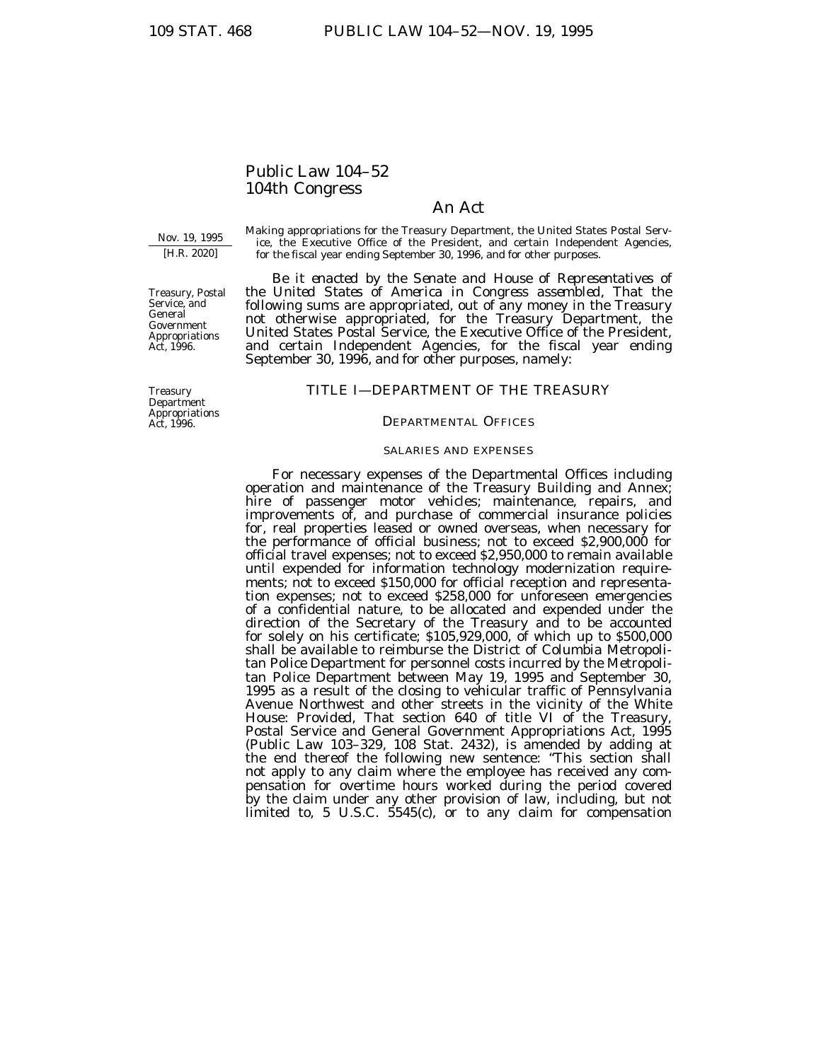# Public Law 104–52 104th Congress

# An Act

Nov. 19, 1995 [H.R. 2020]

Treasury, Postal Service, and General Government Appropriations Act, 1996.

Making appropriations for the Treasury Department, the United States Postal Service, the Executive Office of the President, and certain Independent Agencies, for the fiscal year ending September 30, 1996, and for other purposes.

*Be it enacted by the Senate and House of Representatives of the United States of America in Congress assembled,* That the following sums are appropriated, out of any money in the Treasury not otherwise appropriated, for the Treasury Department, the United States Postal Service, the Executive Office of the President, and certain Independent Agencies, for the fiscal year ending September 30, 1996, and for other purposes, namely:

#### Treasury Department Appropriations Act, 1996.

# TITLE I—DEPARTMENT OF THE TREASURY

# DEPARTMENTAL OFFICES

### SALARIES AND EXPENSES

For necessary expenses of the Departmental Offices including operation and maintenance of the Treasury Building and Annex; hire of passenger motor vehicles; maintenance, repairs, and improvements of, and purchase of commercial insurance policies for, real properties leased or owned overseas, when necessary for the performance of official business; not to exceed \$2,900,000 for official travel expenses; not to exceed \$2,950,000 to remain available until expended for information technology modernization requirements; not to exceed \$150,000 for official reception and representation expenses; not to exceed \$258,000 for unforeseen emergencies of a confidential nature, to be allocated and expended under the direction of the Secretary of the Treasury and to be accounted for solely on his certificate; \$105,929,000, of which up to \$500,000 shall be available to reimburse the District of Columbia Metropolitan Police Department for personnel costs incurred by the Metropolitan Police Department between May 19, 1995 and September 30, 1995 as a result of the closing to vehicular traffic of Pennsylvania Avenue Northwest and other streets in the vicinity of the White House: *Provided*, That section 640 of title VI of the Treasury, Postal Service and General Government Appropriations Act, 1995 (Public Law 103–329, 108 Stat. 2432), is amended by adding at the end thereof the following new sentence: ''This section shall not apply to any claim where the employee has received any compensation for overtime hours worked during the period covered by the claim under any other provision of law, including, but not limited to, 5 U.S.C. 5545(c), or to any claim for compensation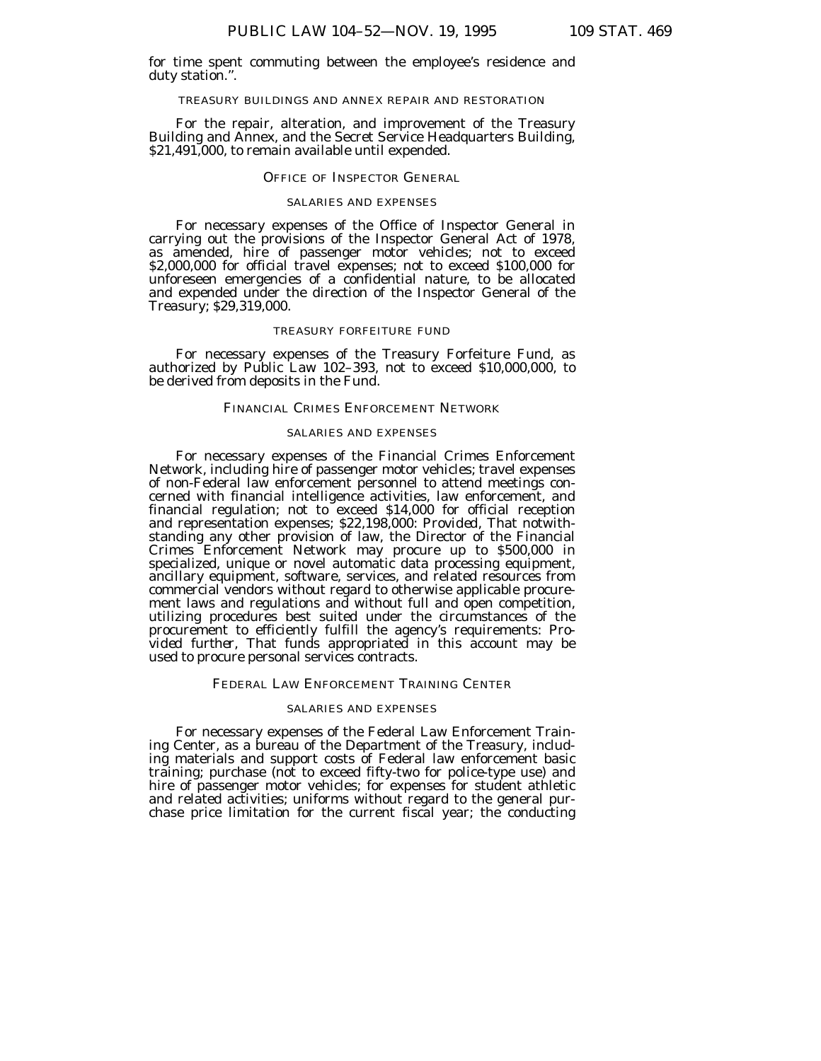for time spent commuting between the employee's residence and duty station.''.

#### TREASURY BUILDINGS AND ANNEX REPAIR AND RESTORATION

For the repair, alteration, and improvement of the Treasury Building and Annex, and the Secret Service Headquarters Building, \$21,491,000, to remain available until expended.

# OFFICE OF INSPECTOR GENERAL

### SALARIES AND EXPENSES

For necessary expenses of the Office of Inspector General in carrying out the provisions of the Inspector General Act of 1978, as amended, hire of passenger motor vehicles; not to exceed \$2,000,000 for official travel expenses; not to exceed \$100,000 for unforeseen emergencies of a confidential nature, to be allocated and expended under the direction of the Inspector General of the Treasury; \$29,319,000.

### TREASURY FORFEITURE FUND

For necessary expenses of the Treasury Forfeiture Fund, as authorized by Public Law 102–393, not to exceed \$10,000,000, to be derived from deposits in the Fund.

# FINANCIAL CRIMES ENFORCEMENT NETWORK

### SALARIES AND EXPENSES

For necessary expenses of the Financial Crimes Enforcement Network, including hire of passenger motor vehicles; travel expenses of non-Federal law enforcement personnel to attend meetings concerned with financial intelligence activities, law enforcement, and financial regulation; not to exceed \$14,000 for official reception and representation expenses; \$22,198,000: *Provided,* That notwithstanding any other provision of law, the Director of the Financial Crimes Enforcement Network may procure up to \$500,000 in specialized, unique or novel automatic data processing equipment, ancillary equipment, software, services, and related resources from commercial vendors without regard to otherwise applicable procurement laws and regulations and without full and open competition, utilizing procedures best suited under the circumstances of the procurement to efficiently fulfill the agency's requirements: *Provided further,* That funds appropriated in this account may be used to procure personal services contracts.

### FEDERAL LAW ENFORCEMENT TRAINING CENTER

# SALARIES AND EXPENSES

For necessary expenses of the Federal Law Enforcement Training Center, as a bureau of the Department of the Treasury, including materials and support costs of Federal law enforcement basic training; purchase (not to exceed fifty-two for police-type use) and hire of passenger motor vehicles; for expenses for student athletic and related activities; uniforms without regard to the general purchase price limitation for the current fiscal year; the conducting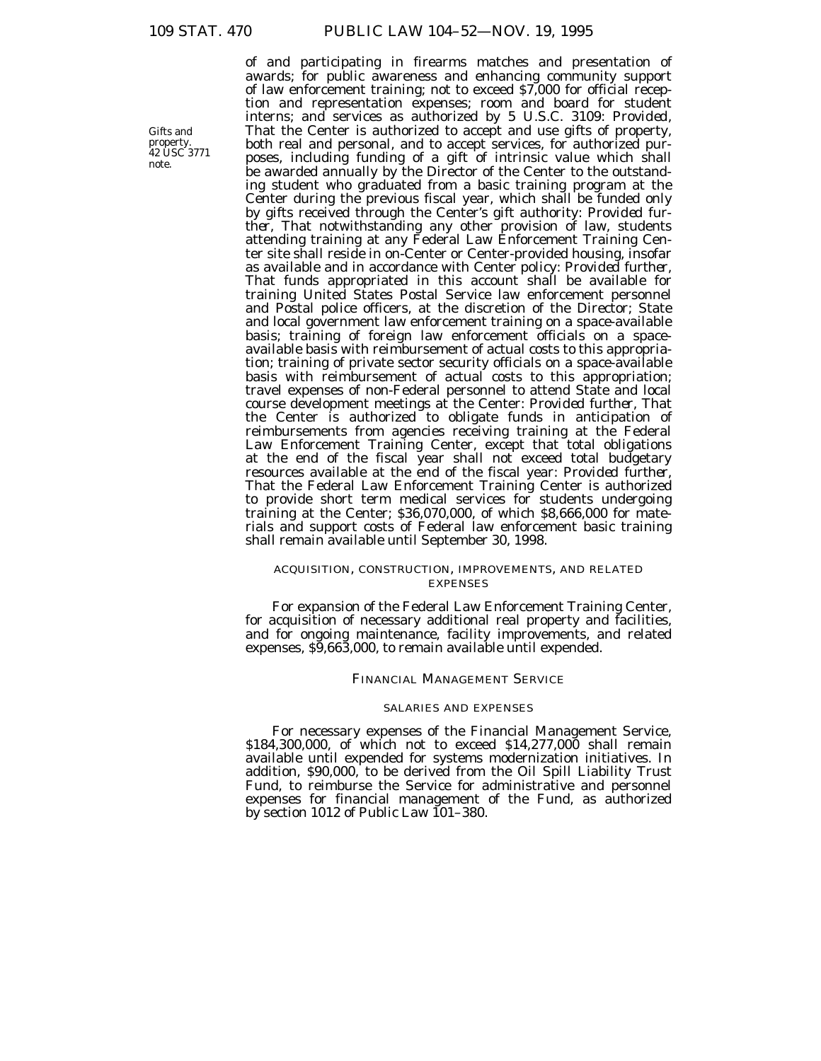Gifts and property. 42 USC 3771 note.

of and participating in firearms matches and presentation of awards; for public awareness and enhancing community support of law enforcement training; not to exceed \$7,000 for official reception and representation expenses; room and board for student interns; and services as authorized by 5 U.S.C. 3109: *Provided,* That the Center is authorized to accept and use gifts of property, both real and personal, and to accept services, for authorized purposes, including funding of a gift of intrinsic value which shall be awarded annually by the Director of the Center to the outstanding student who graduated from a basic training program at the Center during the previous fiscal year, which shall be funded only by gifts received through the Center's gift authority: *Provided further,* That notwithstanding any other provision of law, students attending training at any Federal Law Enforcement Training Center site shall reside in on-Center or Center-provided housing, insofar as available and in accordance with Center policy: *Provided further,* That funds appropriated in this account shall be available for training United States Postal Service law enforcement personnel and Postal police officers, at the discretion of the Director; State and local government law enforcement training on a space-available basis; training of foreign law enforcement officials on a spaceavailable basis with reimbursement of actual costs to this appropriation; training of private sector security officials on a space-available basis with reimbursement of actual costs to this appropriation; travel expenses of non-Federal personnel to attend State and local course development meetings at the Center: *Provided further,* That the Center is authorized to obligate funds in anticipation of reimbursements from agencies receiving training at the Federal Law Enforcement Training Center, except that total obligations at the end of the fiscal year shall not exceed total budgetary resources available at the end of the fiscal year: *Provided further,* That the Federal Law Enforcement Training Center is authorized to provide short term medical services for students undergoing training at the Center; \$36,070,000, of which \$8,666,000 for materials and support costs of Federal law enforcement basic training shall remain available until September 30, 1998.

# ACQUISITION, CONSTRUCTION, IMPROVEMENTS, AND RELATED EXPENSES

For expansion of the Federal Law Enforcement Training Center, for acquisition of necessary additional real property and facilities, and for ongoing maintenance, facility improvements, and related expenses, \$9,663,000, to remain available until expended.

# FINANCIAL MANAGEMENT SERVICE

# SALARIES AND EXPENSES

For necessary expenses of the Financial Management Service, \$184,300,000, of which not to exceed \$14,277,000 shall remain available until expended for systems modernization initiatives. In addition, \$90,000, to be derived from the Oil Spill Liability Trust Fund, to reimburse the Service for administrative and personnel expenses for financial management of the Fund, as authorized by section 1012 of Public Law 101–380.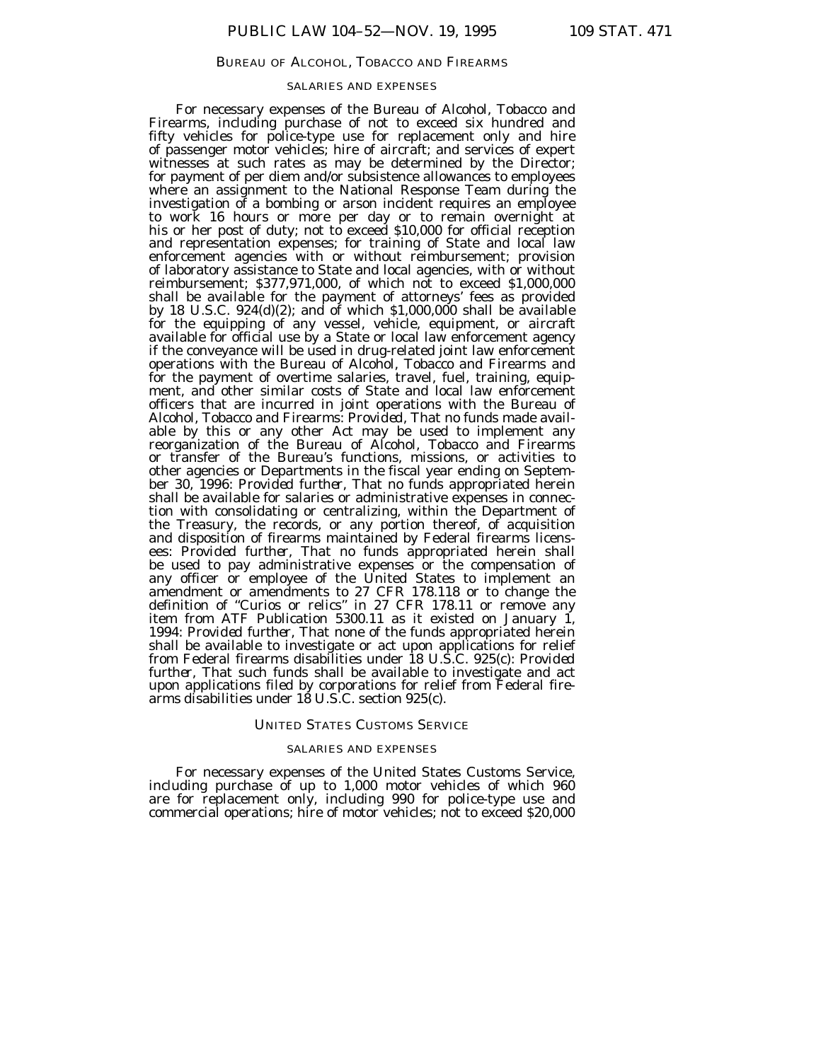### BUREAU OF ALCOHOL, TOBACCO AND FIREARMS

### SALARIES AND EXPENSES

For necessary expenses of the Bureau of Alcohol, Tobacco and Firearms, including purchase of not to exceed six hundred and fifty vehicles for police-type use for replacement only and hire of passenger motor vehicles; hire of aircraft; and services of expert witnesses at such rates as may be determined by the Director; for payment of per diem and/or subsistence allowances to employees where an assignment to the National Response Team during the investigation of a bombing or arson incident requires an employee to work 16 hours or more per day or to remain overnight at his or her post of duty; not to exceed \$10,000 for official reception and representation expenses; for training of State and local law enforcement agencies with or without reimbursement; provision of laboratory assistance to State and local agencies, with or without reimbursement; \$377,971,000, of which not to exceed \$1,000,000 shall be available for the payment of attorneys' fees as provided by 18 U.S.C.  $924(d)(2)$ ; and of which  $$1,000,000$  shall be available for the equipping of any vessel, vehicle, equipment, or aircraft available for official use by a State or local law enforcement agency if the conveyance will be used in drug-related joint law enforcement operations with the Bureau of Alcohol, Tobacco and Firearms and for the payment of overtime salaries, travel, fuel, training, equipment, and other similar costs of State and local law enforcement officers that are incurred in joint operations with the Bureau of Alcohol, Tobacco and Firearms: *Provided,* That no funds made available by this or any other Act may be used to implement any reorganization of the Bureau of Alcohol, Tobacco and Firearms or transfer of the Bureau's functions, missions, or activities to other agencies or Departments in the fiscal year ending on September 30, 1996: *Provided further,* That no funds appropriated herein shall be available for salaries or administrative expenses in connection with consolidating or centralizing, within the Department of the Treasury, the records, or any portion thereof, of acquisition and disposition of firearms maintained by Federal firearms licensees: *Provided further,* That no funds appropriated herein shall be used to pay administrative expenses or the compensation of any officer or employee of the United States to implement an amendment or amendments to 27 CFR 178.118 or to change the definition of ''Curios or relics'' in 27 CFR 178.11 or remove any item from ATF Publication 5300.11 as it existed on January 1, 1994: *Provided further,* That none of the funds appropriated herein shall be available to investigate or act upon applications for relief from Federal firearms disabilities under 18 U.S.C. 925(c): *Provided further,* That such funds shall be available to investigate and act upon applications filed by corporations for relief from Federal firearms disabilities under 18 U.S.C. section 925(c).

### UNITED STATES CUSTOMS SERVICE

#### SALARIES AND EXPENSES

For necessary expenses of the United States Customs Service, including purchase of up to 1,000 motor vehicles of which 960 are for replacement only, including 990 for police-type use and commercial operations; hire of motor vehicles; not to exceed \$20,000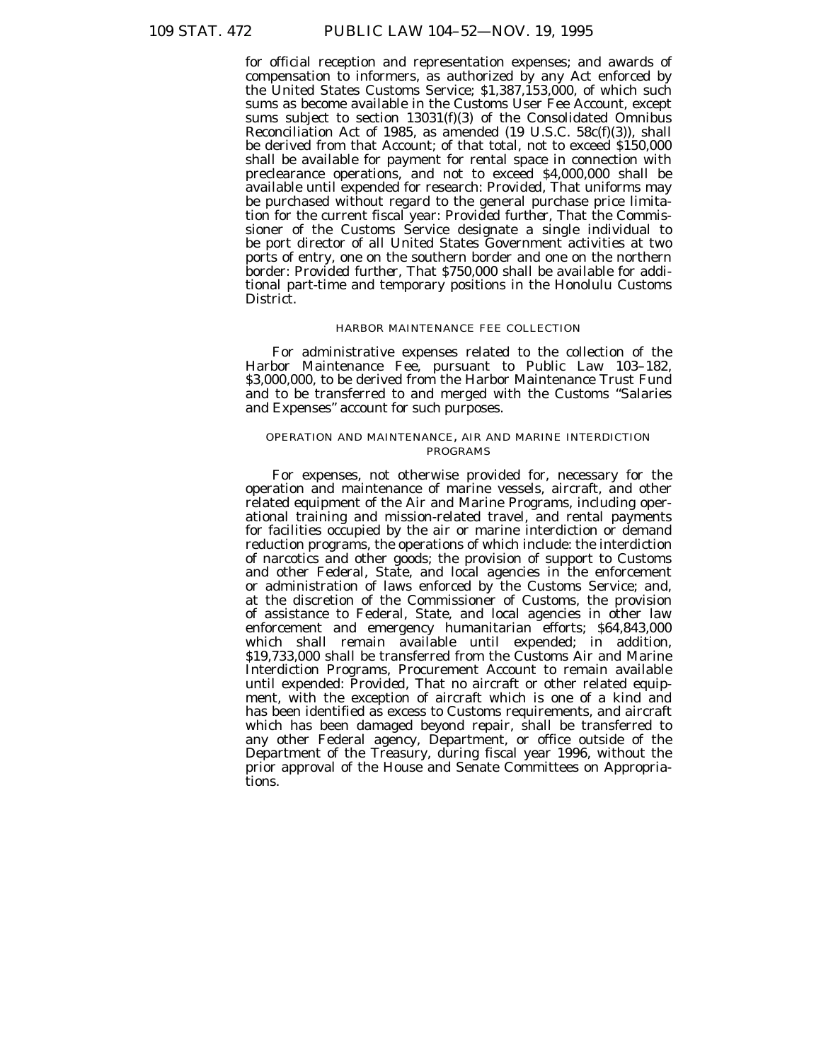for official reception and representation expenses; and awards of compensation to informers, as authorized by any Act enforced by the United States Customs Service; \$1,387,153,000, of which such sums as become available in the Customs User Fee Account, except sums subject to section  $13031(f)(3)$  of the Consolidated Omnibus Reconciliation Act of 1985, as amended (19 U.S.C. 58c(f)(3)), shall be derived from that Account; of that total, not to exceed \$150,000 shall be available for payment for rental space in connection with preclearance operations, and not to exceed \$4,000,000 shall be available until expended for research: *Provided,* That uniforms may be purchased without regard to the general purchase price limitation for the current fiscal year: *Provided further,* That the Commissioner of the Customs Service designate a single individual to be port director of all United States Government activities at two ports of entry, one on the southern border and one on the northern border: *Provided further,* That \$750,000 shall be available for additional part-time and temporary positions in the Honolulu Customs District.

### HARBOR MAINTENANCE FEE COLLECTION

For administrative expenses related to the collection of the Harbor Maintenance Fee, pursuant to Public Law 103–182, \$3,000,000, to be derived from the Harbor Maintenance Trust Fund and to be transferred to and merged with the Customs ''Salaries and Expenses'' account for such purposes.

# OPERATION AND MAINTENANCE, AIR AND MARINE INTERDICTION PROGRAMS

For expenses, not otherwise provided for, necessary for the operation and maintenance of marine vessels, aircraft, and other related equipment of the Air and Marine Programs, including operational training and mission-related travel, and rental payments for facilities occupied by the air or marine interdiction or demand reduction programs, the operations of which include: the interdiction of narcotics and other goods; the provision of support to Customs and other Federal, State, and local agencies in the enforcement or administration of laws enforced by the Customs Service; and, at the discretion of the Commissioner of Customs, the provision of assistance to Federal, State, and local agencies in other law enforcement and emergency humanitarian efforts; \$64,843,000 which shall remain available until expended; in addition, \$19,733,000 shall be transferred from the Customs Air and Marine Interdiction Programs, Procurement Account to remain available until expended: *Provided,* That no aircraft or other related equipment, with the exception of aircraft which is one of a kind and has been identified as excess to Customs requirements, and aircraft which has been damaged beyond repair, shall be transferred to any other Federal agency, Department, or office outside of the Department of the Treasury, during fiscal year 1996, without the prior approval of the House and Senate Committees on Appropriations.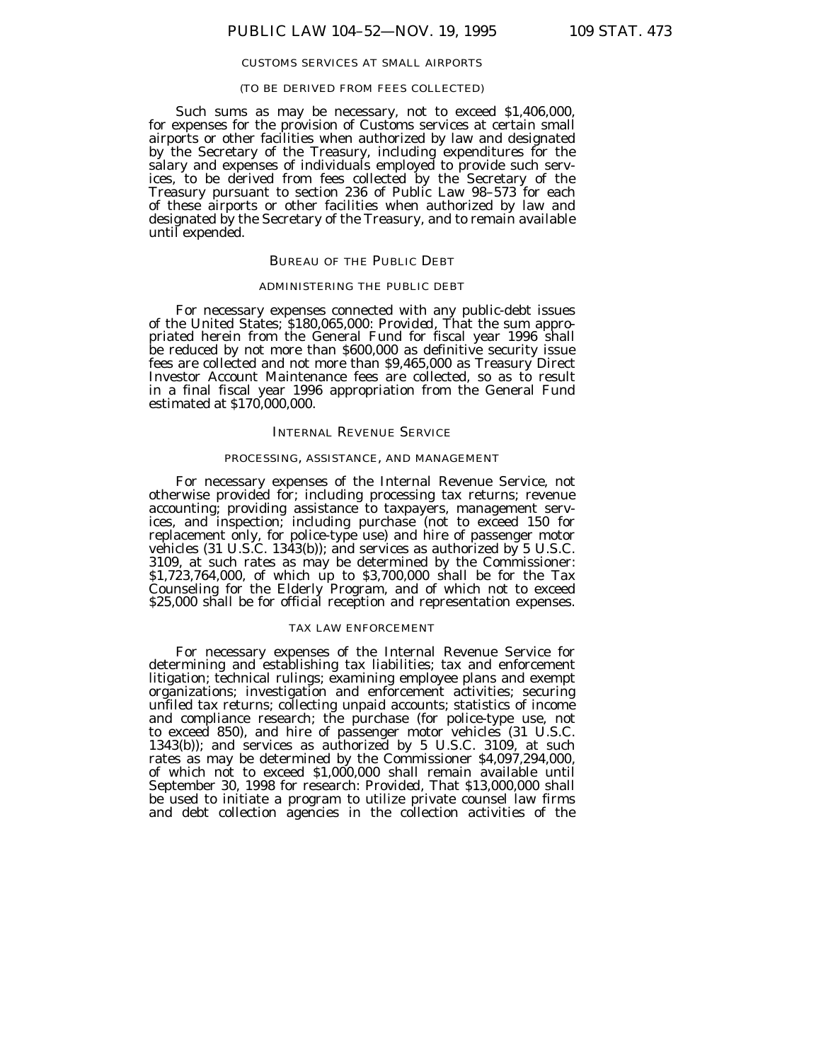### CUSTOMS SERVICES AT SMALL AIRPORTS

### (TO BE DERIVED FROM FEES COLLECTED)

Such sums as may be necessary, not to exceed \$1,406,000, for expenses for the provision of Customs services at certain small airports or other facilities when authorized by law and designated by the Secretary of the Treasury, including expenditures for the salary and expenses of individuals employed to provide such services, to be derived from fees collected by the Secretary of the Treasury pursuant to section 236 of Public Law 98–573 for each of these airports or other facilities when authorized by law and designated by the Secretary of the Treasury, and to remain available until expended.

#### BUREAU OF THE PUBLIC DEBT

# ADMINISTERING THE PUBLIC DEBT

For necessary expenses connected with any public-debt issues of the United States; \$180,065,000: *Provided,* That the sum appropriated herein from the General Fund for fiscal year 1996 shall be reduced by not more than \$600,000 as definitive security issue fees are collected and not more than \$9,465,000 as Treasury Direct Investor Account Maintenance fees are collected, so as to result in a final fiscal year 1996 appropriation from the General Fund estimated at \$170,000,000.

### INTERNAL REVENUE SERVICE

#### PROCESSING, ASSISTANCE, AND MANAGEMENT

For necessary expenses of the Internal Revenue Service, not otherwise provided for; including processing tax returns; revenue accounting; providing assistance to taxpayers, management services, and inspection; including purchase (not to exceed 150 for replacement only, for police-type use) and hire of passenger motor vehicles (31 U.S.C. 1343(b)); and services as authorized by 5 U.S.C. 3109, at such rates as may be determined by the Commissioner: \$1,723,764,000, of which up to \$3,700,000 shall be for the Tax Counseling for the Elderly Program, and of which not to exceed \$25,000 shall be for official reception and representation expenses.

# TAX LAW ENFORCEMENT

For necessary expenses of the Internal Revenue Service for determining and establishing tax liabilities; tax and enforcement litigation; technical rulings; examining employee plans and exempt organizations; investigation and enforcement activities; securing unfiled tax returns; collecting unpaid accounts; statistics of income and compliance research; the purchase (for police-type use, not to exceed 850), and hire of passenger motor vehicles (31 U.S.C. 1343(b)); and services as authorized by 5 U.S.C. 3109, at such rates as may be determined by the Commissioner \$4,097,294,000, of which not to exceed \$1,000,000 shall remain available until September 30, 1998 for research: *Provided,* That \$13,000,000 shall be used to initiate a program to utilize private counsel law firms and debt collection agencies in the collection activities of the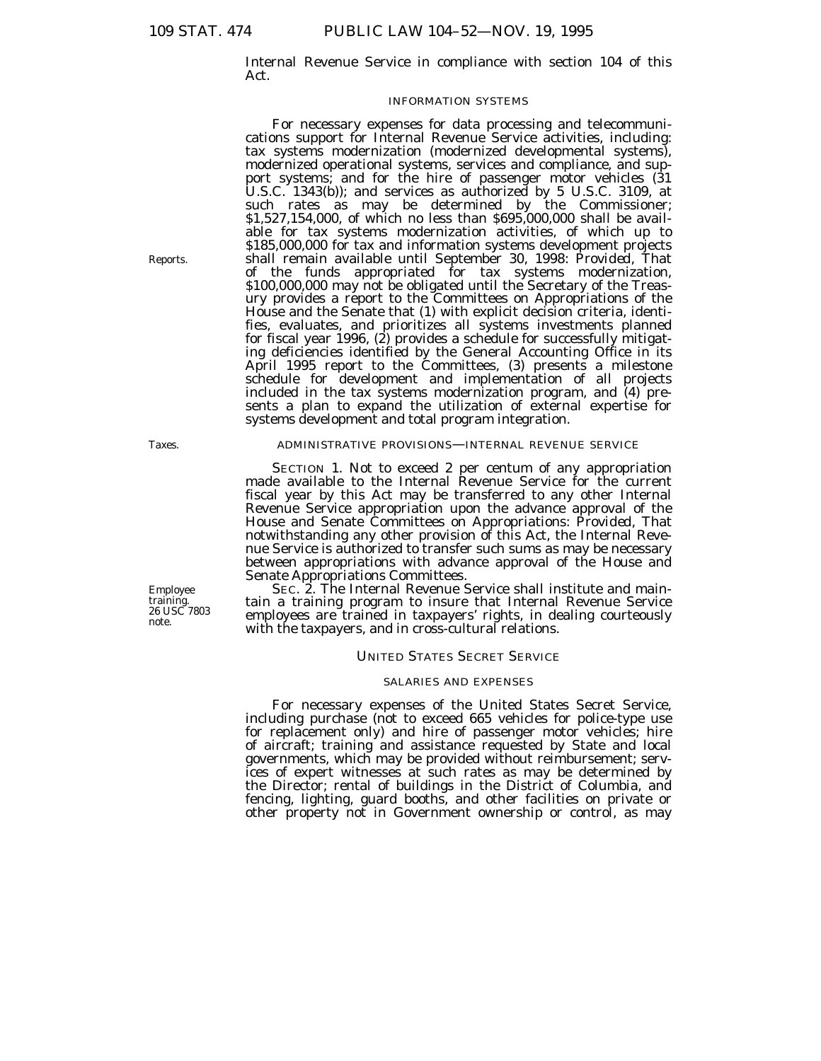Internal Revenue Service in compliance with section 104 of this Act.

### INFORMATION SYSTEMS

For necessary expenses for data processing and telecommunications support for Internal Revenue Service activities, including: tax systems modernization (modernized developmental systems), modernized operational systems, services and compliance, and support systems; and for the hire of passenger motor vehicles (31 U.S.C. 1343(b)); and services as authorized by 5 U.S.C. 3109, at such rates as may be determined by the Commissioner; \$1,527,154,000, of which no less than \$695,000,000 shall be available for tax systems modernization activities, of which up to \$185,000,000 for tax and information systems development projects shall remain available until September 30, 1998: *Provided,* That of the funds appropriated for tax systems modernization, \$100,000,000 may not be obligated until the Secretary of the Treasury provides a report to the Committees on Appropriations of the House and the Senate that (1) with explicit decision criteria, identifies, evaluates, and prioritizes all systems investments planned for fiscal year 1996, (2) provides a schedule for successfully mitigating deficiencies identified by the General Accounting Office in its April 1995 report to the Committees, (3) presents a milestone schedule for development and implementation of all projects included in the tax systems modernization program, and  $(4)$  presents a plan to expand the utilization of external expertise for systems development and total program integration.

### ADMINISTRATIVE PROVISIONS—INTERNAL REVENUE SERVICE

SECTION 1. Not to exceed 2 per centum of any appropriation made available to the Internal Revenue Service for the current fiscal year by this Act may be transferred to any other Internal Revenue Service appropriation upon the advance approval of the House and Senate Committees on Appropriations: *Provided,* That notwithstanding any other provision of this Act, the Internal Revenue Service is authorized to transfer such sums as may be necessary between appropriations with advance approval of the House and Senate Appropriations Committees.

SEC. 2. The Internal Revenue Service shall institute and maintain a training program to insure that Internal Revenue Service employees are trained in taxpayers' rights, in dealing courteously with the taxpayers, and in cross-cultural relations.

#### UNITED STATES SECRET SERVICE

#### SALARIES AND EXPENSES

For necessary expenses of the United States Secret Service, including purchase (not to exceed 665 vehicles for police-type use for replacement only) and hire of passenger motor vehicles; hire of aircraft; training and assistance requested by State and local governments, which may be provided without reimbursement; services of expert witnesses at such rates as may be determined by the Director; rental of buildings in the District of Columbia, and fencing, lighting, guard booths, and other facilities on private or other property not in Government ownership or control, as may

Reports.

Taxes.

Employee training. 26 USC 7803 note.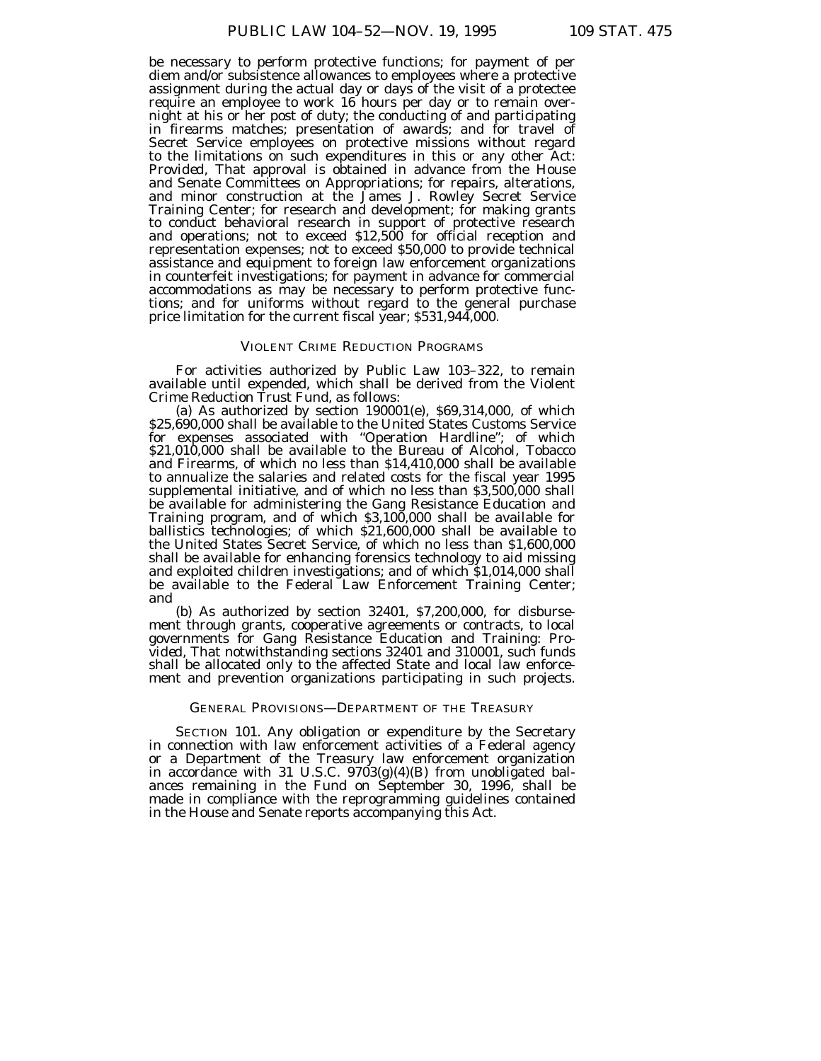be necessary to perform protective functions; for payment of per diem and/or subsistence allowances to employees where a protective assignment during the actual day or days of the visit of a protectee require an employee to work 16 hours per day or to remain overnight at his or her post of duty; the conducting of and participating in firearms matches; presentation of awards; and for travel of Secret Service employees on protective missions without regard to the limitations on such expenditures in this or any other Act: *Provided,* That approval is obtained in advance from the House and Senate Committees on Appropriations; for repairs, alterations, and minor construction at the James J. Rowley Secret Service Training Center; for research and development; for making grants to conduct behavioral research in support of protective research and operations; not to exceed \$12,500 for official reception and representation expenses; not to exceed \$50,000 to provide technical assistance and equipment to foreign law enforcement organizations in counterfeit investigations; for payment in advance for commercial accommodations as may be necessary to perform protective functions; and for uniforms without regard to the general purchase price limitation for the current fiscal year; \$531,944,000.

# VIOLENT CRIME REDUCTION PROGRAMS

For activities authorized by Public Law 103–322, to remain available until expended, which shall be derived from the Violent Crime Reduction Trust Fund, as follows:

(a) As authorized by section 190001(e), \$69,314,000, of which \$25,690,000 shall be available to the United States Customs Service for expenses associated with ''Operation Hardline''; of which \$21,010,000 shall be available to the Bureau of Alcohol, Tobacco and Firearms, of which no less than \$14,410,000 shall be available to annualize the salaries and related costs for the fiscal year 1995 supplemental initiative, and of which no less than \$3,500,000 shall be available for administering the Gang Resistance Education and Training program, and of which \$3,100,000 shall be available for ballistics technologies; of which \$21,600,000 shall be available to the United States Secret Service, of which no less than \$1,600,000 shall be available for enhancing forensics technology to aid missing and exploited children investigations; and of which \$1,014,000 shall be available to the Federal Law Enforcement Training Center; and

(b) As authorized by section 32401, \$7,200,000, for disbursement through grants, cooperative agreements or contracts, to local governments for Gang Resistance Education and Training: *Provided,* That notwithstanding sections 32401 and 310001, such funds shall be allocated only to the affected State and local law enforcement and prevention organizations participating in such projects.

### GENERAL PROVISIONS—DEPARTMENT OF THE TREASURY

SECTION 101. Any obligation or expenditure by the Secretary in connection with law enforcement activities of a Federal agency or a Department of the Treasury law enforcement organization in accordance with 31 U.S.C. 9703(g)(4)(B) from unobligated balances remaining in the Fund on September 30, 1996, shall be made in compliance with the reprogramming guidelines contained in the House and Senate reports accompanying this Act.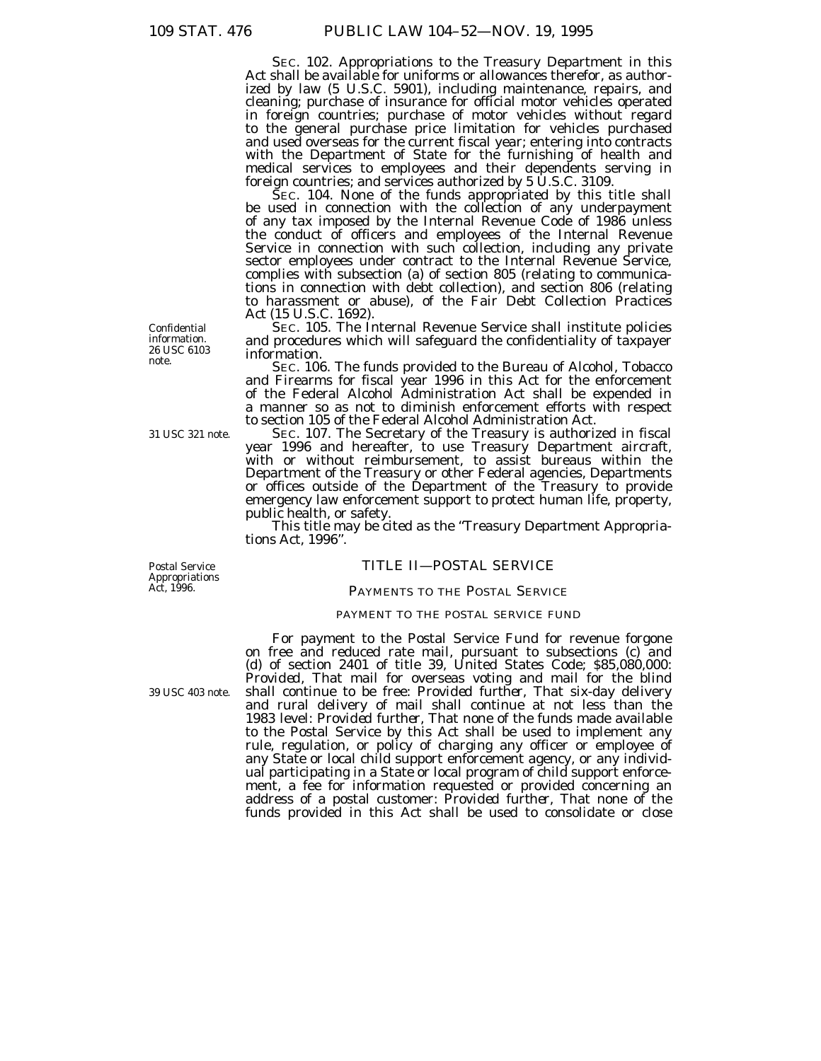SEC. 102. Appropriations to the Treasury Department in this Act shall be available for uniforms or allowances therefor, as authorized by law (5 U.S.C. 5901), including maintenance, repairs, and cleaning; purchase of insurance for official motor vehicles operated in foreign countries; purchase of motor vehicles without regard to the general purchase price limitation for vehicles purchased and used overseas for the current fiscal year; entering into contracts with the Department of State for the furnishing of health and medical services to employees and their dependents serving in foreign countries; and services authorized by 5 U.S.C. 3109.

SEC. 104. None of the funds appropriated by this title shall be used in connection with the collection of any underpayment of any tax imposed by the Internal Revenue Code of 1986 unless the conduct of officers and employees of the Internal Revenue Service in connection with such collection, including any private sector employees under contract to the Internal Revenue Service, complies with subsection (a) of section 805 (relating to communications in connection with debt collection), and section 806 (relating to harassment or abuse), of the Fair Debt Collection Practices Act (15 U.S.C. 1692).

SEC. 105. The Internal Revenue Service shall institute policies and procedures which will safeguard the confidentiality of taxpayer information.

SEC. 106. The funds provided to the Bureau of Alcohol, Tobacco and Firearms for fiscal year 1996 in this Act for the enforcement of the Federal Alcohol Administration Act shall be expended in a manner so as not to diminish enforcement efforts with respect

to section 105 of the Federal Alcohol Administration Act.<br>SEC. 107. The Secretary of the Treasury is authorized in fiscal year 1996 and hereafter, to use Treasury Department aircraft, with or without reimbursement, to assist bureaus within the Department of the Treasury or other Federal agencies, Departments or offices outside of the Department of the Treasury to provide emergency law enforcement support to protect human life, property, public health, or safety.

This title may be cited as the "Treasury Department Appropriations Act, 1996''.

# TITLE II—POSTAL SERVICE

#### PAYMENTS TO THE POSTAL SERVICE

### PAYMENT TO THE POSTAL SERVICE FUND

For payment to the Postal Service Fund for revenue forgone on free and reduced rate mail, pursuant to subsections (c) and (d) of section 2401 of title 39, United States Code; \$85,080,000: *Provided,* That mail for overseas voting and mail for the blind shall continue to be free: *Provided further,* That six-day delivery and rural delivery of mail shall continue at not less than the 1983 level: *Provided further,* That none of the funds made available to the Postal Service by this Act shall be used to implement any rule, regulation, or policy of charging any officer or employee of any State or local child support enforcement agency, or any individual participating in a State or local program of child support enforcement, a fee for information requested or provided concerning an address of a postal customer: *Provided further,* That none of the funds provided in this Act shall be used to consolidate or close

Confidential information. 26 USC 6103 note.

31 USC 321 note.

Postal Service Appropriations Act, 1996.

39 USC 403 note.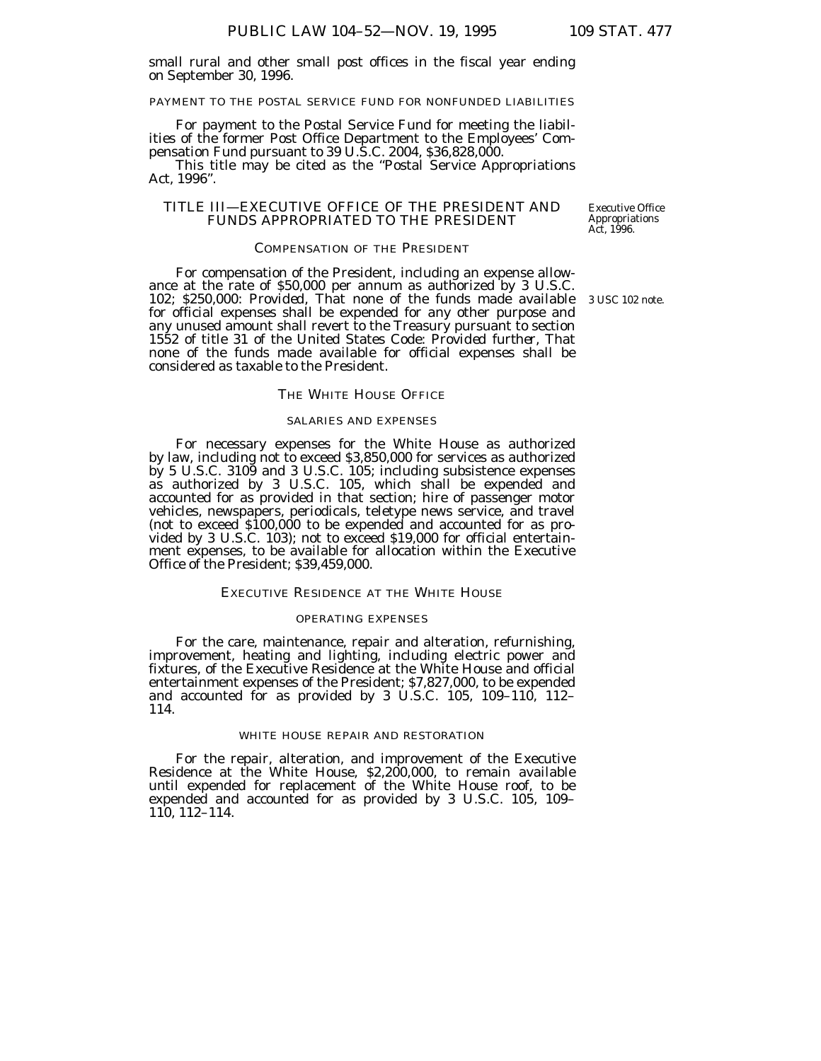small rural and other small post offices in the fiscal year ending on September 30, 1996.

PAYMENT TO THE POSTAL SERVICE FUND FOR NONFUNDED LIABILITIES

For payment to the Postal Service Fund for meeting the liabilities of the former Post Office Department to the Employees' Compensation Fund pursuant to 39 U.S.C. 2004, \$36,828,000.

This title may be cited as the ''Postal Service Appropriations Act, 1996''.

# TITLE III—EXECUTIVE OFFICE OF THE PRESIDENT AND FUNDS APPROPRIATED TO THE PRESIDENT

Executive Office Appropriations Act, 1996.

# COMPENSATION OF THE PRESIDENT

For compensation of the President, including an expense allowance at the rate of \$50,000 per annum as authorized by 3 U.S.C. 102; \$250,000: *Provided,* That none of the funds made available for official expenses shall be expended for any other purpose and any unused amount shall revert to the Treasury pursuant to section 1552 of title 31 of the United States Code: *Provided further,* That none of the funds made available for official expenses shall be considered as taxable to the President.

#### THE WHITE HOUSE OFFICE

# SALARIES AND EXPENSES

For necessary expenses for the White House as authorized by law, including not to exceed \$3,850,000 for services as authorized by 5 U.S.C. 3109 and 3 U.S.C. 105; including subsistence expenses as authorized by 3 U.S.C. 105, which shall be expended and accounted for as provided in that section; hire of passenger motor vehicles, newspapers, periodicals, teletype news service, and travel (not to exceed \$100,000 to be expended and accounted for as provided by 3 U.S.C. 103); not to exceed \$19,000 for official entertainment expenses, to be available for allocation within the Executive Office of the President; \$39,459,000.

#### EXECUTIVE RESIDENCE AT THE WHITE HOUSE

### OPERATING EXPENSES

For the care, maintenance, repair and alteration, refurnishing, improvement, heating and lighting, including electric power and fixtures, of the Executive Residence at the White House and official entertainment expenses of the President; \$7,827,000, to be expended and accounted for as provided by 3 U.S.C. 105, 109–110, 112– 114.

### WHITE HOUSE REPAIR AND RESTORATION

For the repair, alteration, and improvement of the Executive Residence at the White House, \$2,200,000, to remain available until expended for replacement of the White House roof, to be expended and accounted for as provided by 3 U.S.C. 105, 109– 110, 112–114.

3 USC 102 note.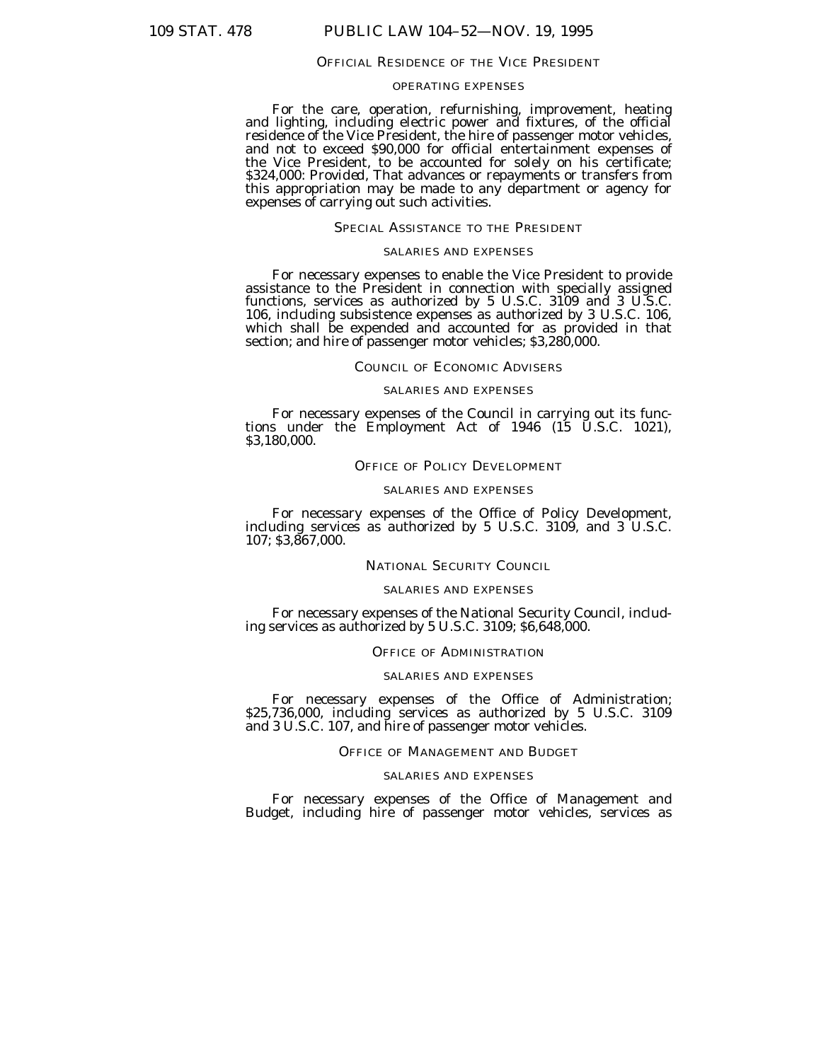#### OFFICIAL RESIDENCE OF THE VICE PRESIDENT

# OPERATING EXPENSES

For the care, operation, refurnishing, improvement, heating and lighting, including electric power and fixtures, of the official residence of the Vice President, the hire of passenger motor vehicles, and not to exceed \$90,000 for official entertainment expenses of the Vice President, to be accounted for solely on his certificate; \$324,000: *Provided,* That advances or repayments or transfers from this appropriation may be made to any department or agency for expenses of carrying out such activities.

# SPECIAL ASSISTANCE TO THE PRESIDENT

### SALARIES AND EXPENSES

For necessary expenses to enable the Vice President to provide assistance to the President in connection with specially assigned functions, services as authorized by 5 U.S.C. 3109 and 3 U.S.C. 106, including subsistence expenses as authorized by 3 U.S.C. 106, which shall be expended and accounted for as provided in that section; and hire of passenger motor vehicles; \$3,280,000.

### COUNCIL OF ECONOMIC ADVISERS

### SALARIES AND EXPENSES

For necessary expenses of the Council in carrying out its func- tions under the Employment Act of 1946 (15 U.S.C. 1021), \$3,180,000.

### OFFICE OF POLICY DEVELOPMENT

#### SALARIES AND EXPENSES

For necessary expenses of the Office of Policy Development, including services as authorized by 5 U.S.C. 3109, and 3 U.S.C. 107; \$3,867,000.

### NATIONAL SECURITY COUNCIL

### SALARIES AND EXPENSES

For necessary expenses of the National Security Council, including services as authorized by 5 U.S.C. 3109; \$6,648,000.

### OFFICE OF ADMINISTRATION

### SALARIES AND EXPENSES

For necessary expenses of the Office of Administration; \$25,736,000, including services as authorized by 5 U.S.C. 3109 and 3 U.S.C. 107, and hire of passenger motor vehicles.

### OFFICE OF MANAGEMENT AND BUDGET

# SALARIES AND EXPENSES

For necessary expenses of the Office of Management and Budget, including hire of passenger motor vehicles, services as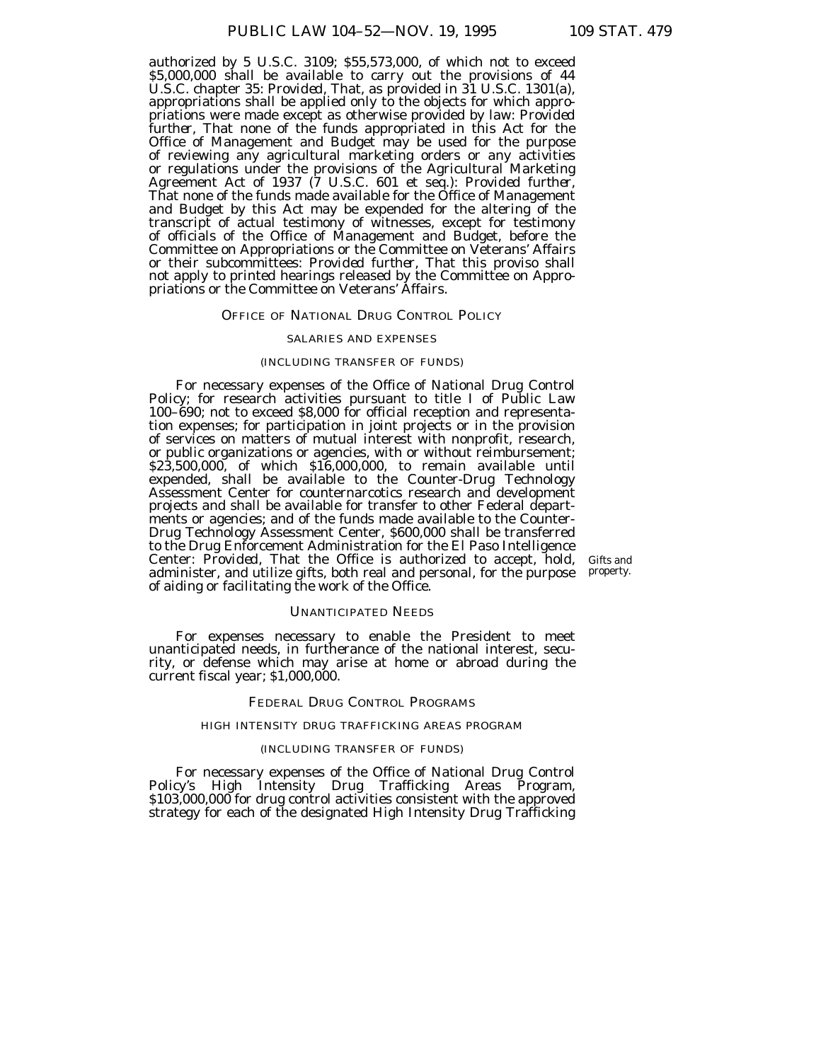authorized by 5 U.S.C. 3109; \$55,573,000, of which not to exceed \$5,000,000 shall be available to carry out the provisions of 44 U.S.C. chapter 35: *Provided,* That, as provided in 31 U.S.C. 1301(a), appropriations shall be applied only to the objects for which appropriations were made except as otherwise provided by law: *Provided further,* That none of the funds appropriated in this Act for the Office of Management and Budget may be used for the purpose of reviewing any agricultural marketing orders or any activities or regulations under the provisions of the Agricultural Marketing Agreement Act of 1937 (7 U.S.C. 601 et seq.): *Provided further,* That none of the funds made available for the Office of Management and Budget by this Act may be expended for the altering of the transcript of actual testimony of witnesses, except for testimony of officials of the Office of Management and Budget, before the Committee on Appropriations or the Committee on Veterans' Affairs or their subcommittees: *Provided further,* That this proviso shall not apply to printed hearings released by the Committee on Appropriations or the Committee on Veterans' Affairs.

### OFFICE OF NATIONAL DRUG CONTROL POLICY

### SALARIES AND EXPENSES

### (INCLUDING TRANSFER OF FUNDS)

For necessary expenses of the Office of National Drug Control Policy; for research activities pursuant to title I of Public Law 100–690; not to exceed \$8,000 for official reception and representation expenses; for participation in joint projects or in the provision of services on matters of mutual interest with nonprofit, research, or public organizations or agencies, with or without reimbursement; \$23,500,000, of which \$16,000,000, to remain available until expended, shall be available to the Counter-Drug Technology Assessment Center for counternarcotics research and development projects and shall be available for transfer to other Federal departments or agencies; and of the funds made available to the Counter-Drug Technology Assessment Center, \$600,000 shall be transferred to the Drug Enforcement Administration for the El Paso Intelligence Center: *Provided,* That the Office is authorized to accept, hold, administer, and utilize gifts, both real and personal, for the purpose of aiding or facilitating the work of the Office.

Gifts and property.

# UNANTICIPATED NEEDS

For expenses necessary to enable the President to meet unanticipated needs, in furtherance of the national interest, security, or defense which may arise at home or abroad during the current fiscal year; \$1,000,000.

### FEDERAL DRUG CONTROL PROGRAMS

### HIGH INTENSITY DRUG TRAFFICKING AREAS PROGRAM

### (INCLUDING TRANSFER OF FUNDS)

For necessary expenses of the Office of National Drug Control Policy's High Intensity Drug Trafficking Areas Program, \$103,000,000 for drug control activities consistent with the approved strategy for each of the designated High Intensity Drug Trafficking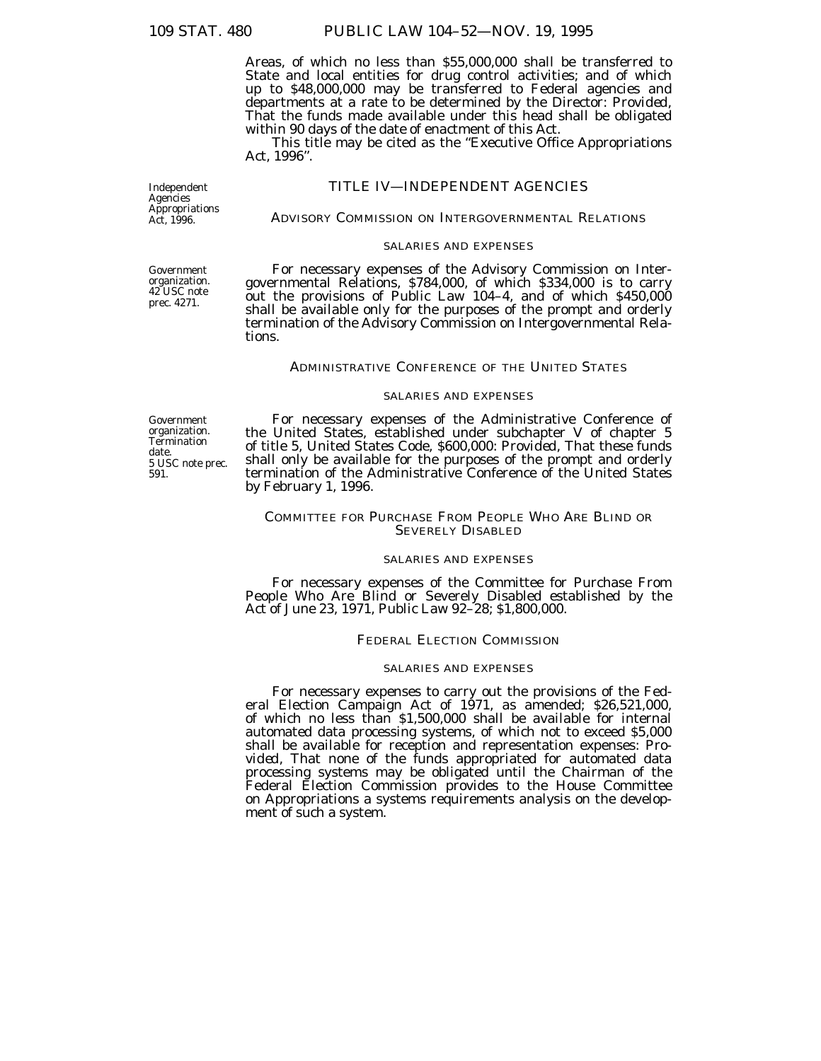Areas, of which no less than \$55,000,000 shall be transferred to State and local entities for drug control activities; and of which up to \$48,000,000 may be transferred to Federal agencies and departments at a rate to be determined by the Director: Provided, That the funds made available under this head shall be obligated within 90 days of the date of enactment of this Act.

This title may be cited as the ''Executive Office Appropriations Act, 1996''.

# TITLE IV—INDEPENDENT AGENCIES

ADVISORY COMMISSION ON INTERGOVERNMENTAL RELATIONS

# SALARIES AND EXPENSES

For necessary expenses of the Advisory Commission on Intergovernmental Relations, \$784,000, of which \$334,000 is to carry out the provisions of Public Law 104–4, and of which \$450,000 shall be available only for the purposes of the prompt and orderly termination of the Advisory Commission on Intergovernmental Relations.

### ADMINISTRATIVE CONFERENCE OF THE UNITED STATES

# SALARIES AND EXPENSES

Government organization. **Termination** date. 5 USC note prec. 591.

For necessary expenses of the Administrative Conference of the United States, established under subchapter V of chapter 5 of title 5, United States Code, \$600,000: *Provided,* That these funds shall only be available for the purposes of the prompt and orderly termination of the Administrative Conference of the United States by February 1, 1996.

# COMMITTEE FOR PURCHASE FROM PEOPLE WHO ARE BLIND OR SEVERELY DISABLED

# SALARIES AND EXPENSES

For necessary expenses of the Committee for Purchase From People Who Are Blind or Severely Disabled established by the Act of June 23, 1971, Public Law 92–28; \$1,800,000.

# FEDERAL ELECTION COMMISSION

### SALARIES AND EXPENSES

For necessary expenses to carry out the provisions of the Federal Election Campaign Act of 1971, as amended; \$26,521,000, of which no less than \$1,500,000 shall be available for internal automated data processing systems, of which not to exceed \$5,000 shall be available for reception and representation expenses: *Provided,* That none of the funds appropriated for automated data processing systems may be obligated until the Chairman of the Federal Election Commission provides to the House Committee on Appropriations a systems requirements analysis on the development of such a system.

Government organization. 42 USC note prec. 4271.

Independent **Agencies** Appropriations Act, 1996.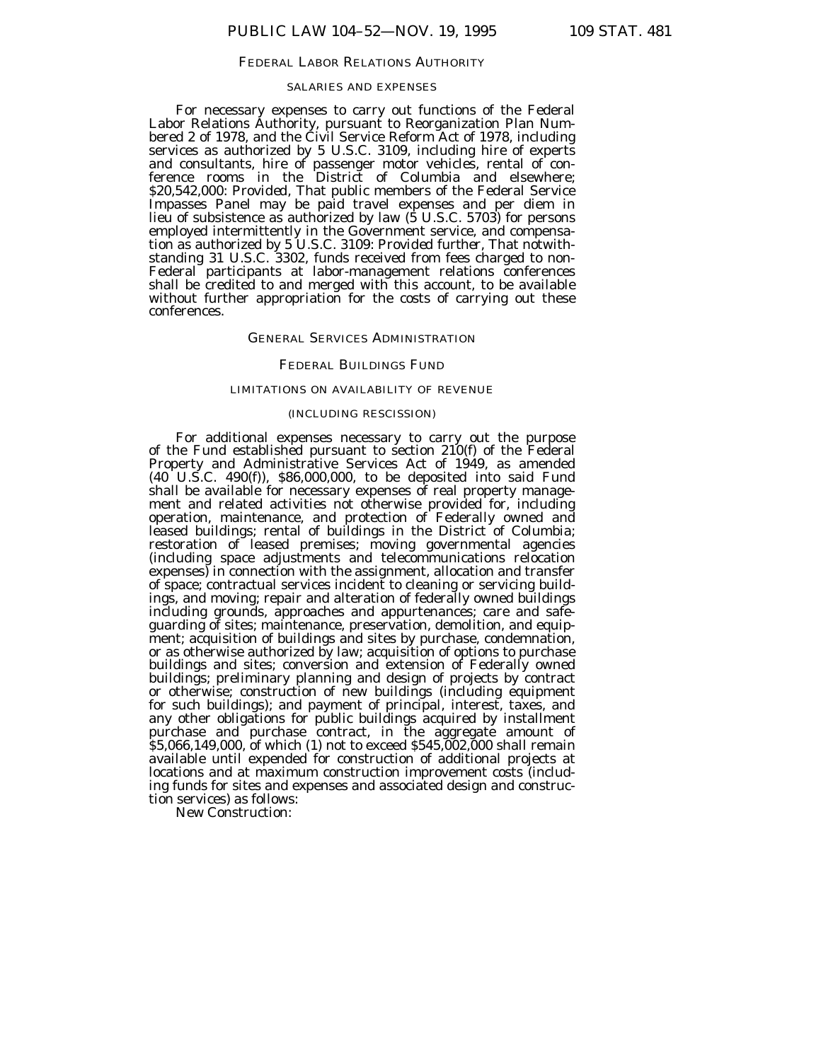#### FEDERAL LABOR RELATIONS AUTHORITY

#### SALARIES AND EXPENSES

For necessary expenses to carry out functions of the Federal Labor Relations Authority, pursuant to Reorganization Plan Numbered 2 of 1978, and the Čivil Service Reform Act of 1978, including services as authorized by 5 U.S.C. 3109, including hire of experts and consultants, hire of passenger motor vehicles, rental of conference rooms in the District of Columbia and elsewhere; \$20,542,000: *Provided,* That public members of the Federal Service Impasses Panel may be paid travel expenses and per diem in lieu of subsistence as authorized by law (5 U.S.C. 5703) for persons employed intermittently in the Government service, and compensation as authorized by 5 U.S.C. 3109: *Provided further,* That notwithstanding 31 U.S.C. 3302, funds received from fees charged to non-Federal participants at labor-management relations conferences shall be credited to and merged with this account, to be available without further appropriation for the costs of carrying out these conferences.

### GENERAL SERVICES ADMINISTRATION

#### FEDERAL BUILDINGS FUND

### LIMITATIONS ON AVAILABILITY OF REVENUE

### (INCLUDING RESCISSION)

For additional expenses necessary to carry out the purpose of the Fund established pursuant to section 210(f) of the Federal Property and Administrative Services Act of 1949, as amended (40 U.S.C. 490(f)), \$86,000,000, to be deposited into said Fund shall be available for necessary expenses of real property management and related activities not otherwise provided for, including operation, maintenance, and protection of Federally owned and leased buildings; rental of buildings in the District of Columbia; restoration of leased premises; moving governmental agencies (including space adjustments and telecommunications relocation expenses) in connection with the assignment, allocation and transfer of space; contractual services incident to cleaning or servicing buildings, and moving; repair and alteration of federally owned buildings including grounds, approaches and appurtenances; care and safeguarding of sites; maintenance, preservation, demolition, and equipment; acquisition of buildings and sites by purchase, condemnation, or as otherwise authorized by law; acquisition of options to purchase buildings and sites; conversion and extension of Federally owned buildings; preliminary planning and design of projects by contract or otherwise; construction of new buildings (including equipment for such buildings); and payment of principal, interest, taxes, and any other obligations for public buildings acquired by installment purchase and purchase contract, in the aggregate amount of \$5,066,149,000, of which (1) not to exceed \$545,002,000 shall remain available until expended for construction of additional projects at locations and at maximum construction improvement costs (including funds for sites and expenses and associated design and construction services) as follows:

New Construction: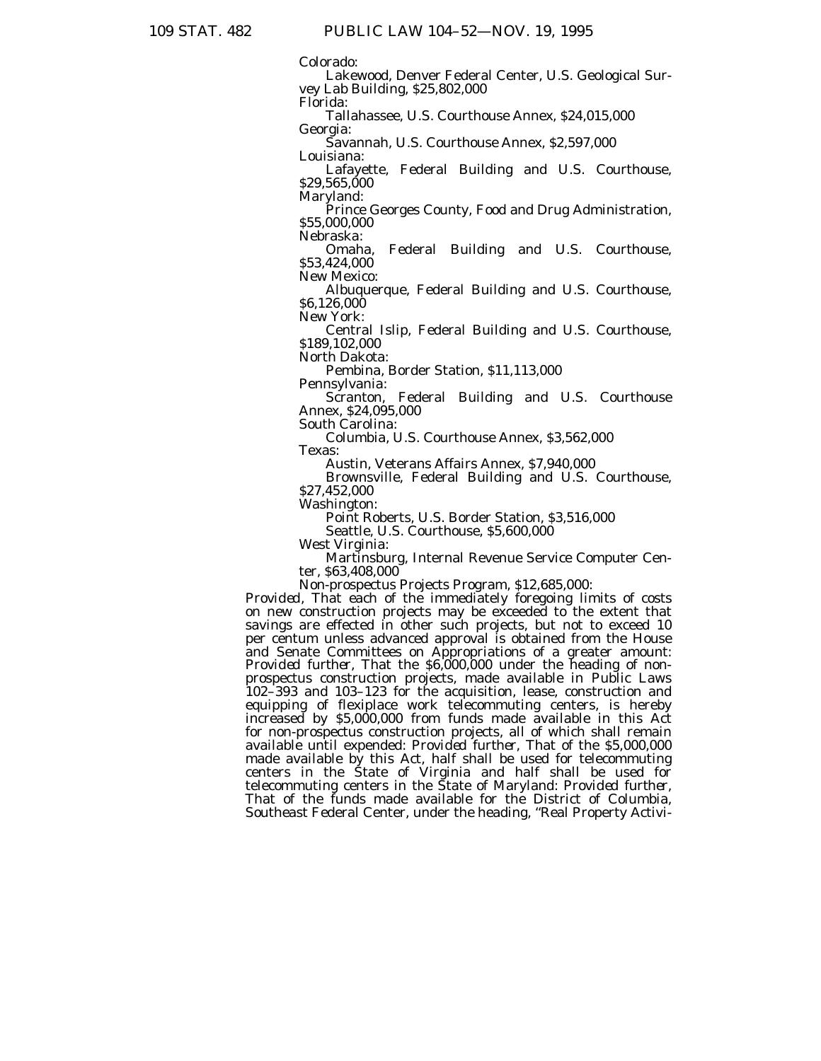Colorado:

Lakewood, Denver Federal Center, U.S. Geological Survey Lab Building, \$25,802,000

Florida:

Tallahassee, U.S. Courthouse Annex, \$24,015,000 Georgia:

Savannah, U.S. Courthouse Annex, \$2,597,000 Louisiana:

Lafayette, Federal Building and U.S. Courthouse, \$29,565,000

Maryland:

Prince Georges County, Food and Drug Administration, \$55,000,000

Nebraska:

Omaha, Federal Building and U.S. Courthouse, \$53,424,000

New Mexico:

Albuquerque, Federal Building and U.S. Courthouse, \$6,126,000

New York:

Central Islip, Federal Building and U.S. Courthouse, \$189,102,000

North Dakota:

Pembina, Border Station, \$11,113,000

Pennsylvania:

Scranton, Federal Building and U.S. Courthouse Annex, \$24,095,000

South Carolina:

Columbia, U.S. Courthouse Annex, \$3,562,000

Texas:

Austin, Veterans Affairs Annex, \$7,940,000

Brownsville, Federal Building and U.S. Courthouse, \$27,452,000

Washington:

Point Roberts, U.S. Border Station, \$3,516,000

Seattle, U.S. Courthouse, \$5,600,000

West Virginia:

Martinsburg, Internal Revenue Service Computer Center, \$63,408,000

Non-prospectus Projects Program, \$12,685,000:

*Provided,* That each of the immediately foregoing limits of costs on new construction projects may be exceeded to the extent that savings are effected in other such projects, but not to exceed 10 per centum unless advanced approval is obtained from the House and Senate Committees on Appropriations of a greater amount: *Provided further*, That the \$6,000,000 under the heading of nonprospectus construction projects, made available in Public Laws 102–393 and 103–123 for the acquisition, lease, construction and equipping of flexiplace work telecommuting centers, is hereby increased by \$5,000,000 from funds made available in this Act for non-prospectus construction projects, all of which shall remain available until expended: *Provided further,* That of the \$5,000,000 made available by this Act, half shall be used for telecommuting centers in the State of Virginia and half shall be used for telecommuting centers in the State of Maryland: *Provided further,* That of the funds made available for the District of Columbia, Southeast Federal Center, under the heading, ''Real Property Activi-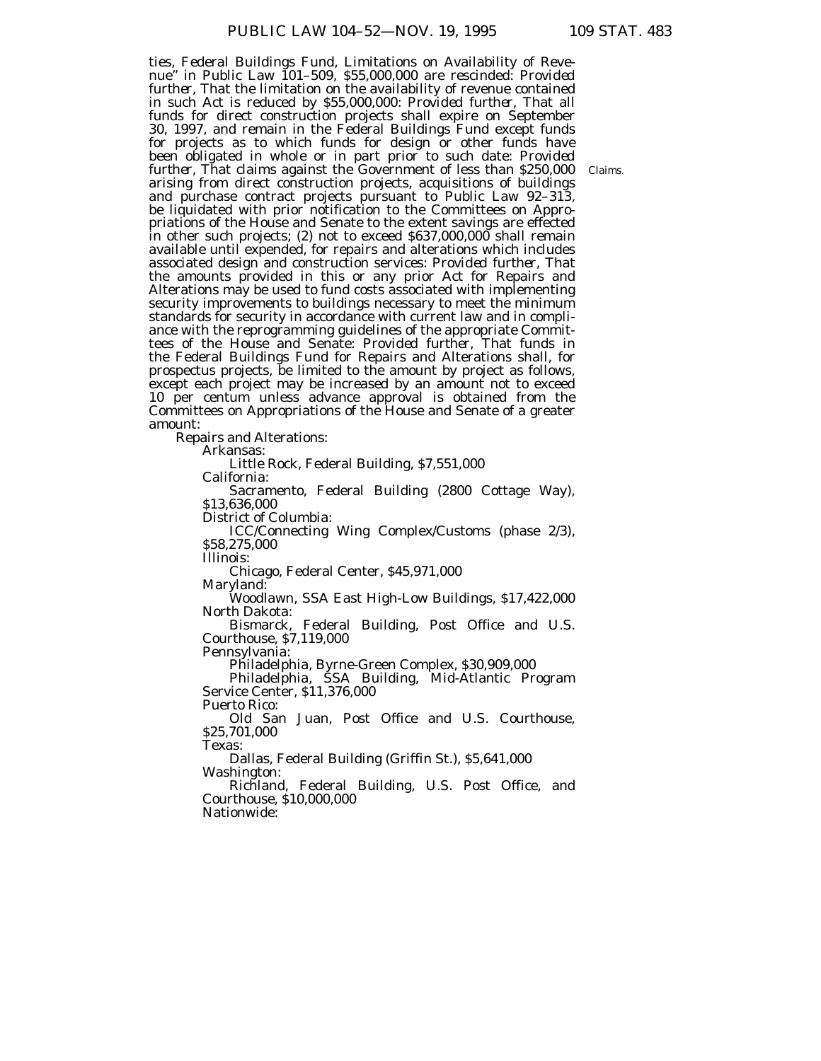ties, Federal Buildings Fund, Limitations on Availability of Revenue'' in Public Law 101–509, \$55,000,000 are rescinded: *Provided further,* That the limitation on the availability of revenue contained in such Act is reduced by \$55,000,000: *Provided further,* That all funds for direct construction projects shall expire on September 30, 1997, and remain in the Federal Buildings Fund except funds for projects as to which funds for design or other funds have been obligated in whole or in part prior to such date: *Provided further,* That claims against the Government of less than \$250,000 arising from direct construction projects, acquisitions of buildings and purchase contract projects pursuant to Public Law 92–313, be liquidated with prior notification to the Committees on Appropriations of the House and Senate to the extent savings are effected in other such projects; (2) not to exceed \$637,000,000 shall remain available until expended, for repairs and alterations which includes associated design and construction services: *Provided further,* That the amounts provided in this or any prior Act for Repairs and Alterations may be used to fund costs associated with implementing security improvements to buildings necessary to meet the minimum standards for security in accordance with current law and in compliance with the reprogramming guidelines of the appropriate Committees of the House and Senate: *Provided further*, That funds in the Federal Buildings Fund for Repairs and Alterations shall, for prospectus projects, be limited to the amount by project as follows, except each project may be increased by an amount not to exceed 10 per centum unless advance approval is obtained from the Committees on Appropriations of the House and Senate of a greater amount:

Repairs and Alterations:

Arkansas:

Little Rock, Federal Building, \$7,551,000

California:

Sacramento, Federal Building (2800 Cottage Way), \$13,636,000

District of Columbia:

ICC/Connecting Wing Complex/Customs (phase 2/3), \$58,275,000

Illinois:

Chicago, Federal Center, \$45,971,000

Maryland:

Woodlawn, SSA East High-Low Buildings, \$17,422,000 North Dakota:

Bismarck, Federal Building, Post Office and U.S. Courthouse, \$7,119,000

Pennsylvania:

Philadelphia, Byrne-Green Complex, \$30,909,000

Philadelphia, SSA Building, Mid-Atlantic Program Service Center, \$11,376,000

Puerto Rico:

Old San Juan, Post Office and U.S. Courthouse, \$25,701,000

Texas:

Dallas, Federal Building (Griffin St.), \$5,641,000 Washington:

Richland, Federal Building, U.S. Post Office, and Courthouse, \$10,000,000

Nationwide:

Claims.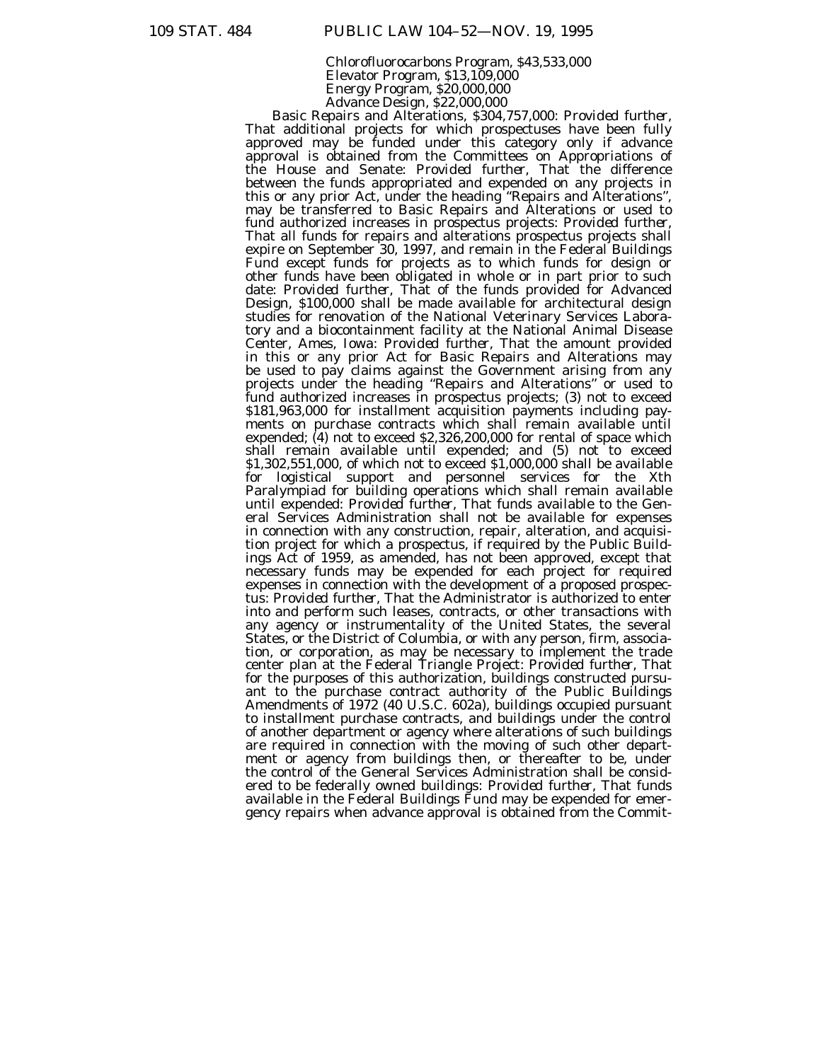Chlorofluorocarbons Program, \$43,533,000 Elevator Program, \$13,109,000 Energy Program, \$20,000,000 Advance Design, \$22,000,000

Basic Repairs and Alterations, \$304,757,000: *Provided further,* That additional projects for which prospectuses have been fully approved may be funded under this category only if advance approval is obtained from the Committees on Appropriations of the House and Senate: *Provided further,* That the difference between the funds appropriated and expended on any projects in this or any prior Act, under the heading ''Repairs and Alterations'', may be transferred to Basic Repairs and Alterations or used to fund authorized increases in prospectus projects: *Provided further,* That all funds for repairs and alterations prospectus projects shall expire on September 30, 1997, and remain in the Federal Buildings Fund except funds for projects as to which funds for design or other funds have been obligated in whole or in part prior to such date: *Provided further,* That of the funds provided for Advanced Design, \$100,000 shall be made available for architectural design studies for renovation of the National Veterinary Services Laboratory and a biocontainment facility at the National Animal Disease Center, Ames, Iowa: *Provided further,* That the amount provided in this or any prior Act for Basic Repairs and Alterations may be used to pay claims against the Government arising from any projects under the heading ''Repairs and Alterations'' or used to fund authorized increases in prospectus projects; (3) not to exceed \$181,963,000 for installment acquisition payments including payments on purchase contracts which shall remain available until expended; (4) not to exceed \$2,326,200,000 for rental of space which shall remain available until expended; and (5) not to exceed \$1,302,551,000, of which not to exceed \$1,000,000 shall be available for logistical support and personnel services for the Xth Paralympiad for building operations which shall remain available until expended: *Provided further*, That funds available to the General Services Administration shall not be available for expenses in connection with any construction, repair, alteration, and acquisition project for which a prospectus, if required by the Public Buildings Act of 1959, as amended, has not been approved, except that necessary funds may be expended for each project for required expenses in connection with the development of a proposed prospectus: *Provided further,* That the Administrator is authorized to enter into and perform such leases, contracts, or other transactions with any agency or instrumentality of the United States, the several States, or the District of Columbia, or with any person, firm, association, or corporation, as may be necessary to implement the trade center plan at the Federal Triangle Project: *Provided further,* That for the purposes of this authorization, buildings constructed pursuant to the purchase contract authority of the Public Buildings Amendments of 1972 (40 U.S.C. 602a), buildings occupied pursuant to installment purchase contracts, and buildings under the control of another department or agency where alterations of such buildings are required in connection with the moving of such other department or agency from buildings then, or thereafter to be, under the control of the General Services Administration shall be considered to be federally owned buildings: *Provided further,* That funds available in the Federal Buildings Fund may be expended for emergency repairs when advance approval is obtained from the Commit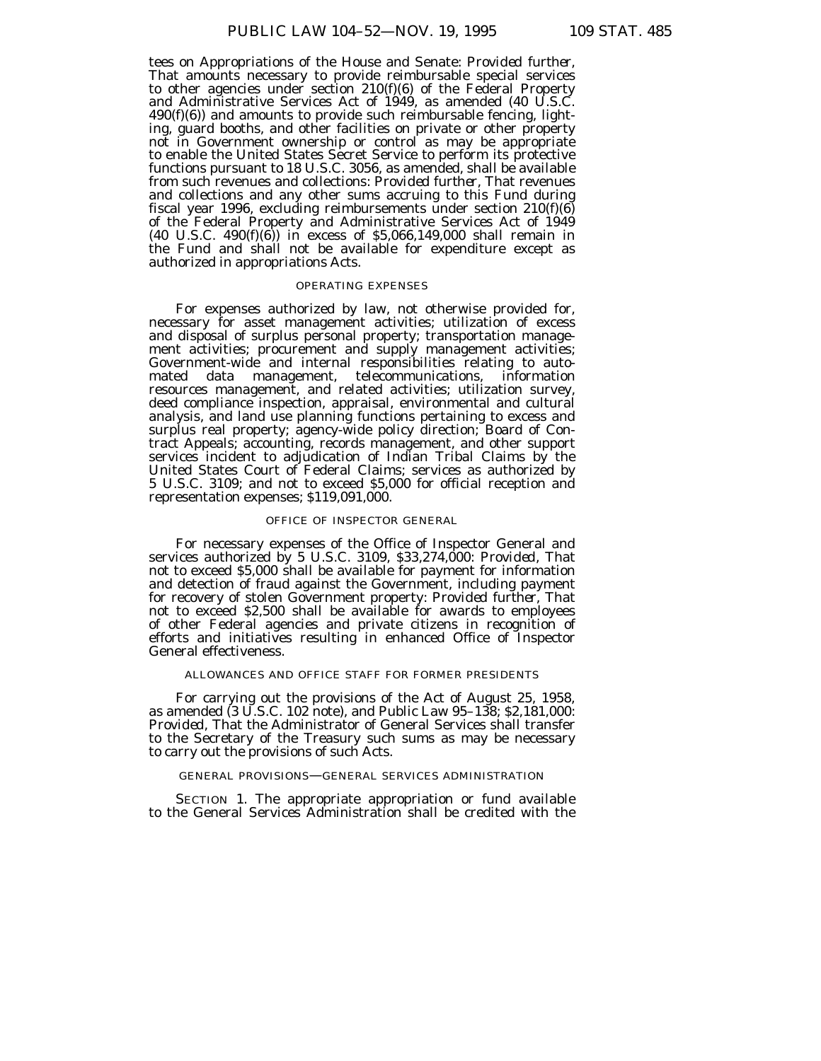tees on Appropriations of the House and Senate: *Provided further,* That amounts necessary to provide reimbursable special services to other agencies under section  $210(f)(6)$  of the Federal Property and Administrative Services Act of 1949, as amended (40 U.S.C.  $490(f)(6)$  and amounts to provide such reimbursable fencing, lighting, guard booths, and other facilities on private or other property not in Government ownership or control as may be appropriate to enable the United States Secret Service to perform its protective functions pursuant to 18 U.S.C. 3056, as amended, shall be available from such revenues and collections: *Provided further,* That revenues and collections and any other sums accruing to this Fund during fiscal year 1996, excluding reimbursements under section  $210(f)(6)$ of the Federal Property and Administrative Services Act of 1949 (40 U.S.C. 490(f)(6)) in excess of \$5,066,149,000 shall remain in the Fund and shall not be available for expenditure except as authorized in appropriations Acts.

### OPERATING EXPENSES

For expenses authorized by law, not otherwise provided for, necessary for asset management activities; utilization of excess and disposal of surplus personal property; transportation management activities; procurement and supply management activities; Government-wide and internal responsibilities relating to automated data management, telecommunications, information resources management, and related activities; utilization survey, deed compliance inspection, appraisal, environmental and cultural analysis, and land use planning functions pertaining to excess and surplus real property; agency-wide policy direction; Board of Contract Appeals; accounting, records management, and other support services incident to adjudication of Indian Tribal Claims by the United States Court of Federal Claims; services as authorized by 5 U.S.C. 3109; and not to exceed \$5,000 for official reception and representation expenses; \$119,091,000.

#### OFFICE OF INSPECTOR GENERAL

For necessary expenses of the Office of Inspector General and services authorized by 5 U.S.C. 3109, \$33,274,000: *Provided,* That not to exceed \$5,000 shall be available for payment for information and detection of fraud against the Government, including payment for recovery of stolen Government property: *Provided further,* That not to exceed \$2,500 shall be available for awards to employees of other Federal agencies and private citizens in recognition of efforts and initiatives resulting in enhanced Office of Inspector General effectiveness.

### ALLOWANCES AND OFFICE STAFF FOR FORMER PRESIDENTS

For carrying out the provisions of the Act of August 25, 1958, as amended (3 U.S.C. 102 note), and Public Law 95–138; \$2,181,000: *Provided,* That the Administrator of General Services shall transfer to the Secretary of the Treasury such sums as may be necessary to carry out the provisions of such Acts.

### GENERAL PROVISIONS—GENERAL SERVICES ADMINISTRATION

SECTION 1. The appropriate appropriation or fund available to the General Services Administration shall be credited with the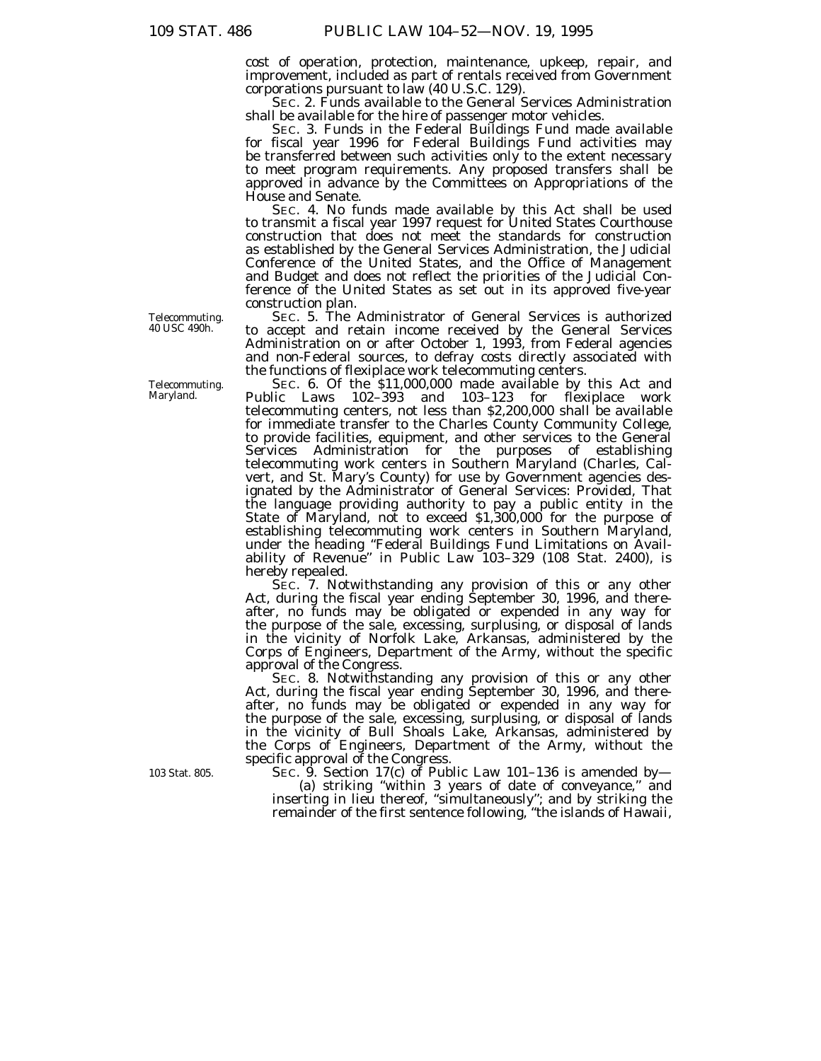cost of operation, protection, maintenance, upkeep, repair, and improvement, included as part of rentals received from Government corporations pursuant to law (40 U.S.C. 129).

SEC. 2. Funds available to the General Services Administration shall be available for the hire of passenger motor vehicles.

SEC. 3. Funds in the Federal Buildings Fund made available for fiscal year 1996 for Federal Buildings Fund activities may be transferred between such activities only to the extent necessary to meet program requirements. Any proposed transfers shall be approved in advance by the Committees on Appropriations of the House and Senate.

SEC. 4. No funds made available by this Act shall be used to transmit a fiscal year 1997 request for United States Courthouse construction that does not meet the standards for construction as established by the General Services Administration, the Judicial Conference of the United States, and the Office of Management and Budget and does not reflect the priorities of the Judicial Conference of the United States as set out in its approved five-year construction plan.

SEC. 5. The Administrator of General Services is authorized to accept and retain income received by the General Services Administration on or after October 1, 1993, from Federal agencies and non-Federal sources, to defray costs directly associated with the functions of flexiplace work telecommuting centers.

SEC. 6. Of the \$11,000,000 made available by this Act and Public Laws 102–393 and 103–123 for flexiplace work telecommuting centers, not less than \$2,200,000 shall be available for immediate transfer to the Charles County Community College, to provide facilities, equipment, and other services to the General Services Administration for the purposes of establishing telecommuting work centers in Southern Maryland (Charles, Calvert, and St. Mary's County) for use by Government agencies designated by the Administrator of General Services: *Provided,* That the language providing authority to pay a public entity in the State of Maryland, not to exceed \$1,300,000 for the purpose of establishing telecommuting work centers in Southern Maryland, under the heading ''Federal Buildings Fund Limitations on Availability of Revenue'' in Public Law 103–329 (108 Stat. 2400), is hereby repealed.

SEC. 7. Notwithstanding any provision of this or any other Act, during the fiscal year ending September 30, 1996, and thereafter, no funds may be obligated or expended in any way for the purpose of the sale, excessing, surplusing, or disposal of lands in the vicinity of Norfolk Lake, Arkansas, administered by the Corps of Engineers, Department of the Army, without the specific approval of the Congress.

SEC. 8. Notwithstanding any provision of this or any other Act, during the fiscal year ending September 30, 1996, and thereafter, no funds may be obligated or expended in any way for the purpose of the sale, excessing, surplusing, or disposal of lands in the vicinity of Bull Shoals Lake, Arkansas, administered by the Corps of Engineers, Department of the Army, without the specific approval of the Congress.

SEC. 9. Section 17(c) of Public Law 101-136 is amended by-(a) striking ''within 3 years of date of conveyance,'' and inserting in lieu thereof, ''simultaneously''; and by striking the remainder of the first sentence following, ''the islands of Hawaii,

Telecommuting. 40 USC 490h.

Telecommuting. Maryland.

103 Stat. 805.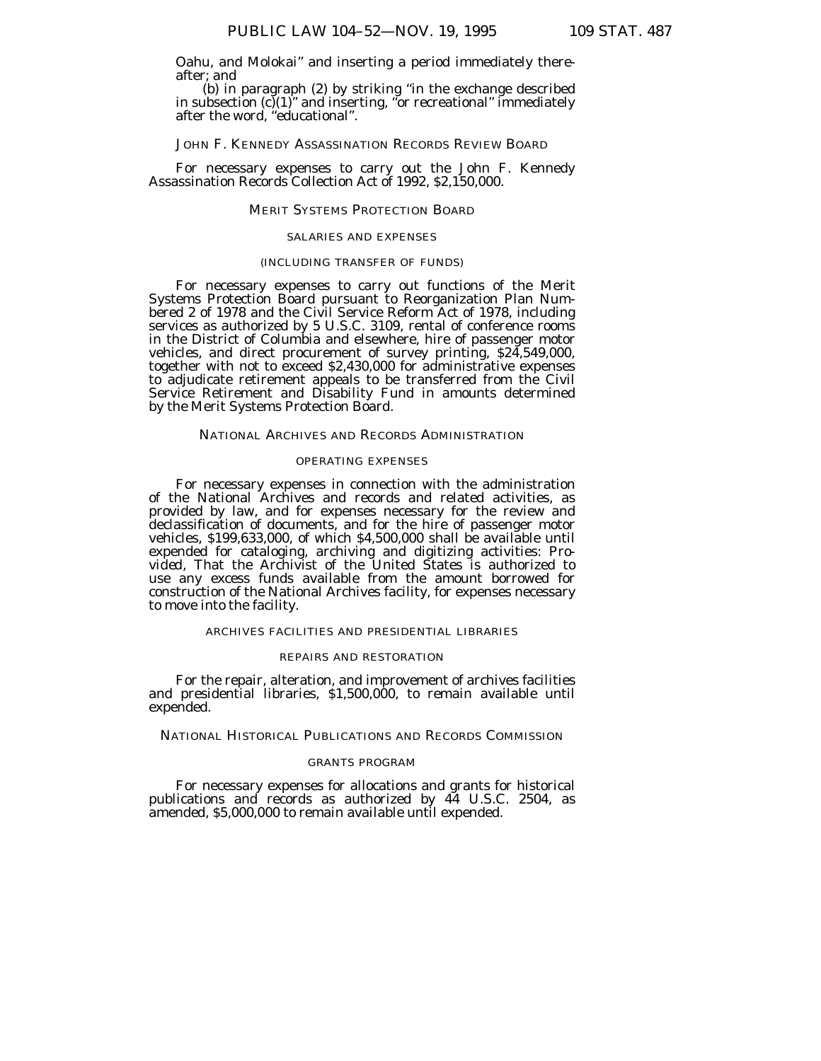Oahu, and Molokai'' and inserting a period immediately there-

after; and<br>(b) in paragraph (2) by striking "in the exchange described in subsection  $(c)(1)'$  and inserting, "or recreational" immediately after the word, "educational".

JOHN F. KENNEDY ASSASSINATION RECORDS REVIEW BOARD

For necessary expenses to carry out the John F. Kennedy Assassination Records Collection Act of 1992, \$2,150,000.

#### MERIT SYSTEMS PROTECTION BOARD

### SALARIES AND EXPENSES

### (INCLUDING TRANSFER OF FUNDS)

For necessary expenses to carry out functions of the Merit Systems Protection Board pursuant to Reorganization Plan Numbered 2 of 1978 and the Civil Service Reform Act of 1978, including services as authorized by 5 U.S.C. 3109, rental of conference rooms in the District of Columbia and elsewhere, hire of passenger motor vehicles, and direct procurement of survey printing, \$24,549,000, together with not to exceed \$2,430,000 for administrative expenses to adjudicate retirement appeals to be transferred from the Civil Service Retirement and Disability Fund in amounts determined by the Merit Systems Protection Board.

### NATIONAL ARCHIVES AND RECORDS ADMINISTRATION

#### OPERATING EXPENSES

For necessary expenses in connection with the administration of the National Archives and records and related activities, as provided by law, and for expenses necessary for the review and declassification of documents, and for the hire of passenger motor vehicles, \$199,633,000, of which \$4,500,000 shall be available until expended for cataloging, archiving and digitizing activities: *Provided,* That the Archivist of the United States is authorized to use any excess funds available from the amount borrowed for construction of the National Archives facility, for expenses necessary to move into the facility.

### ARCHIVES FACILITIES AND PRESIDENTIAL LIBRARIES

### REPAIRS AND RESTORATION

For the repair, alteration, and improvement of archives facilities and presidential libraries, \$1,500,000, to remain available until expended.

NATIONAL HISTORICAL PUBLICATIONS AND RECORDS COMMISSION

#### GRANTS PROGRAM

For necessary expenses for allocations and grants for historical publications and records as authorized by 44 U.S.C. 2504, as amended, \$5,000,000 to remain available until expended.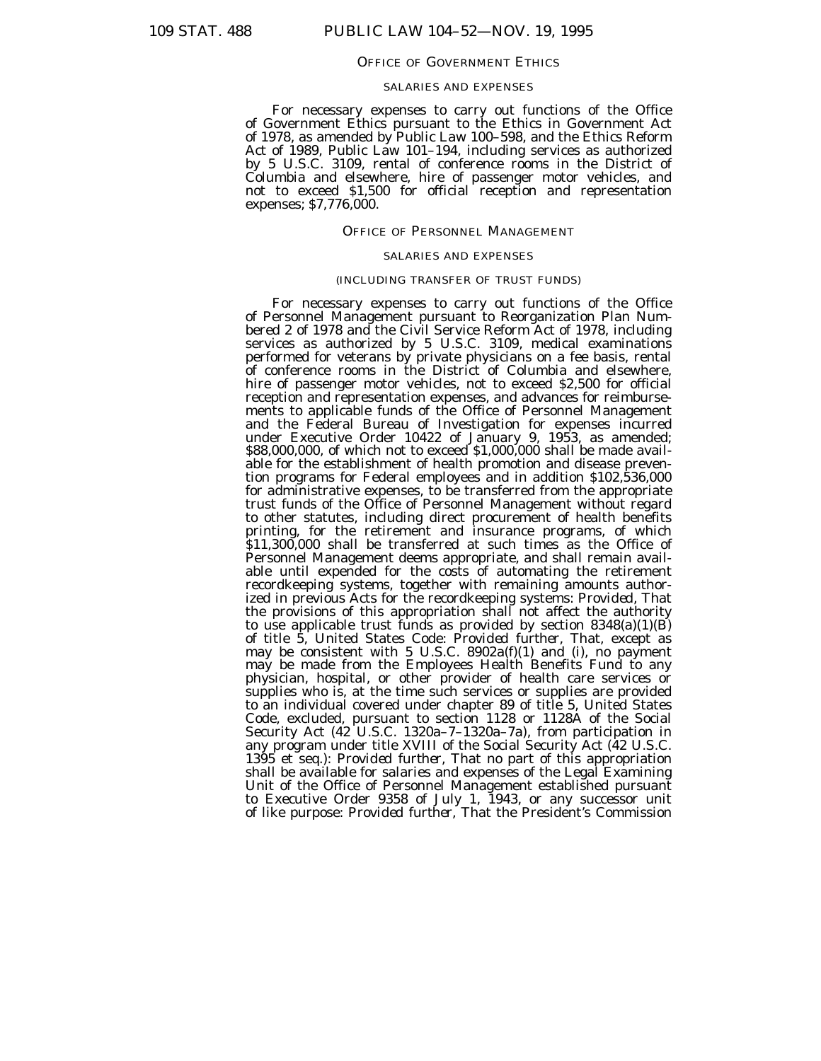#### OFFICE OF GOVERNMENT ETHICS

### SALARIES AND EXPENSES

For necessary expenses to carry out functions of the Office of Government Ethics pursuant to the Ethics in Government Act of 1978, as amended by Public Law 100–598, and the Ethics Reform Act of 1989, Public Law 101–194, including services as authorized by 5 U.S.C. 3109, rental of conference rooms in the District of Columbia and elsewhere, hire of passenger motor vehicles, and not to exceed \$1,500 for official reception and representation expenses; \$7,776,000.

#### OFFICE OF PERSONNEL MANAGEMENT

### SALARIES AND EXPENSES

# (INCLUDING TRANSFER OF TRUST FUNDS)

For necessary expenses to carry out functions of the Office of Personnel Management pursuant to Reorganization Plan Numbered 2 of 1978 and the Civil Service Reform Act of 1978, including services as authorized by 5 U.S.C. 3109, medical examinations performed for veterans by private physicians on a fee basis, rental of conference rooms in the District of Columbia and elsewhere, hire of passenger motor vehicles, not to exceed \$2,500 for official reception and representation expenses, and advances for reimbursements to applicable funds of the Office of Personnel Management and the Federal Bureau of Investigation for expenses incurred under Executive Order 10422 of January 9, 1953, as amended; \$88,000,000, of which not to exceed \$1,000,000 shall be made available for the establishment of health promotion and disease prevention programs for Federal employees and in addition \$102,536,000 for administrative expenses, to be transferred from the appropriate trust funds of the Office of Personnel Management without regard to other statutes, including direct procurement of health benefits printing, for the retirement and insurance programs, of which \$11,300,000 shall be transferred at such times as the Office of Personnel Management deems appropriate, and shall remain available until expended for the costs of automating the retirement recordkeeping systems, together with remaining amounts authorized in previous Acts for the recordkeeping systems: *Provided*, That the provisions of this appropriation shall not affect the authority to use applicable trust funds as provided by section  $8348(a)(1)(B)$ of title 5, United States Code: *Provided further,* That, except as may be consistent with 5 U.S.C. 8902a(f)(1) and (i), no payment may be made from the Employees Health Benefits Fund to any physician, hospital, or other provider of health care services or supplies who is, at the time such services or supplies are provided to an individual covered under chapter 89 of title 5, United States Code, excluded, pursuant to section 1128 or 1128A of the Social Security Act (42 U.S.C. 1320a–7–1320a–7a), from participation in any program under title XVIII of the Social Security Act (42 U.S.C. 1395 et seq.): *Provided further*, That no part of this appropriation shall be available for salaries and expenses of the Legal Examining Unit of the Office of Personnel Management established pursuant to Executive Order 9358 of July 1, 1943, or any successor unit of like purpose: *Provided further*, That the President's Commission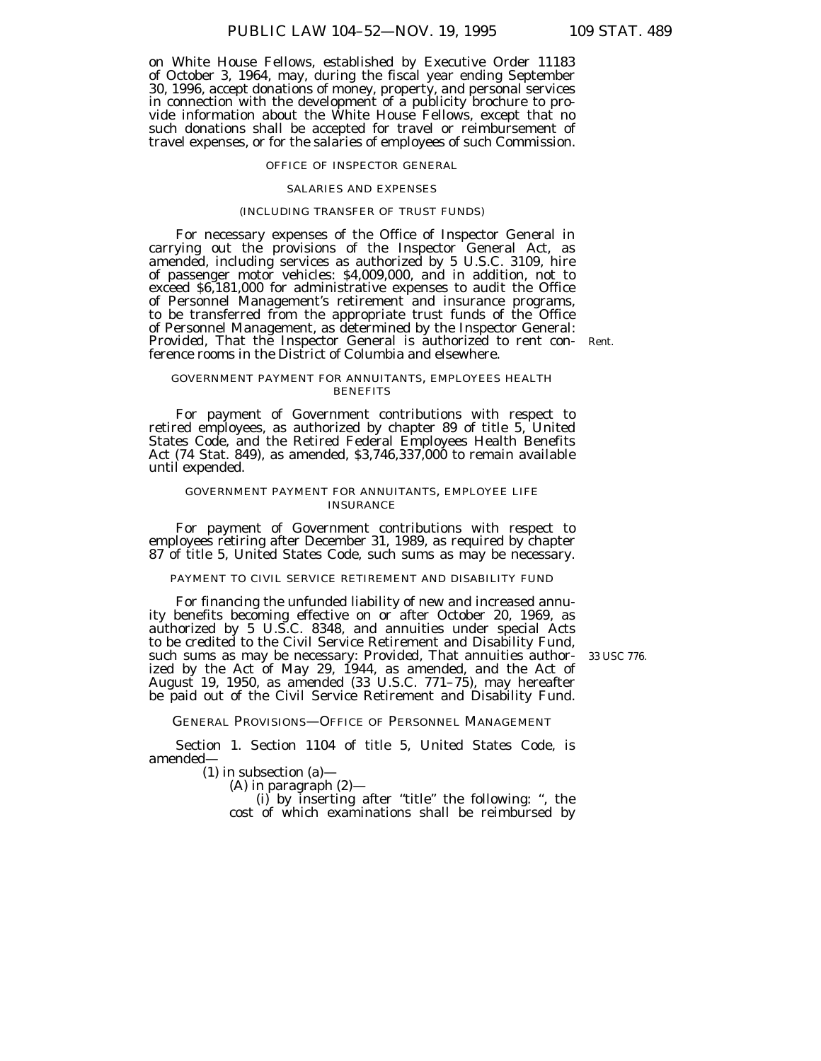on White House Fellows, established by Executive Order 11183 of October 3, 1964, may, during the fiscal year ending September 30, 1996, accept donations of money, property, and personal services in connection with the development of a publicity brochure to provide information about the White House Fellows, except that no such donations shall be accepted for travel or reimbursement of travel expenses, or for the salaries of employees of such Commission.

#### OFFICE OF INSPECTOR GENERAL

### SALARIES AND EXPENSES

### (INCLUDING TRANSFER OF TRUST FUNDS)

For necessary expenses of the Office of Inspector General in carrying out the provisions of the Inspector General Act, as amended, including services as authorized by 5 U.S.C. 3109, hire of passenger motor vehicles: \$4,009,000, and in addition, not to exceed \$6,181,000 for administrative expenses to audit the Office of Personnel Management's retirement and insurance programs, to be transferred from the appropriate trust funds of the Office of Personnel Management, as determined by the Inspector General: Provided, That the Inspector General is authorized to rent con- Rent. ference rooms in the District of Columbia and elsewhere.

GOVERNMENT PAYMENT FOR ANNUITANTS, EMPLOYEES HEALTH **BENEFITS** 

For payment of Government contributions with respect to retired employees, as authorized by chapter 89 of title 5, United States Code, and the Retired Federal Employees Health Benefits Act (74 Stat. 849), as amended, \$3,746,337,000 to remain available until expended.

### GOVERNMENT PAYMENT FOR ANNUITANTS, EMPLOYEE LIFE INSURANCE

For payment of Government contributions with respect to employees retiring after December 31, 1989, as required by chapter 87 of title 5, United States Code, such sums as may be necessary.

#### PAYMENT TO CIVIL SERVICE RETIREMENT AND DISABILITY FUND

For financing the unfunded liability of new and increased annuity benefits becoming effective on or after October 20, 1969, as authorized by 5 U.S.C. 8348, and annuities under special Acts to be credited to the Civil Service Retirement and Disability Fund, such sums as may be necessary: Provided, That annuities authorized by the Act of May 29, 1944, as amended, and the Act of August 19, 1950, as amended (33 U.S.C. 771–75), may hereafter be paid out of the Civil Service Retirement and Disability Fund.

33 USC 776.

GENERAL PROVISIONS—OFFICE OF PERSONNEL MANAGEMENT

Section 1. Section 1104 of title 5, United States Code, is amended—

(1) in subsection (a)—

(A) in paragraph (2)—

(i) by inserting after ''title'' the following: '', the cost of which examinations shall be reimbursed by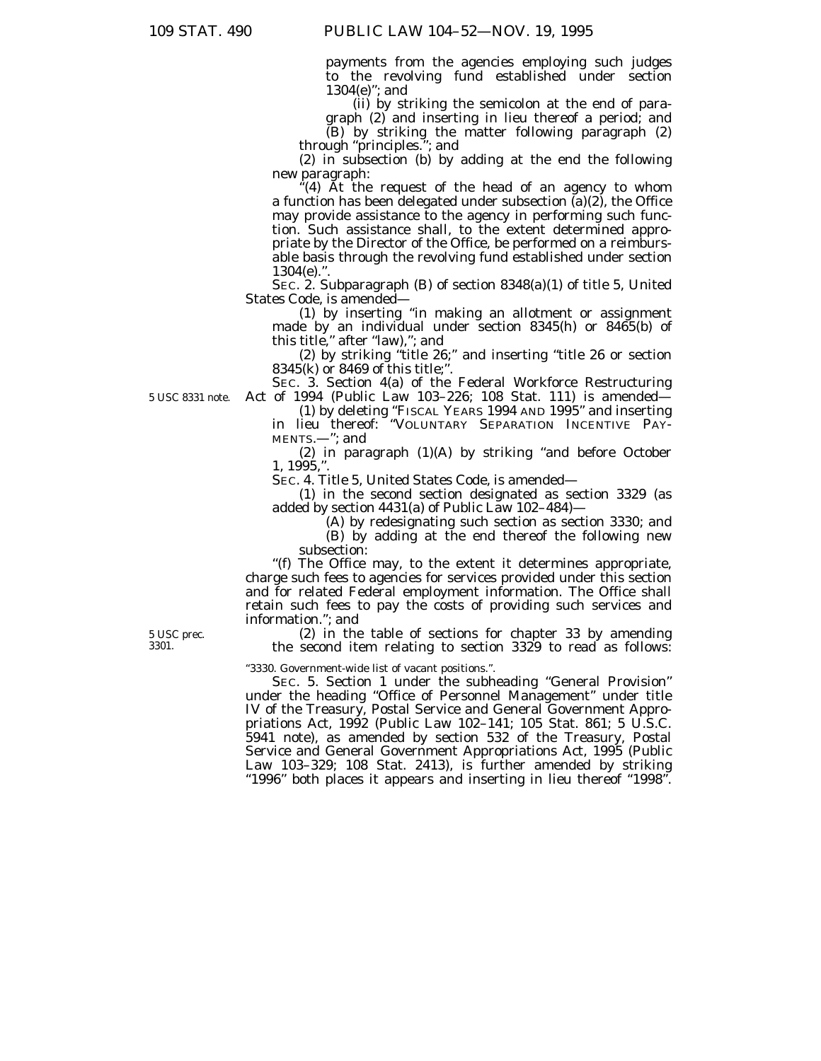payments from the agencies employing such judges to the revolving fund established under section 1304(e)''; and

(ii) by striking the semicolon at the end of paragraph (2) and inserting in lieu thereof a period; and

(B) by striking the matter following paragraph (2) through ''principles.''; and

(2) in subsection (b) by adding at the end the following new paragraph:

 $f(4)$  At the request of the head of an agency to whom a function has been delegated under subsection  $\bar{a}$  $(2)$ , the Office may provide assistance to the agency in performing such function. Such assistance shall, to the extent determined appropriate by the Director of the Office, be performed on a reimbursable basis through the revolving fund established under section  $1304(e)$ ."

SEC. 2. Subparagraph (B) of section 8348(a)(1) of title 5, United States Code, is amended—

(1) by inserting ''in making an allotment or assignment made by an individual under section 8345(h) or 8465(b) of this title,'' after ''law),''; and

(2) by striking ''title 26;'' and inserting ''title 26 or section 8345(k) or 8469 of this title;''.

SEC. 3. Section 4(a) of the Federal Workforce Restructuring Act of 1994 (Public Law 103–226; 108 Stat. 111) is amended—

(1) by deleting ''FISCAL YEARS 1994 AND 1995'' and inserting in lieu thereof: ''VOLUNTARY SEPARATION INCENTIVE PAY-MENTS.—''; and

(2) in paragraph (1)(A) by striking ''and before October 1, 1995,''.

SEC. 4. Title 5, United States Code, is amended—

(1) in the second section designated as section 3329 (as added by section 4431(a) of Public Law 102–484)—

(A) by redesignating such section as section 3330; and (B) by adding at the end thereof the following new subsection:

''(f) The Office may, to the extent it determines appropriate, charge such fees to agencies for services provided under this section and for related Federal employment information. The Office shall retain such fees to pay the costs of providing such services and information.''; and

(2) in the table of sections for chapter 33 by amending the second item relating to section 3329 to read as follows:

''3330. Government-wide list of vacant positions.''.

SEC. 5. Section 1 under the subheading ''General Provision'' under the heading ''Office of Personnel Management'' under title IV of the Treasury, Postal Service and General Government Appropriations Act, 1992 (Public Law 102–141; 105 Stat. 861; 5 U.S.C. 5941 note), as amended by section 532 of the Treasury, Postal Service and General Government Appropriations Act, 1995 (Public Law 103–329; 108 Stat. 2413), is further amended by striking "1996" both places it appears and inserting in lieu thereof "1998".

5 USC 8331 note.

5 USC prec. 3301.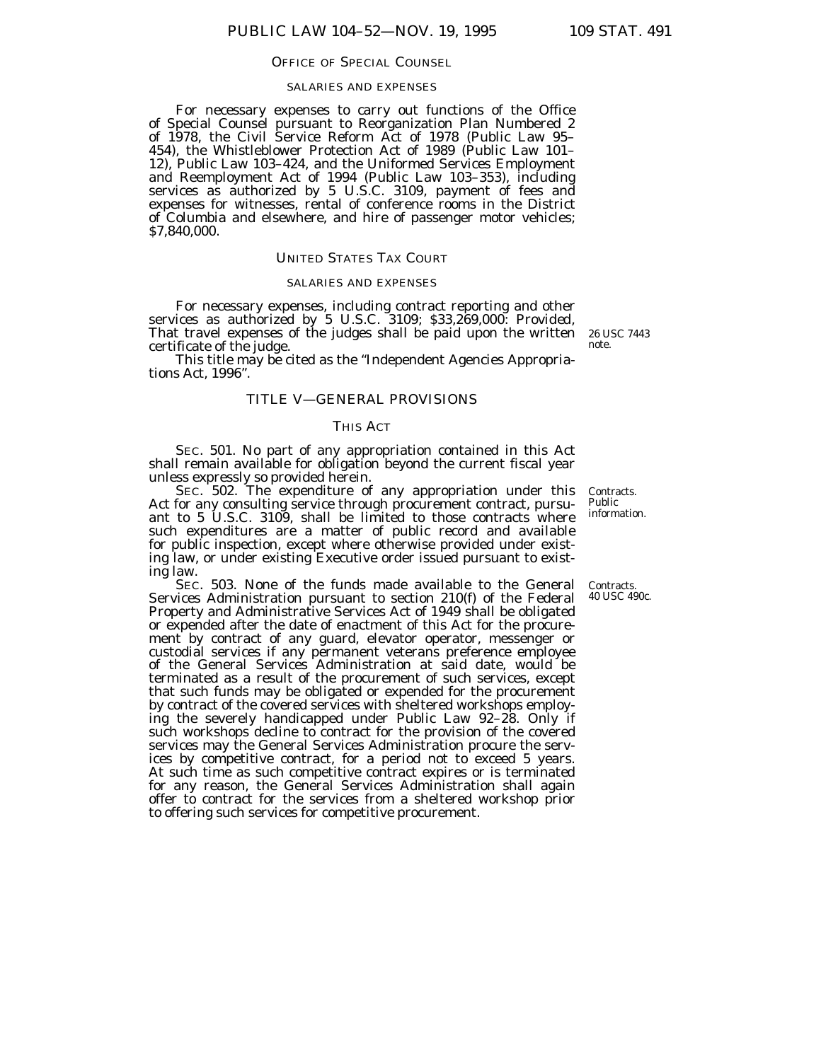#### OFFICE OF SPECIAL COUNSEL

#### SALARIES AND EXPENSES

For necessary expenses to carry out functions of the Office of Special Counsel pursuant to Reorganization Plan Numbered 2 of 1978, the Civil Service Reform Act of 1978 (Public Law 95– 454), the Whistleblower Protection Act of 1989 (Public Law 101– 12), Public Law 103–424, and the Uniformed Services Employment and Reemployment Act of 1994 (Public Law 103–353), including services as authorized by 5 U.S.C. 3109, payment of fees and expenses for witnesses, rental of conference rooms in the District of Columbia and elsewhere, and hire of passenger motor vehicles; \$7,840,000.

### UNITED STATES TAX COURT

#### SALARIES AND EXPENSES

For necessary expenses, including contract reporting and other services as authorized by 5 U.S.C. 3109; \$33,269,000: *Provided,* That travel expenses of the judges shall be paid upon the written certificate of the judge.

This title may be cited as the ''Independent Agencies Appropriations Act, 1996''.

# TITLE V—GENERAL PROVISIONS

# THIS ACT

SEC. 501. No part of any appropriation contained in this Act shall remain available for obligation beyond the current fiscal year unless expressly so provided herein.

SEC. 502. The expenditure of any appropriation under this Act for any consulting service through procurement contract, pursuant to 5 U.S.C. 3109, shall be limited to those contracts where such expenditures are a matter of public record and available for public inspection, except where otherwise provided under existing law, or under existing Executive order issued pursuant to existing law.

SEC. 503. None of the funds made available to the General Services Administration pursuant to section 210(f) of the Federal Property and Administrative Services Act of 1949 shall be obligated or expended after the date of enactment of this Act for the procurement by contract of any guard, elevator operator, messenger or custodial services if any permanent veterans preference employee of the General Services Administration at said date, would be terminated as a result of the procurement of such services, except that such funds may be obligated or expended for the procurement by contract of the covered services with sheltered workshops employing the severely handicapped under Public Law 92–28. Only if such workshops decline to contract for the provision of the covered services may the General Services Administration procure the services by competitive contract, for a period not to exceed 5 years. At such time as such competitive contract expires or is terminated for any reason, the General Services Administration shall again offer to contract for the services from a sheltered workshop prior to offering such services for competitive procurement.

Contracts. Public information.

Contracts. 40 USC 490c.

26 USC 7443 note.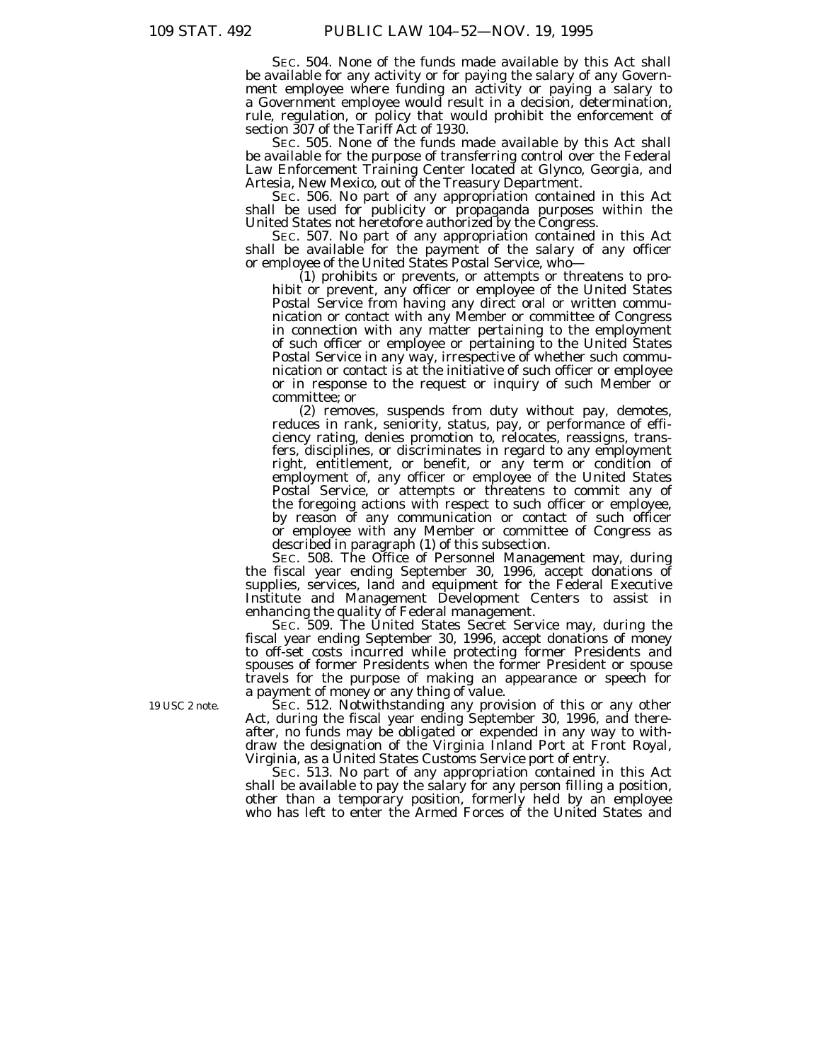SEC. 504. None of the funds made available by this Act shall be available for any activity or for paying the salary of any Government employee where funding an activity or paying a salary to a Government employee would result in a decision, determination, rule, regulation, or policy that would prohibit the enforcement of section 307 of the Tariff Act of 1930.

SEC. 505. None of the funds made available by this Act shall be available for the purpose of transferring control over the Federal Law Enforcement Training Center located at Glynco, Georgia, and Artesia, New Mexico, out of the Treasury Department.

SEC. 506. No part of any appropriation contained in this Act shall be used for publicity or propaganda purposes within the United States not heretofore authorized by the Congress.

SEC. 507. No part of any appropriation contained in this Act shall be available for the payment of the salary of any officer or employee of the United States Postal Service, who—

(1) prohibits or prevents, or attempts or threatens to prohibit or prevent, any officer or employee of the United States Postal Service from having any direct oral or written communication or contact with any Member or committee of Congress in connection with any matter pertaining to the employment of such officer or employee or pertaining to the United States Postal Service in any way, irrespective of whether such communication or contact is at the initiative of such officer or employee or in response to the request or inquiry of such Member or committee; or

(2) removes, suspends from duty without pay, demotes, reduces in rank, seniority, status, pay, or performance of efficiency rating, denies promotion to, relocates, reassigns, transfers, disciplines, or discriminates in regard to any employment right, entitlement, or benefit, or any term or condition of employment of, any officer or employee of the United States Postal Service, or attempts or threatens to commit any of the foregoing actions with respect to such officer or employee, by reason of any communication or contact of such officer or employee with any Member or committee of Congress as described in paragraph (1) of this subsection.

SEC. 508. The Office of Personnel Management may, during the fiscal year ending September 30, 1996, accept donations of supplies, services, land and equipment for the Federal Executive Institute and Management Development Centers to assist in enhancing the quality of Federal management.

SEC. 509. The United States Secret Service may, during the fiscal year ending September 30, 1996, accept donations of money to off-set costs incurred while protecting former Presidents and spouses of former Presidents when the former President or spouse travels for the purpose of making an appearance or speech for a payment of money or any thing of value.

SEC. 512. Notwithstanding any provision of this or any other Act, during the fiscal year ending September 30, 1996, and thereafter, no funds may be obligated or expended in any way to withdraw the designation of the Virginia Inland Port at Front Royal, Virginia, as a United States Customs Service port of entry.

SEC. 513. No part of any appropriation contained in this Act shall be available to pay the salary for any person filling a position, other than a temporary position, formerly held by an employee who has left to enter the Armed Forces of the United States and

19 USC 2 note.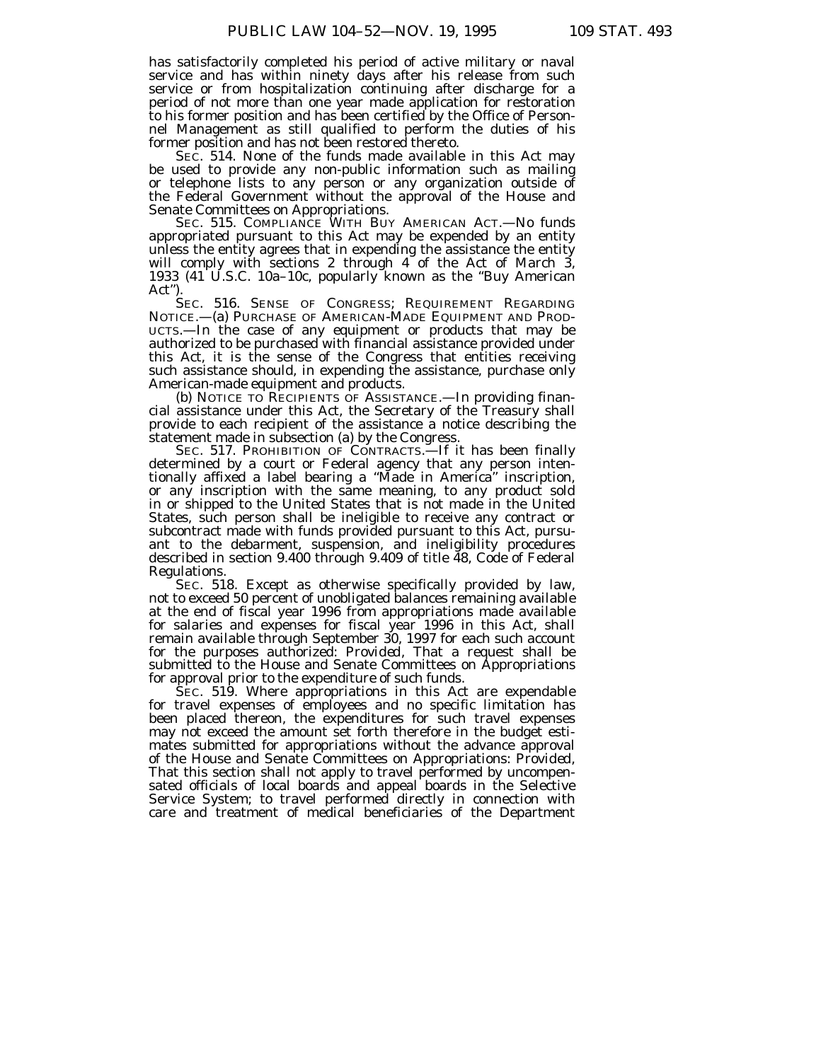has satisfactorily completed his period of active military or naval service and has within ninety days after his release from such service or from hospitalization continuing after discharge for a period of not more than one year made application for restoration to his former position and has been certified by the Office of Personnel Management as still qualified to perform the duties of his former position and has not been restored thereto.

SEC. 514. None of the funds made available in this Act may be used to provide any non-public information such as mailing or telephone lists to any person or any organization outside of the Federal Government without the approval of the House and Senate Committees on Appropriations.

SEC. 515. COMPLIANCE WITH BUY AMERICAN ACT.-No funds appropriated pursuant to this Act may be expended by an entity unless the entity agrees that in expending the assistance the entity will comply with sections 2 through 4 of the Act of March 3, 1933 (41 U.S.C. 10a–10c, popularly known as the ''Buy American Act'').

SEC. 516. SENSE OF CONGRESS; REQUIREMENT REGARDING NOTICE.—(a) PURCHASE OF AMERICAN-MADE EQUIPMENT AND PROD-UCTS.—In the case of any equipment or products that may be authorized to be purchased with financial assistance provided under this Act, it is the sense of the Congress that entities receiving such assistance should, in expending the assistance, purchase only American-made equipment and products.

(b) NOTICE TO RECIPIENTS OF ASSISTANCE.—In providing financial assistance under this Act, the Secretary of the Treasury shall provide to each recipient of the assistance a notice describing the statement made in subsection (a) by the Congress.

SEC. 517. PROHIBITION OF CONTRACTS.<sup>--</sup>If it has been finally determined by a court or Federal agency that any person intentionally affixed a label bearing a ''Made in America'' inscription, or any inscription with the same meaning, to any product sold in or shipped to the United States that is not made in the United States, such person shall be ineligible to receive any contract or subcontract made with funds provided pursuant to this Act, pursuant to the debarment, suspension, and ineligibility procedures described in section 9.400 through 9.409 of title 48, Code of Federal Regulations.

SEC. 518. Except as otherwise specifically provided by law, not to exceed 50 percent of unobligated balances remaining available at the end of fiscal year 1996 from appropriations made available for salaries and expenses for fiscal year 1996 in this Act, shall remain available through September 30, 1997 for each such account for the purposes authorized: *Provided,* That a request shall be submitted to the House and Senate Committees on Appropriations for approval prior to the expenditure of such funds.

SEC. 519. Where appropriations in this Act are expendable for travel expenses of employees and no specific limitation has been placed thereon, the expenditures for such travel expenses may not exceed the amount set forth therefore in the budget estimates submitted for appropriations without the advance approval of the House and Senate Committees on Appropriations: *Provided,* That this section shall not apply to travel performed by uncompensated officials of local boards and appeal boards in the Selective Service System; to travel performed directly in connection with care and treatment of medical beneficiaries of the Department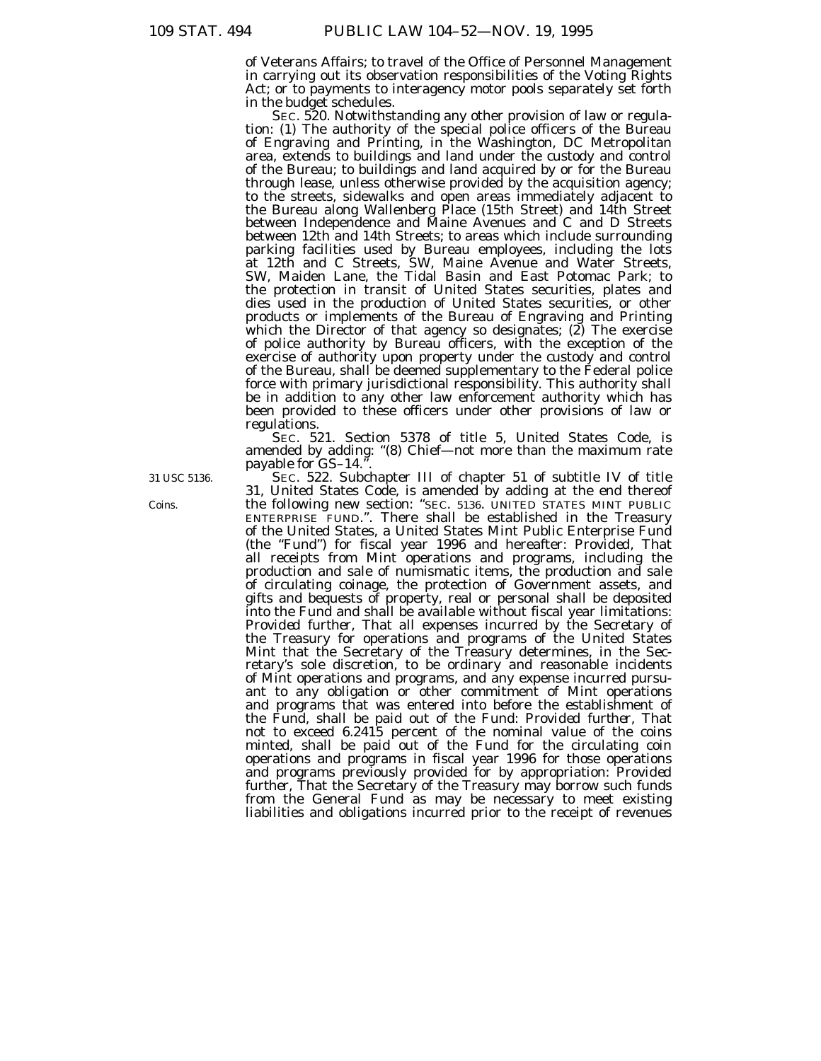of Veterans Affairs; to travel of the Office of Personnel Management in carrying out its observation responsibilities of the Voting Rights Act; or to payments to interagency motor pools separately set forth in the budget schedules.<br>SEC. 520. Notwithstanding any other provision of law or regula-

tion: (1) The authority of the special police officers of the Bureau of Engraving and Printing, in the Washington, DC Metropolitan area, extends to buildings and land under the custody and control of the Bureau; to buildings and land acquired by or for the Bureau through lease, unless otherwise provided by the acquisition agency; to the streets, sidewalks and open areas immediately adjacent to the Bureau along Wallenberg Place (15th Street) and 14th Street between Independence and Maine Avenues and C and D Streets between 12th and 14th Streets; to areas which include surrounding parking facilities used by Bureau employees, including the lots at 12th and C Streets, SW, Maine Avenue and Water Streets, SW, Maiden Lane, the Tidal Basin and East Potomac Park; to the protection in transit of United States securities, plates and dies used in the production of United States securities, or other products or implements of the Bureau of Engraving and Printing which the Director of that agency so designates; (2) The exercise of police authority by Bureau officers, with the exception of the exercise of authority upon property under the custody and control of the Bureau, shall be deemed supplementary to the Federal police force with primary jurisdictional responsibility. This authority shall be in addition to any other law enforcement authority which has been provided to these officers under other provisions of law or regulations.

SEC. 521. Section 5378 of title 5, United States Code, is amended by adding: ''(8) Chief—not more than the maximum rate payable for GS-14.'

SEC. 522. Subchapter III of chapter 51 of subtitle IV of title 31, United States Code, is amended by adding at the end thereof the following new section: ''SEC. 5136. UNITED STATES MINT PUBLIC ENTERPRISE FUND.''. There shall be established in the Treasury of the United States, a United States Mint Public Enterprise Fund (the ''Fund'') for fiscal year 1996 and hereafter: *Provided,* That all receipts from Mint operations and programs, including the production and sale of numismatic items, the production and sale of circulating coinage, the protection of Government assets, and gifts and bequests of property, real or personal shall be deposited into the Fund and shall be available without fiscal year limitations: *Provided further,* That all expenses incurred by the Secretary of the Treasury for operations and programs of the United States Mint that the Secretary of the Treasury determines, in the Secretary's sole discretion, to be ordinary and reasonable incidents of Mint operations and programs, and any expense incurred pursuant to any obligation or other commitment of Mint operations and programs that was entered into before the establishment of the Fund, shall be paid out of the Fund: *Provided further,* That not to exceed 6.2415 percent of the nominal value of the coins minted, shall be paid out of the Fund for the circulating coin operations and programs in fiscal year 1996 for those operations and programs previously provided for by appropriation: *Provided further,* That the Secretary of the Treasury may borrow such funds from the General Fund as may be necessary to meet existing liabilities and obligations incurred prior to the receipt of revenues

31 USC 5136.

Coins.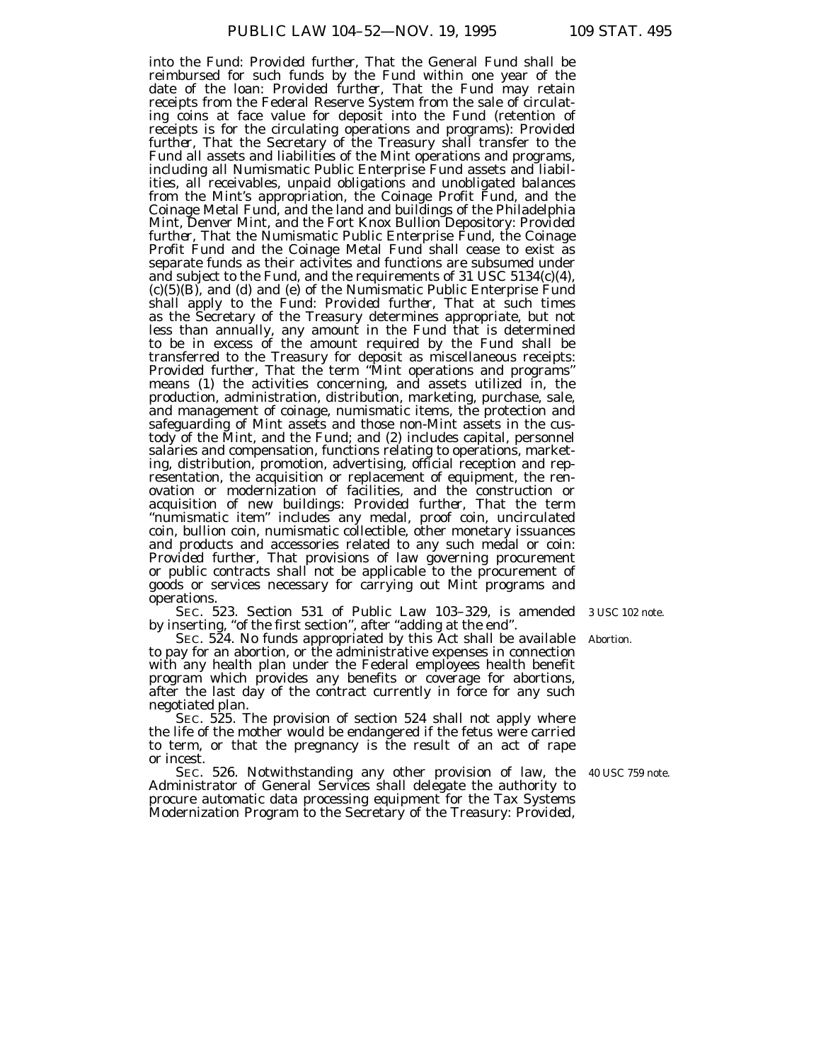into the Fund: *Provided further,* That the General Fund shall be reimbursed for such funds by the Fund within one year of the date of the loan: *Provided further,* That the Fund may retain receipts from the Federal Reserve System from the sale of circulating coins at face value for deposit into the Fund (retention of receipts is for the circulating operations and programs): *Provided further,* That the Secretary of the Treasury shall transfer to the Fund all assets and liabilities of the Mint operations and programs, including all Numismatic Public Enterprise Fund assets and liabilities, all receivables, unpaid obligations and unobligated balances from the Mint's appropriation, the Coinage Profit Fund, and the Coinage Metal Fund, and the land and buildings of the Philadelphia Mint, Denver Mint, and the Fort Knox Bullion Depository: *Provided further,* That the Numismatic Public Enterprise Fund, the Coinage Profit Fund and the Coinage Metal Fund shall cease to exist as separate funds as their activites and functions are subsumed under and subject to the Fund, and the requirements of 31 USC 5134(c)(4), (c)(5)(B), and (d) and (e) of the Numismatic Public Enterprise Fund shall apply to the Fund: *Provided further,* That at such times as the Secretary of the Treasury determines appropriate, but not less than annually, any amount in the Fund that is determined to be in excess of the amount required by the Fund shall be transferred to the Treasury for deposit as miscellaneous receipts: *Provided further*, That the term "Mint operations and programs" means (1) the activities concerning, and assets utilized in, the production, administration, distribution, marketing, purchase, sale, and management of coinage, numismatic items, the protection and safeguarding of Mint assets and those non-Mint assets in the custody of the Mint, and the Fund; and (2) includes capital, personnel salaries and compensation, functions relating to operations, marketing, distribution, promotion, advertising, official reception and representation, the acquisition or replacement of equipment, the renovation or modernization of facilities, and the construction or acquisition of new buildings: *Provided further,* That the term "numismatic item" includes any medal, proof coin, uncirculated coin, bullion coin, numismatic collectible, other monetary issuances and products and accessories related to any such medal or coin: *Provided further,* That provisions of law governing procurement or public contracts shall not be applicable to the procurement of goods or services necessary for carrying out Mint programs and operations.

SEC. 523. Section 531 of Public Law 103–329, is amended 3 USC 102 note.by inserting, "of the first section", after "adding at the end".

SEC. 524. No funds appropriated by this Act shall be available to pay for an abortion, or the administrative expenses in connection with any health plan under the Federal employees health benefit program which provides any benefits or coverage for abortions, after the last day of the contract currently in force for any such negotiated plan.

SEC. 525. The provision of section 524 shall not apply where the life of the mother would be endangered if the fetus were carried to term, or that the pregnancy is the result of an act of rape or incest.

SEC. 526. Notwithstanding any other provision of law, the 40 USC 759 note. Administrator of General Services shall delegate the authority to procure automatic data processing equipment for the Tax Systems Modernization Program to the Secretary of the Treasury: *Provided,*

Abortion.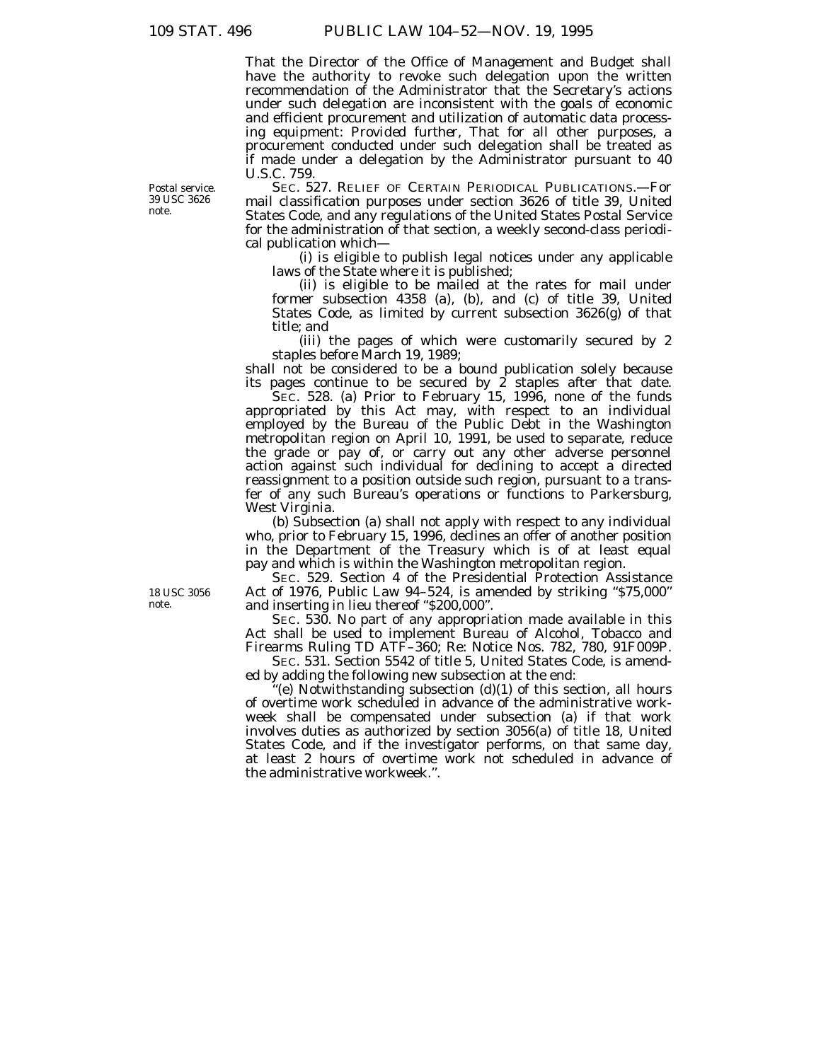That the Director of the Office of Management and Budget shall have the authority to revoke such delegation upon the written recommendation of the Administrator that the Secretary's actions under such delegation are inconsistent with the goals of economic and efficient procurement and utilization of automatic data processing equipment: *Provided further,* That for all other purposes, a procurement conducted under such delegation shall be treated as if made under a delegation by the Administrator pursuant to 40 U.S.C. 759.

SEC. 527. RELIEF OF CERTAIN PERIODICAL PUBLICATIONS.—For mail classification purposes under section 3626 of title 39, United States Code, and any regulations of the United States Postal Service for the administration of that section, a weekly second-class periodical publication which—

(i) is eligible to publish legal notices under any applicable laws of the State where it is published;

(ii) is eligible to be mailed at the rates for mail under former subsection 4358 (a), (b), and (c) of title 39, United States Code, as limited by current subsection 3626(g) of that title; and

(iii) the pages of which were customarily secured by 2 staples before March 19, 1989;

shall not be considered to be a bound publication solely because its pages continue to be secured by  $\hat{z}$  staples after that date.

SEC. 528. (a) Prior to February 15, 1996, none of the funds appropriated by this Act may, with respect to an individual employed by the Bureau of the Public Debt in the Washington metropolitan region on April 10, 1991, be used to separate, reduce the grade or pay of, or carry out any other adverse personnel action against such individual for declining to accept a directed reassignment to a position outside such region, pursuant to a transfer of any such Bureau's operations or functions to Parkersburg, West Virginia.

(b) Subsection (a) shall not apply with respect to any individual who, prior to February 15, 1996, declines an offer of another position in the Department of the Treasury which is of at least equal pay and which is within the Washington metropolitan region.

SEC. 529. Section 4 of the Presidential Protection Assistance Act of 1976, Public Law 94-524, is amended by striking "\$75,000" and inserting in lieu thereof "\$200,000".

SEC. 530. No part of any appropriation made available in this Act shall be used to implement Bureau of Alcohol, Tobacco and Firearms Ruling TD ATF–360; Re: Notice Nos. 782, 780, 91F009P.

SEC. 531. Section 5542 of title 5, United States Code, is amended by adding the following new subsection at the end:

''(e) Notwithstanding subsection (d)(1) of this section, all hours of overtime work scheduled in advance of the administrative workweek shall be compensated under subsection (a) if that work involves duties as authorized by section 3056(a) of title 18, United States Code, and if the investigator performs, on that same day, at least 2 hours of overtime work not scheduled in advance of the administrative workweek.''.

Postal service. 39 USC 3626 note.

18 USC 3056 note.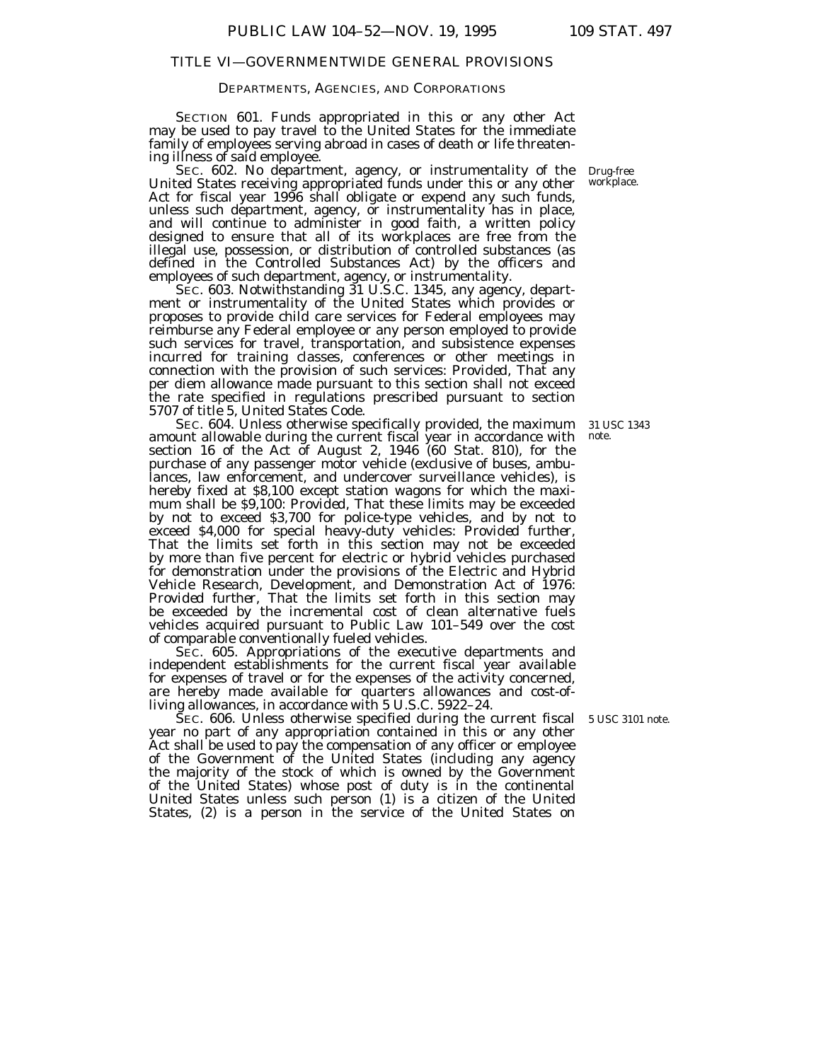# DEPARTMENTS, AGENCIES, AND CORPORATIONS

SECTION 601. Funds appropriated in this or any other Act may be used to pay travel to the United States for the immediate family of employees serving abroad in cases of death or life threatening illness of said employee.

United States receiving appropriated funds under this or any other Act for fiscal year 1996 shall obligate or expend any such funds, unless such department, agency, or instrumentality has in place, and will continue to administer in good faith, a written policy designed to ensure that all of its workplaces are free from the illegal use, possession, or distribution of controlled substances (as defined in the Controlled Substances Act) by the officers and employees of such department, agency, or instrumentality. SEC. 602. No department, agency, or instrumentality of the Drug-free

SEC. 603. Notwithstanding 31 U.S.C. 1345, any agency, department or instrumentality of the United States which provides or proposes to provide child care services for Federal employees may reimburse any Federal employee or any person employed to provide such services for travel, transportation, and subsistence expenses incurred for training classes, conferences or other meetings in connection with the provision of such services: *Provided,* That any per diem allowance made pursuant to this section shall not exceed the rate specified in regulations prescribed pursuant to section 5707 of title 5, United States Code.

SEC. 604. Unless otherwise specifically provided, the maximum amount allowable during the current fiscal year in accordance with section 16 of the Act of August 2, 1946 (60 Stat. 810), for the purchase of any passenger motor vehicle (exclusive of buses, ambulances, law enforcement, and undercover surveillance vehicles), is hereby fixed at \$8,100 except station wagons for which the maximum shall be \$9,100: *Provided,* That these limits may be exceeded by not to exceed \$3,700 for police-type vehicles, and by not to exceed \$4,000 for special heavy-duty vehicles: *Provided further,* That the limits set forth in this section may not be exceeded by more than five percent for electric or hybrid vehicles purchased for demonstration under the provisions of the Electric and Hybrid Vehicle Research, Development, and Demonstration Act of 1976: *Provided further,* That the limits set forth in this section may be exceeded by the incremental cost of clean alternative fuels vehicles acquired pursuant to Public Law 101–549 over the cost of comparable conventionally fueled vehicles.

SEC. 605. Appropriations of the executive departments and independent establishments for the current fiscal year available for expenses of travel or for the expenses of the activity concerned, are hereby made available for quarters allowances and cost-ofliving allowances, in accordance with 5 U.S.C. 5922–24.

SEC. 606. Unless otherwise specified during the current fiscal 5 USC 3101 note. year no part of any appropriation contained in this or any other Act shall be used to pay the compensation of any officer or employee of the Government of the United States (including any agency the majority of the stock of which is owned by the Government of the United States) whose post of duty is in the continental United States unless such person (1) is a citizen of the United States, (2) is a person in the service of the United States on

workplace.

31 USC 1343 note.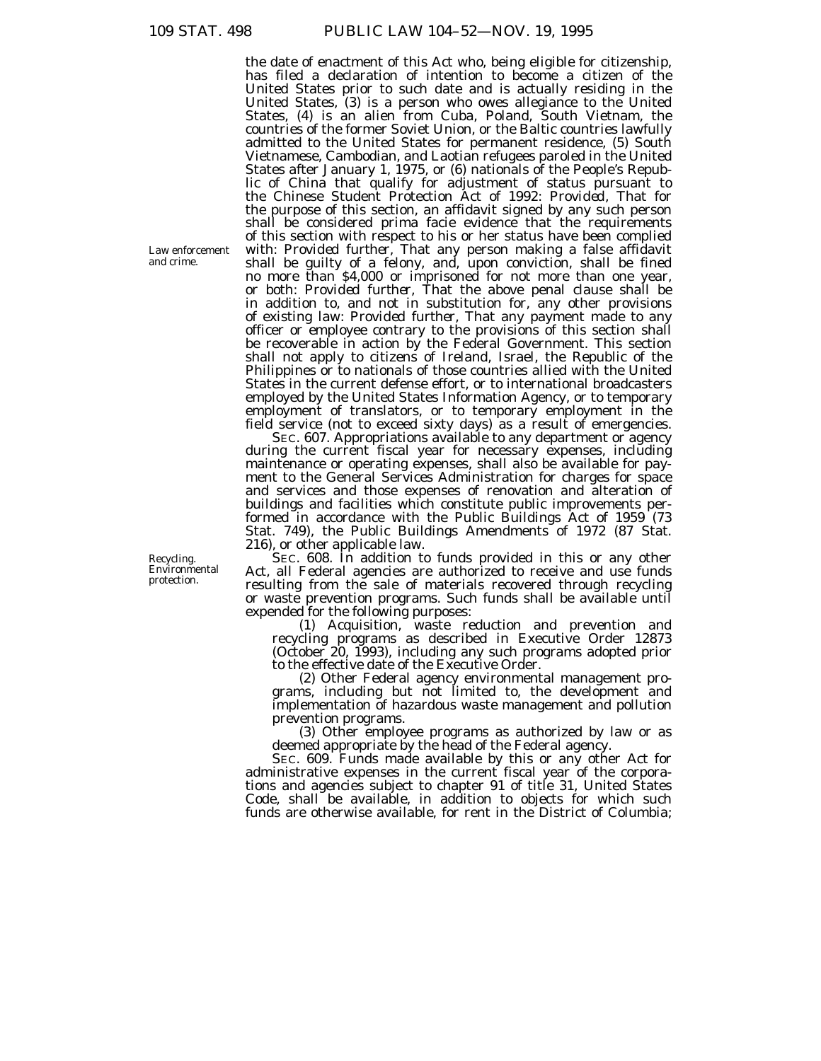the date of enactment of this Act who, being eligible for citizenship, has filed a declaration of intention to become a citizen of the United States prior to such date and is actually residing in the United States, (3) is a person who owes allegiance to the United States, (4) is an alien from Cuba, Poland, South Vietnam, the countries of the former Soviet Union, or the Baltic countries lawfully admitted to the United States for permanent residence, (5) South Vietnamese, Cambodian, and Laotian refugees paroled in the United States after January 1, 1975, or (6) nationals of the People's Republic of China that qualify for adjustment of status pursuant to the Chinese Student Protection Act of 1992: *Provided,* That for the purpose of this section, an affidavit signed by any such person shall be considered prima facie evidence that the requirements of this section with respect to his or her status have been complied with: *Provided further,* That any person making a false affidavit shall be guilty of a felony, and, upon conviction, shall be fined no more than \$4,000 or imprisoned for not more than one year, or both: *Provided further,* That the above penal clause shall be in addition to, and not in substitution for, any other provisions of existing law: *Provided further,* That any payment made to any officer or employee contrary to the provisions of this section shall be recoverable in action by the Federal Government. This section shall not apply to citizens of Ireland, Israel, the Republic of the Philippines or to nationals of those countries allied with the United States in the current defense effort, or to international broadcasters employed by the United States Information Agency, or to temporary employment of translators, or to temporary employment in the field service (not to exceed sixty days) as a result of emergencies.

SEC. 607. Appropriations available to any department or agency during the current fiscal year for necessary expenses, including maintenance or operating expenses, shall also be available for payment to the General Services Administration for charges for space and services and those expenses of renovation and alteration of buildings and facilities which constitute public improvements performed in accordance with the Public Buildings Act of 1959 (73 Stat. 749), the Public Buildings Amendments of 1972 (87 Stat. 216), or other applicable law.

SEC. 608. In addition to funds provided in this or any other Act, all Federal agencies are authorized to receive and use funds resulting from the sale of materials recovered through recycling or waste prevention programs. Such funds shall be available until expended for the following purposes:

(1) Acquisition, waste reduction and prevention and recycling programs as described in Executive Order 12873 (October 20, 1993), including any such programs adopted prior to the effective date of the Executive Order.

(2) Other Federal agency environmental management programs, including but not limited to, the development and implementation of hazardous waste management and pollution prevention programs.

(3) Other employee programs as authorized by law or as deemed appropriate by the head of the Federal agency.

SEC. 609. Funds made available by this or any other Act for administrative expenses in the current fiscal year of the corporations and agencies subject to chapter 91 of title 31, United States Code, shall be available, in addition to objects for which such funds are otherwise available, for rent in the District of Columbia;

Law enforcement and crime.

Recycling. Environmental protection.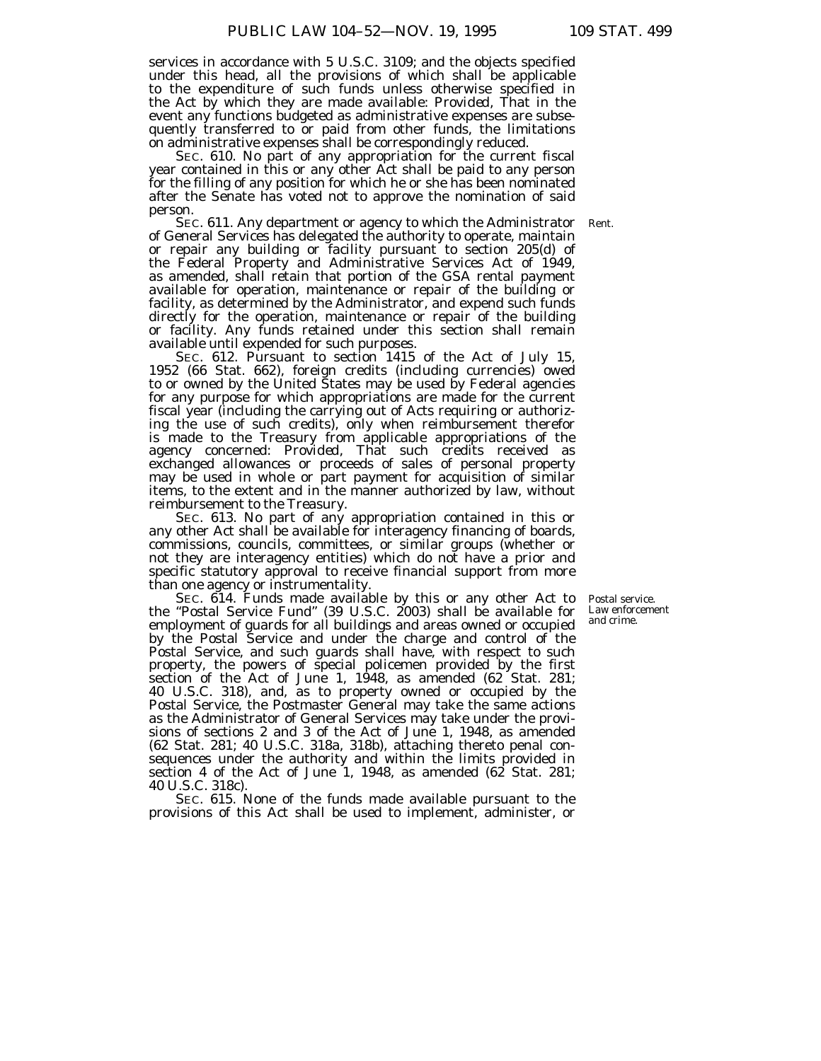services in accordance with 5 U.S.C. 3109; and the objects specified under this head, all the provisions of which shall be applicable to the expenditure of such funds unless otherwise specified in the Act by which they are made available: *Provided,* That in the event any functions budgeted as administrative expenses are subsequently transferred to or paid from other funds, the limitations on administrative expenses shall be correspondingly reduced.

SEC. 610. No part of any appropriation for the current fiscal year contained in this or any other Act shall be paid to any person for the filling of any position for which he or she has been nominated after the Senate has voted not to approve the nomination of said person.

SEC. 611. Any department or agency to which the Administrator Rent.of General Services has delegated the authority to operate, maintain or repair any building or facility pursuant to section 205(d) of the Federal Property and Administrative Services Act of 1949, as amended, shall retain that portion of the GSA rental payment available for operation, maintenance or repair of the building or facility, as determined by the Administrator, and expend such funds directly for the operation, maintenance or repair of the building or facility. Any funds retained under this section shall remain available until expended for such purposes.

SEC. 612. Pursuant to section 1415 of the Act of July 15, 1952 (66 Stat. 662), foreign credits (including currencies) owed to or owned by the United States may be used by Federal agencies for any purpose for which appropriations are made for the current fiscal year (including the carrying out of Acts requiring or authorizing the use of such credits), only when reimbursement therefor is made to the Treasury from applicable appropriations of the agency concerned: *Provided,* That such credits received as exchanged allowances or proceeds of sales of personal property may be used in whole or part payment for acquisition of similar items, to the extent and in the manner authorized by law, without reimbursement to the Treasury.

SEC. 613. No part of any appropriation contained in this or any other Act shall be available for interagency financing of boards, commissions, councils, committees, or similar groups (whether or not they are interagency entities) which do not have a prior and specific statutory approval to receive financial support from more than one agency or instrumentality.

SEC. 614. Funds made available by this or any other Act to the ''Postal Service Fund'' (39 U.S.C. 2003) shall be available for employment of guards for all buildings and areas owned or occupied by the Postal Service and under the charge and control of the Postal Service, and such guards shall have, with respect to such property, the powers of special policemen provided by the first section of the Act of June 1, 1948, as amended (62 Stat. 281; 40 U.S.C. 318), and, as to property owned or occupied by the Postal Service, the Postmaster General may take the same actions as the Administrator of General Services may take under the provisions of sections 2 and 3 of the Act of June 1, 1948, as amended (62 Stat. 281; 40 U.S.C. 318a, 318b), attaching thereto penal consequences under the authority and within the limits provided in section 4 of the Act of June 1, 1948, as amended  $(62 \text{ Stat. } 281)$ ; 40 U.S.C. 318c).

SEC. 615. None of the funds made available pursuant to the provisions of this Act shall be used to implement, administer, or

Postal service. Law enforcement and crime.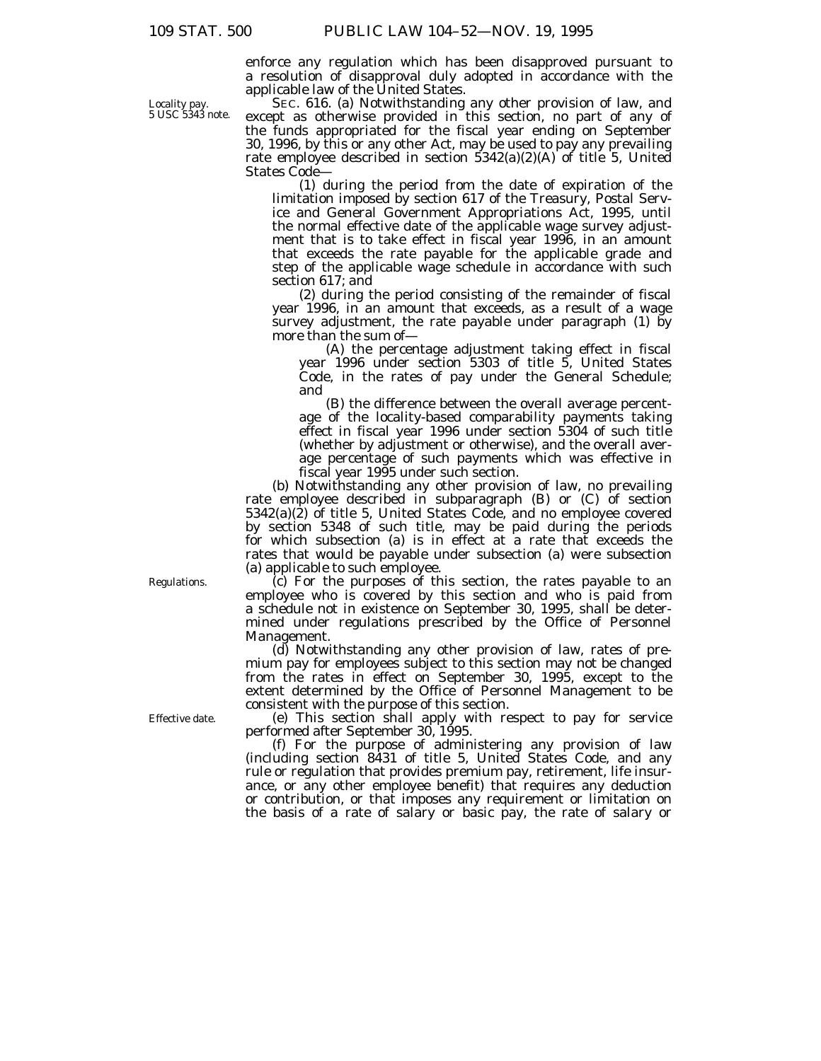enforce any regulation which has been disapproved pursuant to a resolution of disapproval duly adopted in accordance with the applicable law of the United States.

SEC. 616. (a) Notwithstanding any other provision of law, and except as otherwise provided in this section, no part of any of the funds appropriated for the fiscal year ending on September 30, 1996, by this or any other Act, may be used to pay any prevailing rate employee described in section  $5342(a)(2)(A)$  of title 5, United States Code—

(1) during the period from the date of expiration of the limitation imposed by section 617 of the Treasury, Postal Service and General Government Appropriations Act, 1995, until the normal effective date of the applicable wage survey adjustment that is to take effect in fiscal year 1996, in an amount that exceeds the rate payable for the applicable grade and step of the applicable wage schedule in accordance with such section 617; and

(2) during the period consisting of the remainder of fiscal year 1996, in an amount that exceeds, as a result of a wage survey adjustment, the rate payable under paragraph (1) by more than the sum of—

(A) the percentage adjustment taking effect in fiscal year 1996 under section 5303 of title 5, United States Code, in the rates of pay under the General Schedule; and

(B) the difference between the overall average percentage of the locality-based comparability payments taking effect in fiscal year 1996 under section 5304 of such title (whether by adjustment or otherwise), and the overall average percentage of such payments which was effective in fiscal year 1995 under such section.

(b) Notwithstanding any other provision of law, no prevailing rate employee described in subparagraph (B) or (C) of section 5342(a)(2) of title 5, United States Code, and no employee covered by section 5348 of such title, may be paid during the periods for which subsection (a) is in effect at a rate that exceeds the rates that would be payable under subsection (a) were subsection (a) applicable to such employee.

(c) For the purposes of this section, the rates payable to an employee who is covered by this section and who is paid from a schedule not in existence on September 30, 1995, shall be determined under regulations prescribed by the Office of Personnel Management.

(d) Notwithstanding any other provision of law, rates of premium pay for employees subject to this section may not be changed from the rates in effect on September 30, 1995, except to the extent determined by the Office of Personnel Management to be consistent with the purpose of this section.

(e) This section shall apply with respect to pay for service performed after September 30, 1995.

(f) For the purpose of administering any provision of law (including section 8431 of title 5, United States Code, and any rule or regulation that provides premium pay, retirement, life insurance, or any other employee benefit) that requires any deduction or contribution, or that imposes any requirement or limitation on the basis of a rate of salary or basic pay, the rate of salary or

Regulations.

Effective date.

Locality pay. 5 USC 5343 note.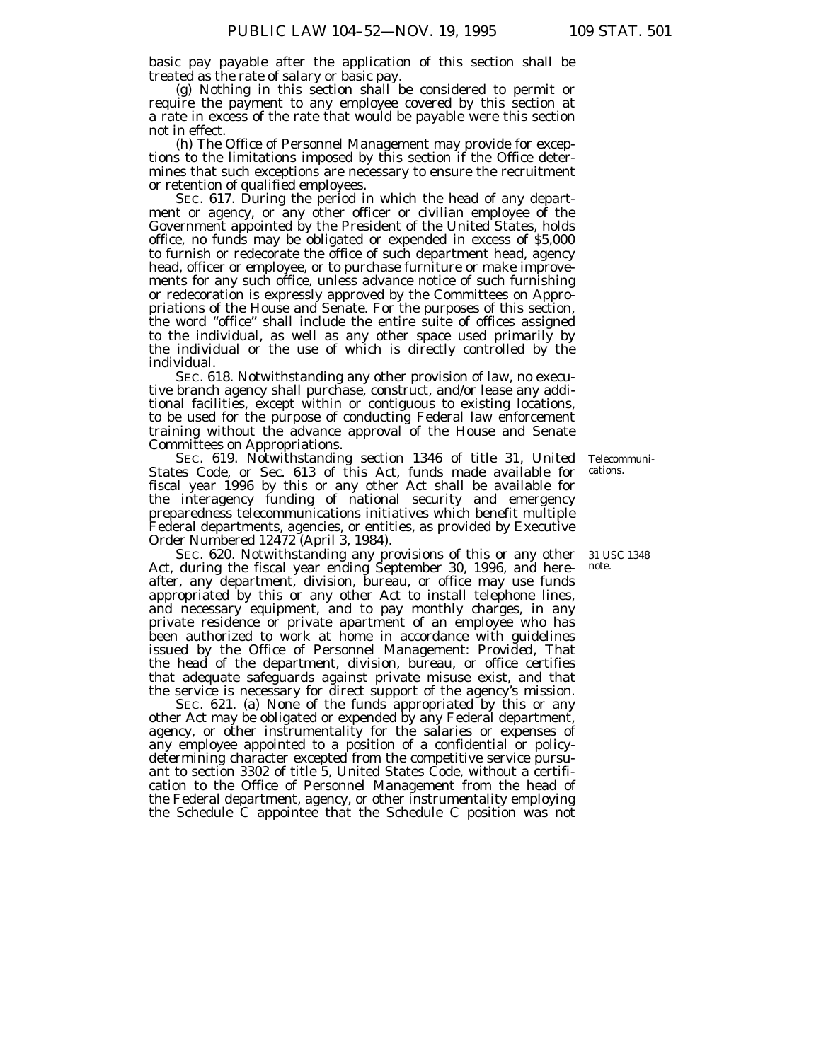basic pay payable after the application of this section shall be treated as the rate of salary or basic pay.

(g) Nothing in this section shall be considered to permit or require the payment to any employee covered by this section at a rate in excess of the rate that would be payable were this section not in effect.

(h) The Office of Personnel Management may provide for exceptions to the limitations imposed by this section if the Office determines that such exceptions are necessary to ensure the recruitment or retention of qualified employees.

SEC. 617. During the period in which the head of any department or agency, or any other officer or civilian employee of the Government appointed by the President of the United States, holds office, no funds may be obligated or expended in excess of \$5,000 to furnish or redecorate the office of such department head, agency head, officer or employee, or to purchase furniture or make improvements for any such office, unless advance notice of such furnishing or redecoration is expressly approved by the Committees on Appropriations of the House and Senate. For the purposes of this section, the word ''office'' shall include the entire suite of offices assigned to the individual, as well as any other space used primarily by the individual or the use of which is directly controlled by the individual.

SEC. 618. Notwithstanding any other provision of law, no executive branch agency shall purchase, construct, and/or lease any additional facilities, except within or contiguous to existing locations, to be used for the purpose of conducting Federal law enforcement training without the advance approval of the House and Senate Committees on Appropriations.

SEC. 619. Notwithstanding section 1346 of title 31, United States Code, or Sec. 613 of this Act, funds made available for fiscal year 1996 by this or any other Act shall be available for the interagency funding of national security and emergency preparedness telecommunications initiatives which benefit multiple Federal departments, agencies, or entities, as provided by Executive Order Numbered 12472 (April 3, 1984).

SEC. 620. Notwithstanding any provisions of this or any other 31 USC 1348 Act, during the fiscal year ending September 30, 1996, and hereafter, any department, division, bureau, or office may use funds appropriated by this or any other Act to install telephone lines, and necessary equipment, and to pay monthly charges, in any private residence or private apartment of an employee who has been authorized to work at home in accordance with guidelines issued by the Office of Personnel Management: *Provided,* That the head of the department, division, bureau, or office certifies that adequate safeguards against private misuse exist, and that the service is necessary for direct support of the agency's mission.

SEC. 621. (a) None of the funds appropriated by this or any other Act may be obligated or expended by any Federal department, agency, or other instrumentality for the salaries or expenses of any employee appointed to a position of a confidential or policydetermining character excepted from the competitive service pursuant to section 3302 of title 5, United States Code, without a certification to the Office of Personnel Management from the head of the Federal department, agency, or other instrumentality employing the Schedule C appointee that the Schedule C position was not

Telecommunications.

note.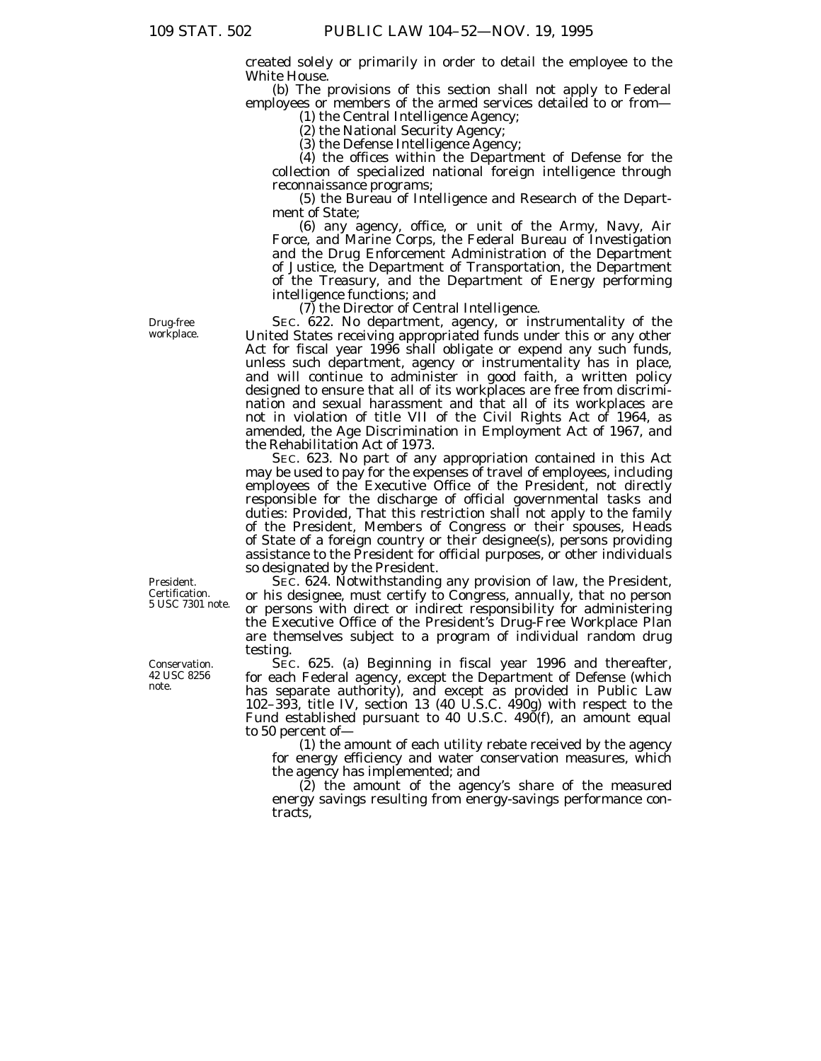created solely or primarily in order to detail the employee to the White House.

(b) The provisions of this section shall not apply to Federal employees or members of the armed services detailed to or from-

(1) the Central Intelligence Agency;

(2) the National Security Agency;

(3) the Defense Intelligence Agency;

(4) the offices within the Department of Defense for the collection of specialized national foreign intelligence through reconnaissance programs;

(5) the Bureau of Intelligence and Research of the Department of State;

(6) any agency, office, or unit of the Army, Navy, Air Force, and Marine Corps, the Federal Bureau of Investigation and the Drug Enforcement Administration of the Department of Justice, the Department of Transportation, the Department of the Treasury, and the Department of Energy performing intelligence functions; and

(7) the Director of Central Intelligence.

SEC. 622. No department, agency, or instrumentality of the United States receiving appropriated funds under this or any other Act for fiscal year 1996 shall obligate or expend any such funds, unless such department, agency or instrumentality has in place, and will continue to administer in good faith, a written policy designed to ensure that all of its workplaces are free from discrimination and sexual harassment and that all of its workplaces are not in violation of title VII of the Civil Rights Act of 1964, as amended, the Age Discrimination in Employment Act of 1967, and the Rehabilitation Act of 1973.

SEC. 623. No part of any appropriation contained in this Act may be used to pay for the expenses of travel of employees, including employees of the Executive Office of the President, not directly responsible for the discharge of official governmental tasks and duties: *Provided,* That this restriction shall not apply to the family of the President, Members of Congress or their spouses, Heads of State of a foreign country or their designee(s), persons providing assistance to the President for official purposes, or other individuals so designated by the President.

SEC. 624. Notwithstanding any provision of law, the President, or his designee, must certify to Congress, annually, that no person or persons with direct or indirect responsibility for administering the Executive Office of the President's Drug-Free Workplace Plan are themselves subject to a program of individual random drug testing.

SEC. 625. (a) Beginning in fiscal year 1996 and thereafter, for each Federal agency, except the Department of Defense (which has separate authority), and except as provided in Public Law 102–393, title IV, section 13 (40 U.S.C. 490g) with respect to the Fund established pursuant to 40 U.S.C. 490(f), an amount equal to 50 percent of—

(1) the amount of each utility rebate received by the agency for energy efficiency and water conservation measures, which the agency has implemented; and

(2) the amount of the agency's share of the measured energy savings resulting from energy-savings performance contracts,

Drug-free workplace.

President. Certification. 5 USC 7301 note.

Conservation. 42 USC 8256 note.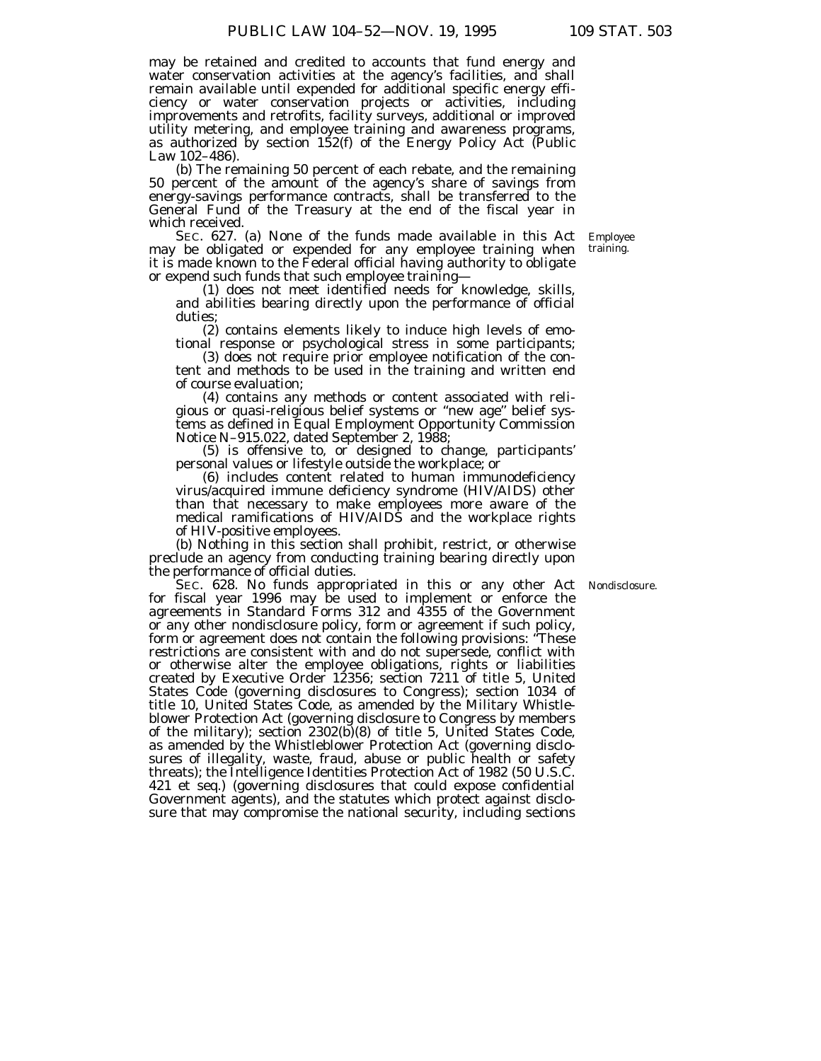may be retained and credited to accounts that fund energy and water conservation activities at the agency's facilities, and shall remain available until expended for additional specific energy efficiency or water conservation projects or activities, including improvements and retrofits, facility surveys, additional or improved utility metering, and employee training and awareness programs, as authorized by section 152(f) of the Energy Policy Act (Public Law 102–486).

(b) The remaining 50 percent of each rebate, and the remaining 50 percent of the amount of the agency's share of savings from energy-savings performance contracts, shall be transferred to the General Fund of the Treasury at the end of the fiscal year in which received.

SEC. 627. (a) None of the funds made available in this Act may be obligated or expended for any employee training when it is made known to the Federal official having authority to obligate or expend such funds that such employee training—

(1) does not meet identified needs for knowledge, skills, and abilities bearing directly upon the performance of official duties;

(2) contains elements likely to induce high levels of emotional response or psychological stress in some participants;

(3) does not require prior employee notification of the content and methods to be used in the training and written end of course evaluation;

(4) contains any methods or content associated with religious or quasi-religious belief systems or ''new age'' belief systems as defined in Equal Employment Opportunity Commission Notice N–915.022, dated September 2, 1988;

(5) is offensive to, or designed to change, participants' personal values or lifestyle outside the workplace; or

(6) includes content related to human immunodeficiency virus/acquired immune deficiency syndrome (HIV/AIDS) other than that necessary to make employees more aware of the medical ramifications of HIV/AIDS and the workplace rights of HIV-positive employees.

(b) Nothing in this section shall prohibit, restrict, or otherwise preclude an agency from conducting training bearing directly upon the performance of official duties.

Nondisclosure.

SEC. 628. No funds appropriated in this or any other Act for fiscal year 1996 may be used to implement or enforce the agreements in Standard Forms 312 and 4355 of the Government or any other nondisclosure policy, form or agreement if such policy, form or agreement does not contain the following provisions: ''These restrictions are consistent with and do not supersede, conflict with or otherwise alter the employee obligations, rights or liabilities created by Executive Order 12356; section 7211 of title 5, United States Code (governing disclosures to Congress); section 1034 of title 10, United States Code, as amended by the Military Whistleblower Protection Act (governing disclosure to Congress by members of the military); section 2302(b)(8) of title 5, United States Code, as amended by the Whistleblower Protection Act (governing disclosures of illegality, waste, fraud, abuse or public health or safety threats); the Intelligence Identities Protection Act of 1982 (50 U.S.C. 421 et seq.) (governing disclosures that could expose confidential Government agents), and the statutes which protect against disclosure that may compromise the national security, including sections

Employee training.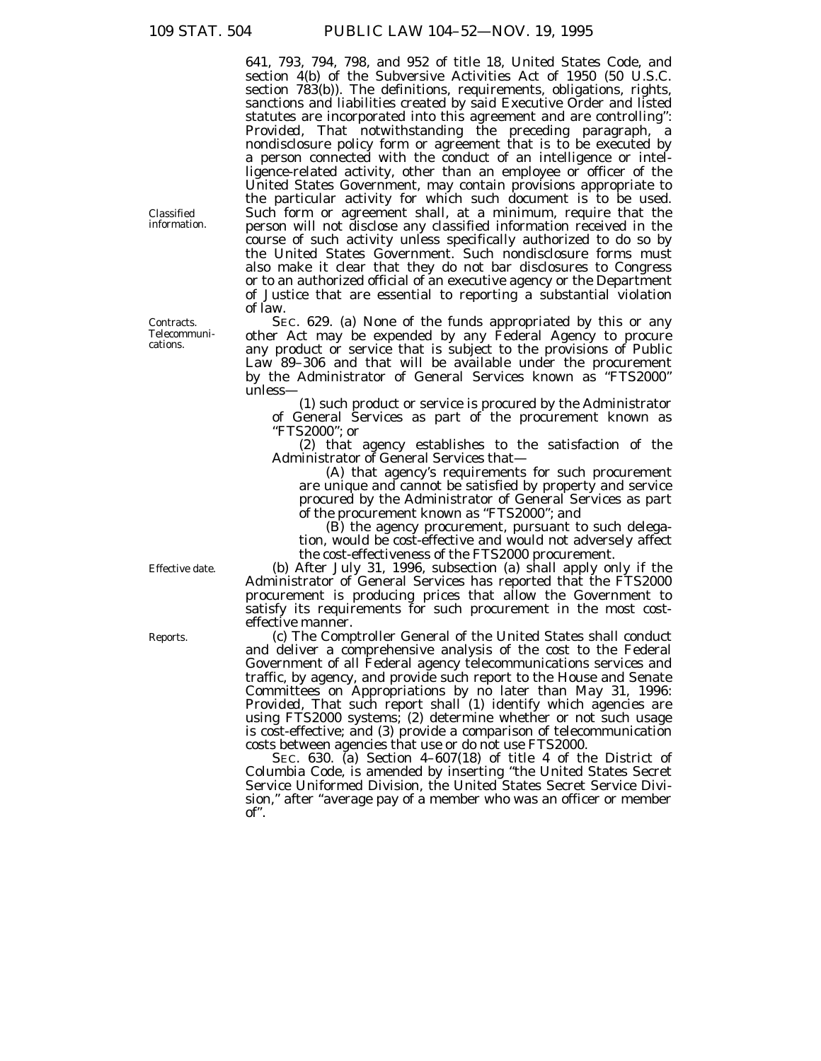641, 793, 794, 798, and 952 of title 18, United States Code, and section 4(b) of the Subversive Activities Act of 1950 (50 U.S.C. section 783(b)). The definitions, requirements, obligations, rights, sanctions and liabilities created by said Executive Order and listed statutes are incorporated into this agreement and are controlling'': *Provided,* That notwithstanding the preceding paragraph, a nondisclosure policy form or agreement that is to be executed by a person connected with the conduct of an intelligence or intelligence-related activity, other than an employee or officer of the United States Government, may contain provisions appropriate to the particular activity for which such document is to be used. Such form or agreement shall, at a minimum, require that the person will not disclose any classified information received in the course of such activity unless specifically authorized to do so by the United States Government. Such nondisclosure forms must also make it clear that they do not bar disclosures to Congress or to an authorized official of an executive agency or the Department of Justice that are essential to reporting a substantial violation of law.

SEC. 629. (a) None of the funds appropriated by this or any other Act may be expended by any Federal Agency to procure any product or service that is subject to the provisions of Public Law 89–306 and that will be available under the procurement by the Administrator of General Services known as ''FTS2000'' unless—

(1) such product or service is procured by the Administrator of General Services as part of the procurement known as ''FTS2000''; or

(2) that agency establishes to the satisfaction of the Administrator of General Services that—

(A) that agency's requirements for such procurement are unique and cannot be satisfied by property and service procured by the Administrator of General Services as part of the procurement known as ''FTS2000''; and

(B) the agency procurement, pursuant to such delegation, would be cost-effective and would not adversely affect the cost-effectiveness of the FTS2000 procurement.

(b) After July 31, 1996, subsection (a) shall apply only if the Administrator of General Services has reported that the FTS2000 procurement is producing prices that allow the Government to satisfy its requirements for such procurement in the most costeffective manner.

(c) The Comptroller General of the United States shall conduct and deliver a comprehensive analysis of the cost to the Federal Government of all Federal agency telecommunications services and traffic, by agency, and provide such report to the House and Senate Committees on Appropriations by no later than May 31, 1996: *Provided,* That such report shall (1) identify which agencies are using FTS2000 systems; (2) determine whether or not such usage is cost-effective; and (3) provide a comparison of telecommunication costs between agencies that use or do not use FTS2000.

SEC. 630. (a) Section 4–607(18) of title 4 of the District of Columbia Code, is amended by inserting ''the United States Secret Service Uniformed Division, the United States Secret Service Division,'' after ''average pay of a member who was an officer or member of''.

Classified information.

Contracts. Telecommunications.

Effective date.

Reports.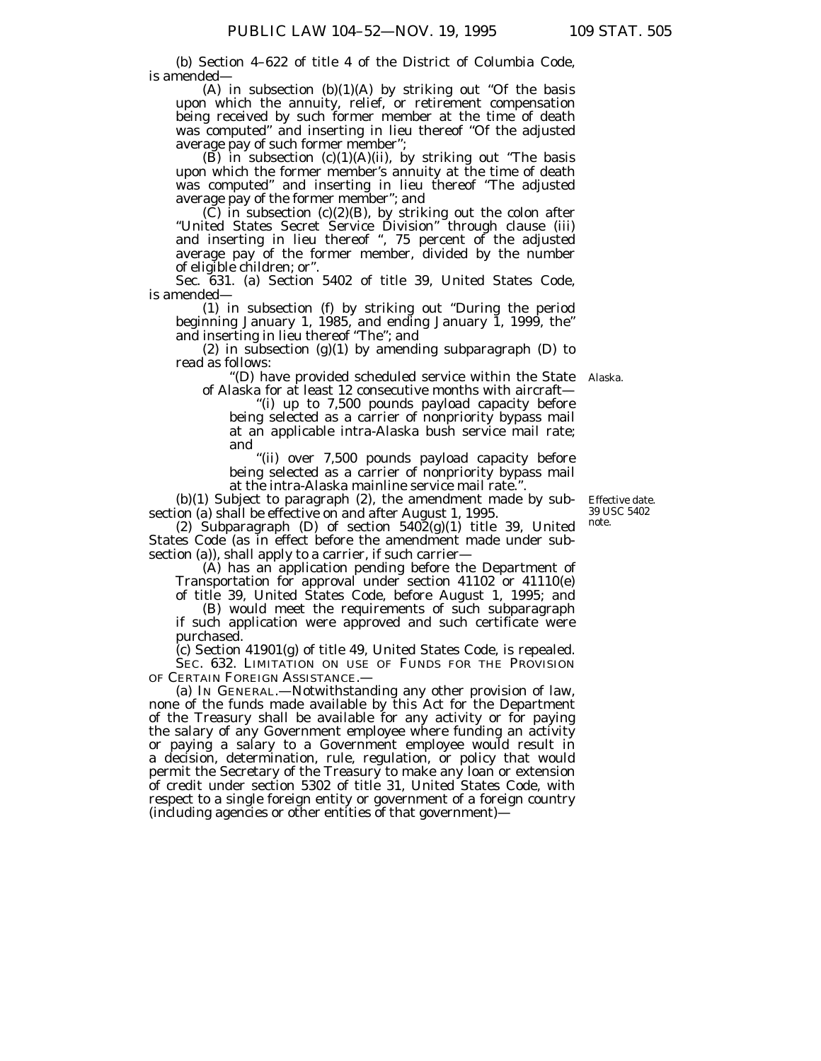(b) Section 4–622 of title 4 of the District of Columbia Code, is amended—

(A) in subsection  $(b)(1)(A)$  by striking out "Of the basis upon which the annuity, relief, or retirement compensation being received by such former member at the time of death was computed" and inserting in lieu thereof "Of the adjusted average pay of such former member'';

(B) in subsection  $(c)(1)(A)(ii)$ , by striking out "The basis" upon which the former member's annuity at the time of death was computed'' and inserting in lieu thereof ''The adjusted average pay of the former member''; and

 $(C)$  in subsection  $(c)(2)(B)$ , by striking out the colon after ''United States Secret Service Division'' through clause (iii) and inserting in lieu thereof '', 75 percent of the adjusted average pay of the former member, divided by the number of eligible children; or''.

Sec. 631. (a) Section 5402 of title 39, United States Code, is amended—

(1) in subsection (f) by striking out ''During the period beginning January 1, 1985, and ending January 1, 1999, the'' and inserting in lieu thereof ''The''; and

(2) in subsection  $(g)(1)$  by amending subparagraph (D) to read as follows:

''(D) have provided scheduled service within the State Alaska.of Alaska for at least 12 consecutive months with aircraft—

''(i) up to 7,500 pounds payload capacity before being selected as a carrier of nonpriority bypass mail at an applicable intra-Alaska bush service mail rate; and

''(ii) over 7,500 pounds payload capacity before being selected as a carrier of nonpriority bypass mail at the intra-Alaska mainline service mail rate.''.

(b)(1) Subject to paragraph (2), the amendment made by subsection (a) shall be effective on and after August 1, 1995.

(2) Subparagraph (D) of section  $540\tilde{2}(g)(1)$  title 39, United States Code (as in effect before the amendment made under subsection (a)), shall apply to a carrier, if such carrier—

(A) has an application pending before the Department of Transportation for approval under section 41102 or 41110(e) of title 39, United States Code, before August 1, 1995; and

(B) would meet the requirements of such subparagraph if such application were approved and such certificate were purchased.

(c) Section 41901(g) of title 49, United States Code, is repealed. SEC. 632. LIMITATION ON USE OF FUNDS FOR THE PROVISION OF CERTAIN FOREIGN ASSISTANCE.

(a) IN GENERAL.—Notwithstanding any other provision of law, none of the funds made available by this Act for the Department of the Treasury shall be available for any activity or for paying the salary of any Government employee where funding an activity or paying a salary to a Government employee would result in a decision, determination, rule, regulation, or policy that would permit the Secretary of the Treasury to make any loan or extension of credit under section 5302 of title 31, United States Code, with respect to a single foreign entity or government of a foreign country (including agencies or other entities of that government)—

Effective date. 39 USC 5402 note.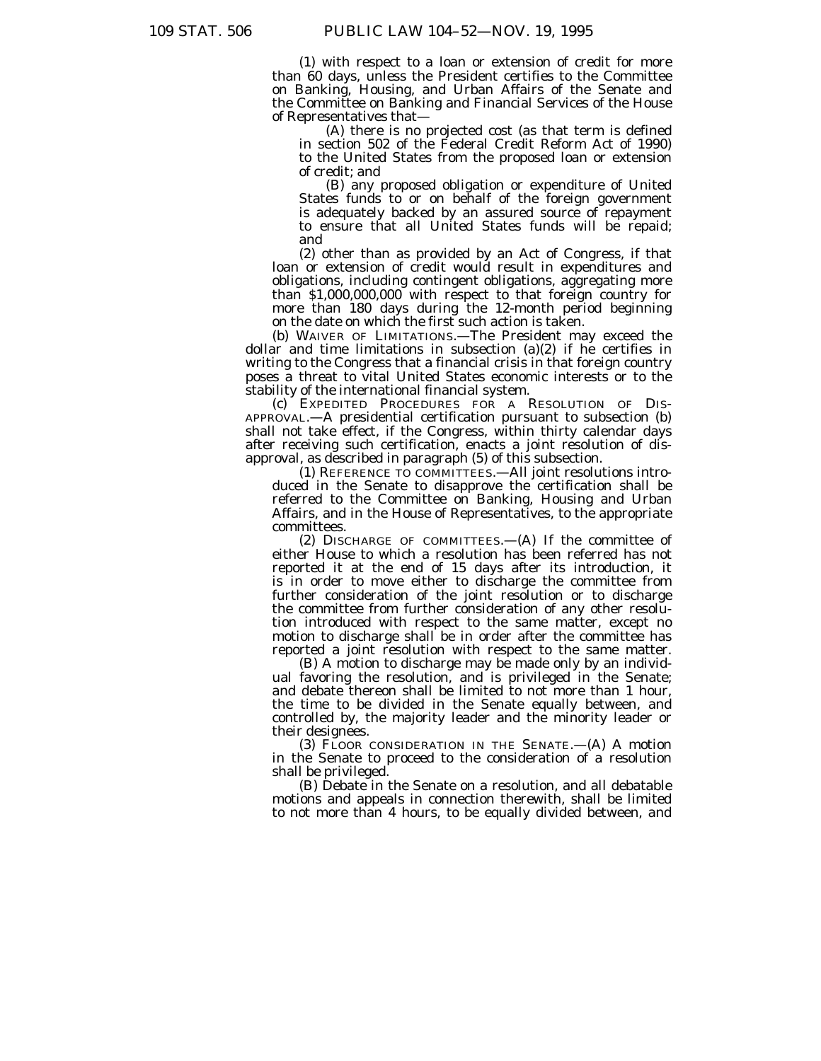(1) with respect to a loan or extension of credit for more than 60 days, unless the President certifies to the Committee on Banking, Housing, and Urban Affairs of the Senate and the Committee on Banking and Financial Services of the House of Representatives that—

(A) there is no projected cost (as that term is defined in section 502 of the Federal Credit Reform Act of 1990) to the United States from the proposed loan or extension of credit; and

(B) any proposed obligation or expenditure of United States funds to or on behalf of the foreign government is adequately backed by an assured source of repayment to ensure that all United States funds will be repaid; and

(2) other than as provided by an Act of Congress, if that loan or extension of credit would result in expenditures and obligations, including contingent obligations, aggregating more than \$1,000,000,000 with respect to that foreign country for more than 180 days during the 12-month period beginning on the date on which the first such action is taken.

(b) WAIVER OF LIMITATIONS.—The President may exceed the dollar and time limitations in subsection (a)(2) if he certifies in writing to the Congress that a financial crisis in that foreign country poses a threat to vital United States economic interests or to the stability of the international financial system.

(c) EXPEDITED PROCEDURES FOR A RESOLUTION OF DIS-APPROVAL.—A presidential certification pursuant to subsection (b) shall not take effect, if the Congress, within thirty calendar days after receiving such certification, enacts a joint resolution of disapproval, as described in paragraph (5) of this subsection.

(1) REFERENCE TO COMMITTEES.—All joint resolutions introduced in the Senate to disapprove the certification shall be referred to the Committee on Banking, Housing and Urban Affairs, and in the House of Representatives, to the appropriate committees.

(2) DISCHARGE OF COMMITTEES.—(A) If the committee of either House to which a resolution has been referred has not reported it at the end of 15 days after its introduction, it is in order to move either to discharge the committee from further consideration of the joint resolution or to discharge the committee from further consideration of any other resolution introduced with respect to the same matter, except no motion to discharge shall be in order after the committee has reported a joint resolution with respect to the same matter.

(B) A motion to discharge may be made only by an individual favoring the resolution, and is privileged in the Senate; and debate thereon shall be limited to not more than 1 hour, the time to be divided in the Senate equally between, and controlled by, the majority leader and the minority leader or their designees.

(3) FLOOR CONSIDERATION IN THE SENATE.— $(A)$  A motion in the Senate to proceed to the consideration of a resolution shall be privileged.

(B) Debate in the Senate on a resolution, and all debatable motions and appeals in connection therewith, shall be limited to not more than 4 hours, to be equally divided between, and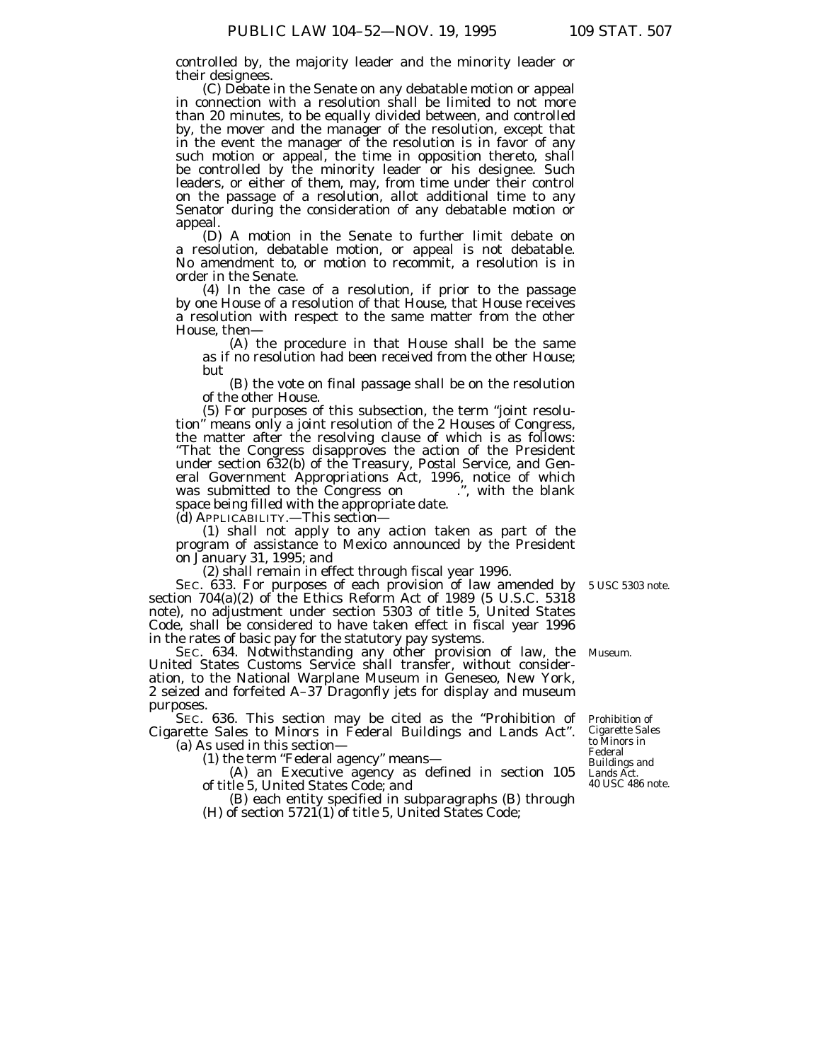controlled by, the majority leader and the minority leader or

their designees. (C) Debate in the Senate on any debatable motion or appeal in connection with a resolution shall be limited to not more than 20 minutes, to be equally divided between, and controlled by, the mover and the manager of the resolution, except that in the event the manager of the resolution is in favor of any such motion or appeal, the time in opposition thereto, shall be controlled by the minority leader or his designee. Such leaders, or either of them, may, from time under their control on the passage of a resolution, allot additional time to any Senator during the consideration of any debatable motion or appeal.

(D) A motion in the Senate to further limit debate on a resolution, debatable motion, or appeal is not debatable. No amendment to, or motion to recommit, a resolution is in order in the Senate.

(4) In the case of a resolution, if prior to the passage by one House of a resolution of that House, that House receives a resolution with respect to the same matter from the other House, then—

(A) the procedure in that House shall be the same as if no resolution had been received from the other House; but

(B) the vote on final passage shall be on the resolution of the other House.

(5) For purposes of this subsection, the term ''joint resolution'' means only a joint resolution of the 2 Houses of Congress, the matter after the resolving clause of which is as follows: ''That the Congress disapproves the action of the President under section 632(b) of the Treasury, Postal Service, and General Government Appropriations Act, 1996, notice of which was submitted to the Congress on ...,", with the blank space being filled with the appropriate date.

(d) APPLICABILITY.—This section—

(1) shall not apply to any action taken as part of the program of assistance to Mexico announced by the President on January 31, 1995; and

(2) shall remain in effect through fiscal year 1996.

SEC. 633. For purposes of each provision of law amended by 5 USC 5303 note. section 704(a)(2) of the Ethics Reform Act of 1989 (5 U.S.C. 5318 note), no adjustment under section 5303 of title 5, United States Code, shall be considered to have taken effect in fiscal year 1996 in the rates of basic pay for the statutory pay systems.

SEC. 634. Notwithstanding any other provision of law, the Museum. United States Customs Service shall transfer, without consideration, to the National Warplane Museum in Geneseo, New York, 2 seized and forfeited A–37 Dragonfly jets for display and museum purposes.

SEC. 636. This section may be cited as the "Prohibition of Cigarette Sales to Minors in Federal Buildings and Lands Act''.

(a) As used in this section—

(1) the term "Federal agency" means-

(A) an Executive agency as defined in section 105 of title 5, United States Code; and

(B) each entity specified in subparagraphs (B) through (H) of section 5721(1) of title 5, United States Code;

Prohibition of Cigarette Sales to Minors in Federal Buildings and Lands Act. 40 USC 486 note.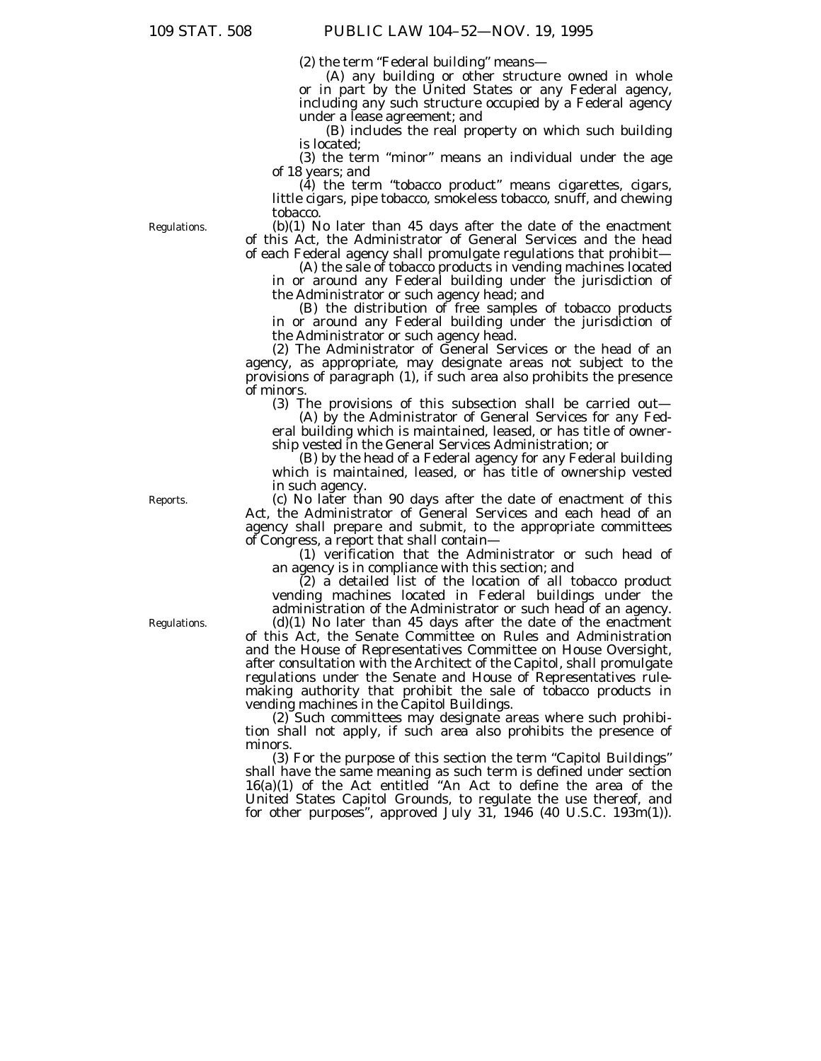(2) the term ''Federal building'' means—

(A) any building or other structure owned in whole or in part by the United States or any Federal agency, including any such structure occupied by a Federal agency under a lease agreement; and

(B) includes the real property on which such building is located;

(3) the term ''minor'' means an individual under the age of 18 years; and

(4) the term ''tobacco product'' means cigarettes, cigars, little cigars, pipe tobacco, smokeless tobacco, snuff, and chewing tobacco.

Regulations.

(b)(1) No later than 45 days after the date of the enactment of this Act, the Administrator of General Services and the head of each Federal agency shall promulgate regulations that prohibit—

(A) the sale of tobacco products in vending machines located in or around any Federal building under the jurisdiction of the Administrator or such agency head; and

(B) the distribution of free samples of tobacco products in or around any Federal building under the jurisdiction of the Administrator or such agency head.

(2) The Administrator of General Services or the head of an agency, as appropriate, may designate areas not subject to the provisions of paragraph (1), if such area also prohibits the presence of minors.

(3) The provisions of this subsection shall be carried out—

(A) by the Administrator of General Services for any Federal building which is maintained, leased, or has title of ownership vested in the General Services Administration; or

(B) by the head of a Federal agency for any Federal building which is maintained, leased, or has title of ownership vested in such agency.

(c) No later than 90 days after the date of enactment of this Act, the Administrator of General Services and each head of an agency shall prepare and submit, to the appropriate committees of Congress, a report that shall contain—

(1) verification that the Administrator or such head of an agency is in compliance with this section; and

 $(2)$  a detailed list of the location of all tobacco product vending machines located in Federal buildings under the administration of the Administrator or such head of an agency.

(d)(1) No later than 45 days after the date of the enactment of this Act, the Senate Committee on Rules and Administration and the House of Representatives Committee on House Oversight, after consultation with the Architect of the Capitol, shall promulgate regulations under the Senate and House of Representatives rulemaking authority that prohibit the sale of tobacco products in vending machines in the Capitol Buildings.

(2) Such committees may designate areas where such prohibition shall not apply, if such area also prohibits the presence of minors.

(3) For the purpose of this section the term ''Capitol Buildings'' shall have the same meaning as such term is defined under section 16(a)(1) of the Act entitled ''An Act to define the area of the United States Capitol Grounds, to regulate the use thereof, and for other purposes'', approved July 31, 1946 (40 U.S.C. 193m(1)).

Reports.

Regulations.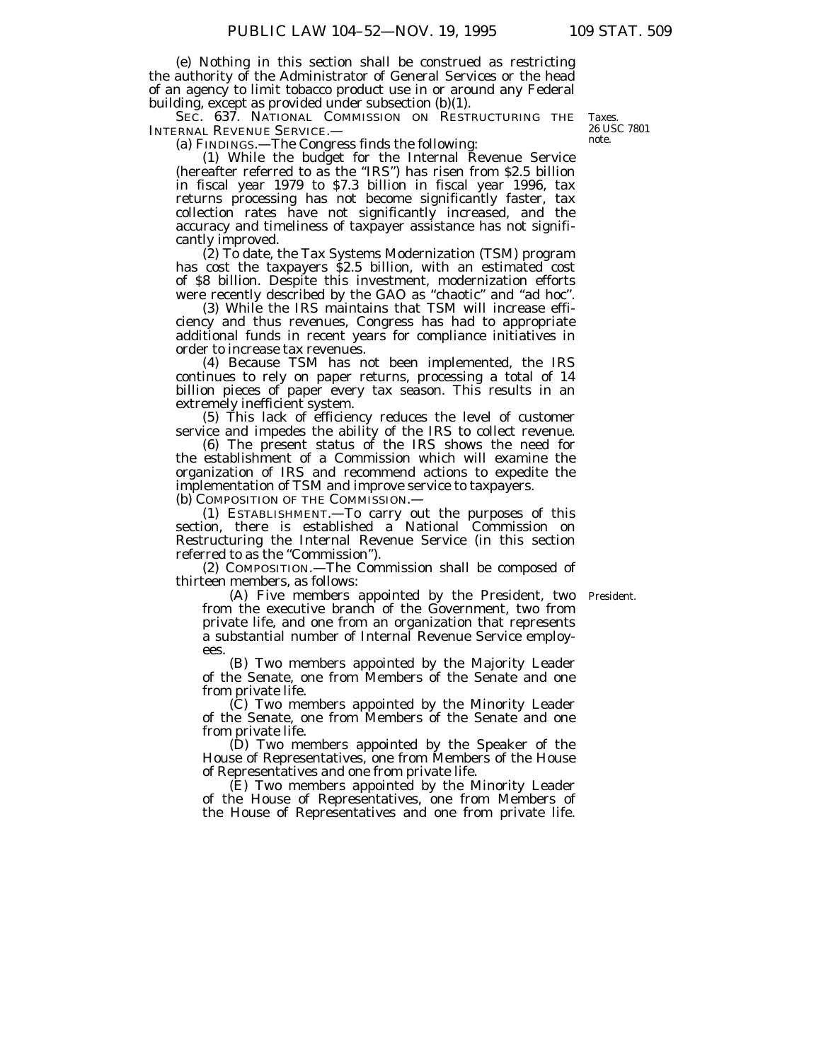(e) Nothing in this section shall be construed as restricting the authority of the Administrator of General Services or the head of an agency to limit tobacco product use in or around any Federal building, except as provided under subsection (b)(1).

SEC. 637. NATIONAL COMMISSION ON RESTRUCTURING THE INTERNAL REVENUE SERVICE.—

(a) FINDINGS.—The Congress finds the following:

(1) While the budget for the Internal Revenue Service (hereafter referred to as the ''IRS'') has risen from \$2.5 billion in fiscal year 1979 to \$7.3 billion in fiscal year 1996, tax returns processing has not become significantly faster, tax collection rates have not significantly increased, and the accuracy and timeliness of taxpayer assistance has not significantly improved.

(2) To date, the Tax Systems Modernization (TSM) program has cost the taxpayers \$2.5 billion, with an estimated cost of \$8 billion. Despite this investment, modernization efforts were recently described by the GAO as ''chaotic'' and ''ad hoc''.

(3) While the IRS maintains that TSM will increase efficiency and thus revenues, Congress has had to appropriate additional funds in recent years for compliance initiatives in order to increase tax revenues.

(4) Because TSM has not been implemented, the IRS continues to rely on paper returns, processing a total of 14 billion pieces of paper every tax season. This results in an extremely inefficient system.

(5) This lack of efficiency reduces the level of customer service and impedes the ability of the IRS to collect revenue.

(6) The present status of the IRS shows the need for the establishment of a Commission which will examine the organization of IRS and recommend actions to expedite the implementation of TSM and improve service to taxpayers. (b) COMPOSITION OF THE COMMISSION.—

(1) ESTABLISHMENT.—To carry out the purposes of this section, there is established a National Commission on Restructuring the Internal Revenue Service (in this section referred to as the "Commission").

(2) COMPOSITION.—The Commission shall be composed of thirteen members, as follows:

(A) Five members appointed by the President, two President. from the executive branch of the Government, two from private life, and one from an organization that represents a substantial number of Internal Revenue Service employees.

(B) Two members appointed by the Majority Leader of the Senate, one from Members of the Senate and one from private life.

(C) Two members appointed by the Minority Leader of the Senate, one from Members of the Senate and one from private life.

(D) Two members appointed by the Speaker of the House of Representatives, one from Members of the House of Representatives and one from private life.

(E) Two members appointed by the Minority Leader of the House of Representatives, one from Members of the House of Representatives and one from private life.

Taxes. 26 USC 7801 note.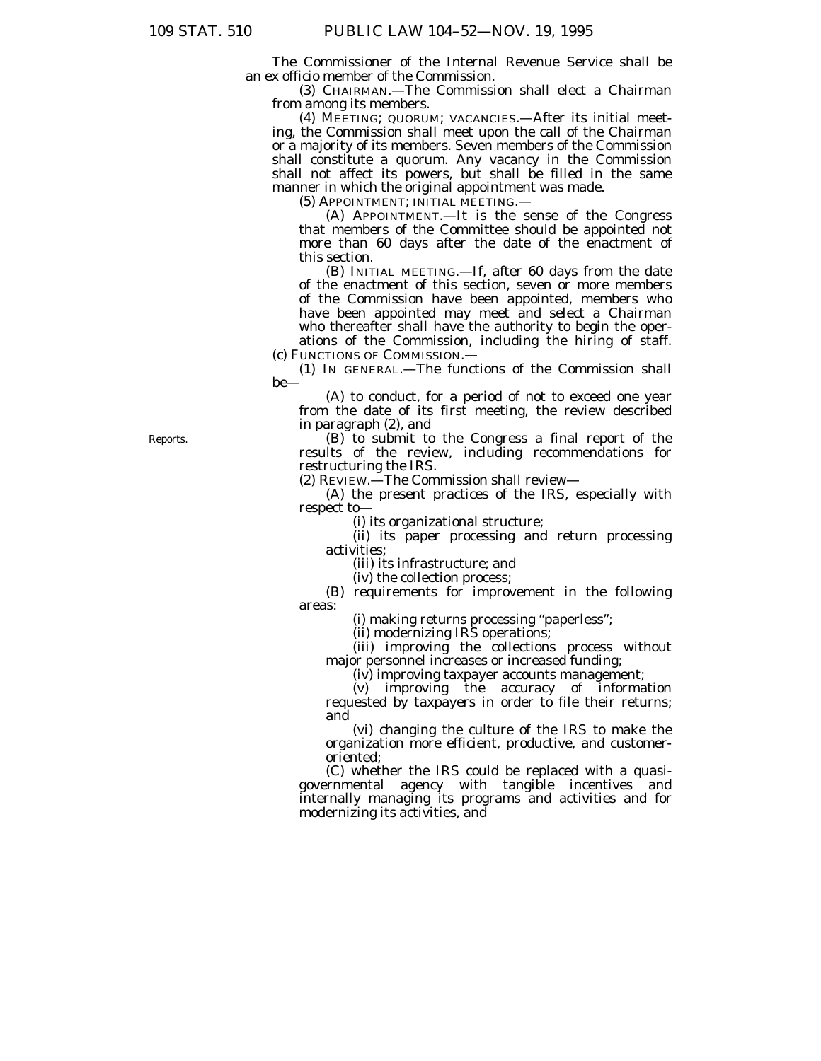The Commissioner of the Internal Revenue Service shall be an ex officio member of the Commission.

(3) CHAIRMAN.—The Commission shall elect a Chairman from among its members.

(4) MEETING; QUORUM; VACANCIES.—After its initial meeting, the Commission shall meet upon the call of the Chairman or a majority of its members. Seven members of the Commission shall constitute a quorum. Any vacancy in the Commission shall not affect its powers, but shall be filled in the same manner in which the original appointment was made.

(5) APPOINTMENT; INITIAL MEETING.—

(A) APPOINTMENT.—It is the sense of the Congress that members of the Committee should be appointed not more than 60 days after the date of the enactment of this section.

(B) INITIAL MEETING.—If, after 60 days from the date of the enactment of this section, seven or more members of the Commission have been appointed, members who have been appointed may meet and select a Chairman who thereafter shall have the authority to begin the operations of the Commission, including the hiring of staff.

(c) FUNCTIONS OF COMMISSION.— (1) IN GENERAL.—The functions of the Commission shall

be—

(A) to conduct, for a period of not to exceed one year from the date of its first meeting, the review described in paragraph (2), and

(B) to submit to the Congress a final report of the results of the review, including recommendations for restructuring the IRS.

(2) REVIEW.—The Commission shall review—

(A) the present practices of the IRS, especially with respect to—

(i) its organizational structure;

(ii) its paper processing and return processing activities;

(iii) its infrastructure; and

(iv) the collection process;

(B) requirements for improvement in the following areas:

(i) making returns processing ''paperless'';

(ii) modernizing IRS operations;

(iii) improving the collections process without major personnel increases or increased funding;

(iv) improving taxpayer accounts management;

(v) improving the accuracy of information requested by taxpayers in order to file their returns; and

(vi) changing the culture of the IRS to make the organization more efficient, productive, and customeroriented;

(C) whether the IRS could be replaced with a quasigovernmental agency with tangible incentives and internally managing its programs and activities and for modernizing its activities, and

Reports.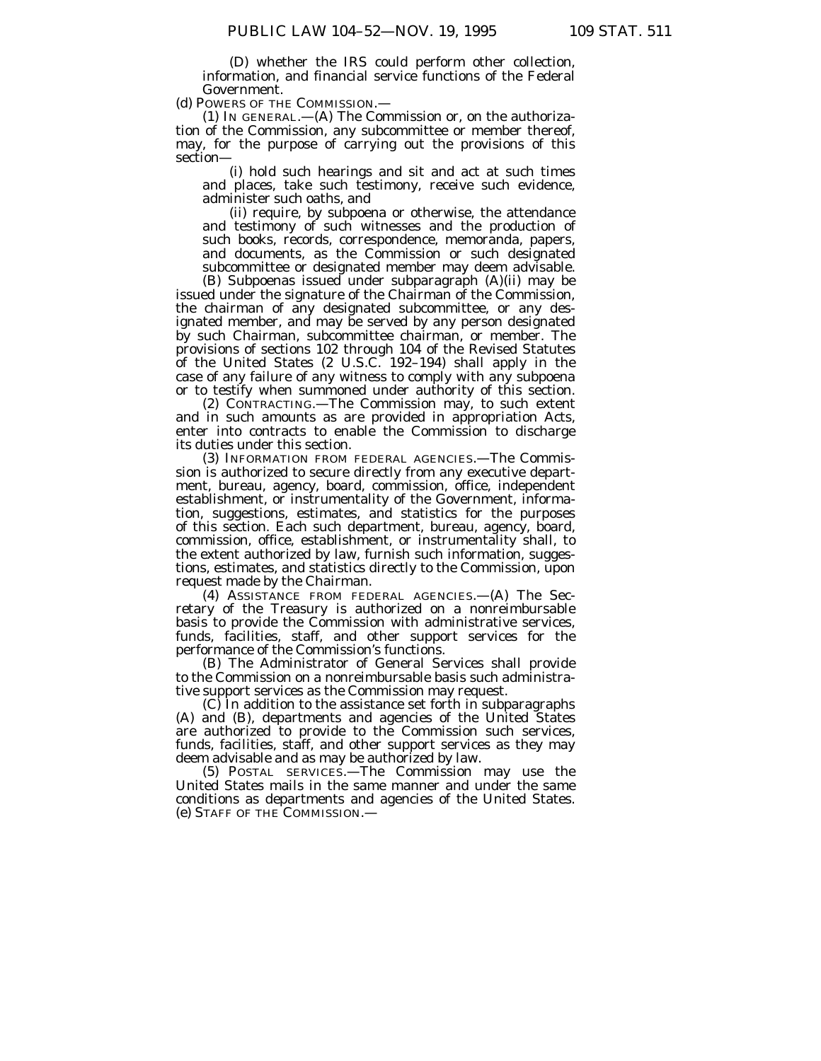(D) whether the IRS could perform other collection, information, and financial service functions of the Federal Government.

(d) POWERS OF THE COMMISSION.—

(1) IN GENERAL.— $(A)$  The Commission or, on the authorization of the Commission, any subcommittee or member thereof, may, for the purpose of carrying out the provisions of this section—

(i) hold such hearings and sit and act at such times and places, take such testimony, receive such evidence, administer such oaths, and

(ii) require, by subpoena or otherwise, the attendance and testimony of such witnesses and the production of such books, records, correspondence, memoranda, papers, and documents, as the Commission or such designated subcommittee or designated member may deem advisable.

(B) Subpoenas issued under subparagraph (A)(ii) may be issued under the signature of the Chairman of the Commission, the chairman of any designated subcommittee, or any designated member, and may be served by any person designated by such Chairman, subcommittee chairman, or member. The provisions of sections 102 through 104 of the Revised Statutes of the United States (2 U.S.C. 192–194) shall apply in the case of any failure of any witness to comply with any subpoena or to testify when summoned under authority of this section.

(2) CONTRACTING.—The Commission may, to such extent and in such amounts as are provided in appropriation Acts, enter into contracts to enable the Commission to discharge its duties under this section.

(3) INFORMATION FROM FEDERAL AGENCIES.—The Commission is authorized to secure directly from any executive department, bureau, agency, board, commission, office, independent establishment, or instrumentality of the Government, information, suggestions, estimates, and statistics for the purposes of this section. Each such department, bureau, agency, board, commission, office, establishment, or instrumentality shall, to the extent authorized by law, furnish such information, suggestions, estimates, and statistics directly to the Commission, upon request made by the Chairman.

(4) ASSISTANCE FROM FEDERAL AGENCIES.—(A) The Secretary of the Treasury is authorized on a nonreimbursable basis to provide the Commission with administrative services, funds, facilities, staff, and other support services for the performance of the Commission's functions.

(B) The Administrator of General Services shall provide to the Commission on a nonreimbursable basis such administrative support services as the Commission may request.

(C) In addition to the assistance set forth in subparagraphs (A) and (B), departments and agencies of the United States are authorized to provide to the Commission such services, funds, facilities, staff, and other support services as they may deem advisable and as may be authorized by law.

(5) POSTAL SERVICES.—The Commission may use the United States mails in the same manner and under the same conditions as departments and agencies of the United States. (e) STAFF OF THE COMMISSION.—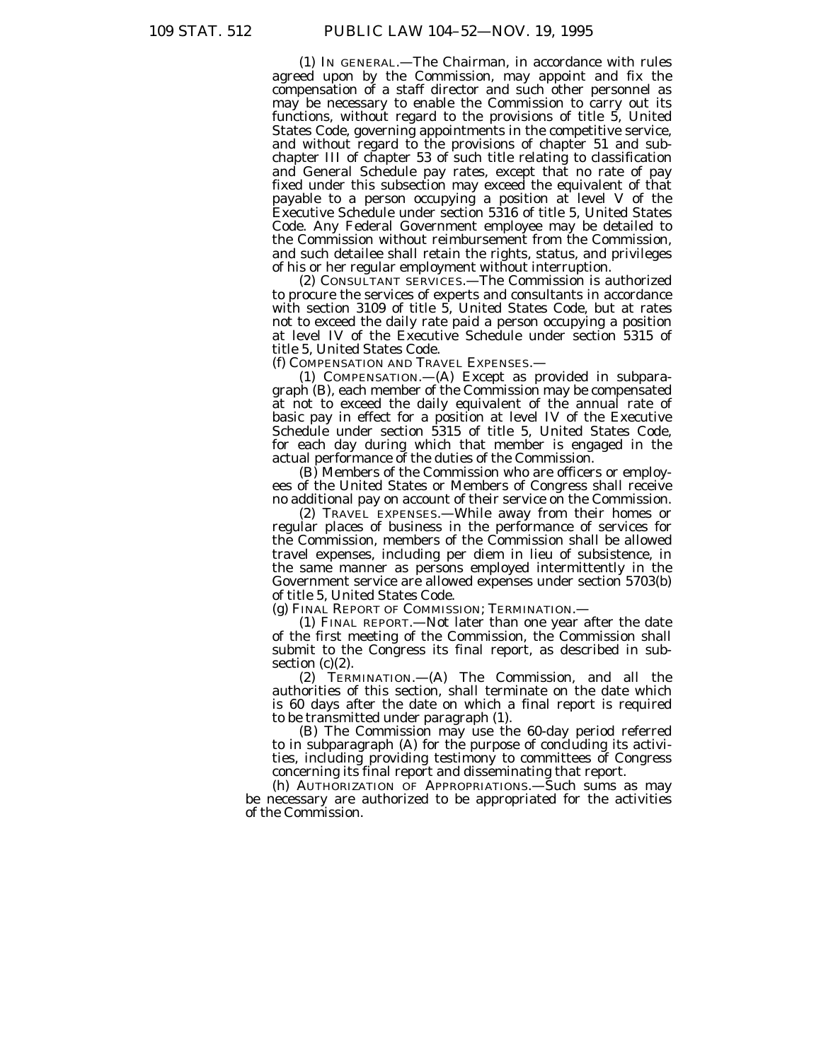(1) IN GENERAL.—The Chairman, in accordance with rules agreed upon by the Commission, may appoint and fix the compensation of a staff director and such other personnel as may be necessary to enable the Commission to carry out its functions, without regard to the provisions of title 5, United States Code, governing appointments in the competitive service, and without regard to the provisions of chapter 51 and subchapter III of chapter 53 of such title relating to classification and General Schedule pay rates, except that no rate of pay fixed under this subsection may exceed the equivalent of that payable to a person occupying a position at level V of the Executive Schedule under section 5316 of title 5, United States Code. Any Federal Government employee may be detailed to the Commission without reimbursement from the Commission, and such detailee shall retain the rights, status, and privileges of his or her regular employment without interruption.

(2) CONSULTANT SERVICES.—The Commission is authorized to procure the services of experts and consultants in accordance with section 3109 of title 5, United States Code, but at rates not to exceed the daily rate paid a person occupying a position at level IV of the Executive Schedule under section 5315 of title 5, United States Code.

(f) COMPENSATION AND TRAVEL EXPENSES.—

(1) COMPENSATION.—(A) Except as provided in subparagraph (B), each member of the Commission may be compensated at not to exceed the daily equivalent of the annual rate of basic pay in effect for a position at level IV of the Executive Schedule under section 5315 of title 5, United States Code, for each day during which that member is engaged in the actual performance of the duties of the Commission.

(B) Members of the Commission who are officers or employees of the United States or Members of Congress shall receive no additional pay on account of their service on the Commission.

(2) TRAVEL EXPENSES.—While away from their homes or regular places of business in the performance of services for the Commission, members of the Commission shall be allowed travel expenses, including per diem in lieu of subsistence, in the same manner as persons employed intermittently in the Government service are allowed expenses under section 5703(b) of title 5, United States Code.

(g) FINAL REPORT OF COMMISSION; TERMINATION.—

(1) FINAL REPORT.—Not later than one year after the date of the first meeting of the Commission, the Commission shall submit to the Congress its final report, as described in subsection  $(c)(2)$ .

(2) TERMINATION.—(A) The Commission, and all the authorities of this section, shall terminate on the date which is 60 days after the date on which a final report is required to be transmitted under paragraph (1).

(B) The Commission may use the 60-day period referred to in subparagraph (A) for the purpose of concluding its activities, including providing testimony to committees of Congress concerning its final report and disseminating that report.

(h) AUTHORIZATION OF APPROPRIATIONS.—Such sums as may be necessary are authorized to be appropriated for the activities of the Commission.